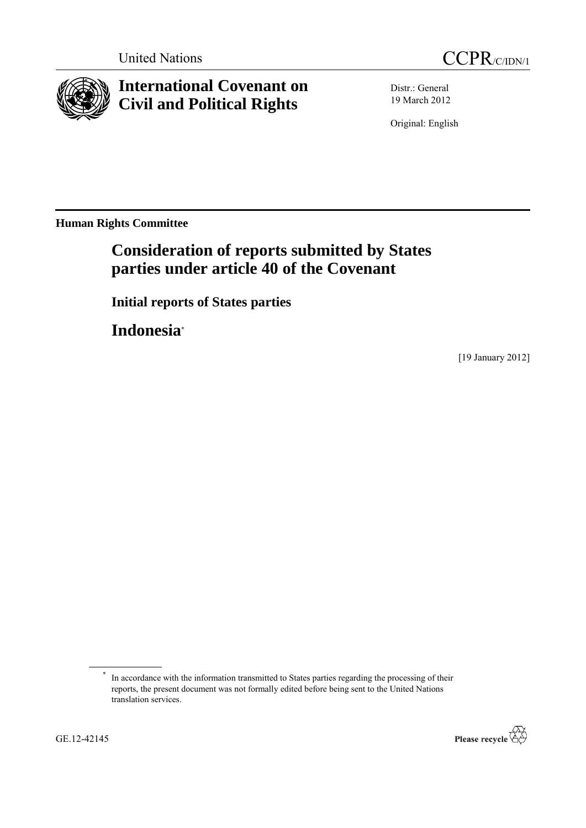



# **International Covenant on Civil and Political Rights**

Distr.: General 19 March 2012

Original: English

**Human Rights Committee**

## **Consideration of reports submitted by States parties under article 40 of the Covenant**

**Initial reports of States parties**

**Indonesia**\*

[19 January 2012]

<sup>\*</sup> In accordance with the information transmitted to States parties regarding the processing of their reports, the present document was not formally edited before being sent to the United Nations translation services.

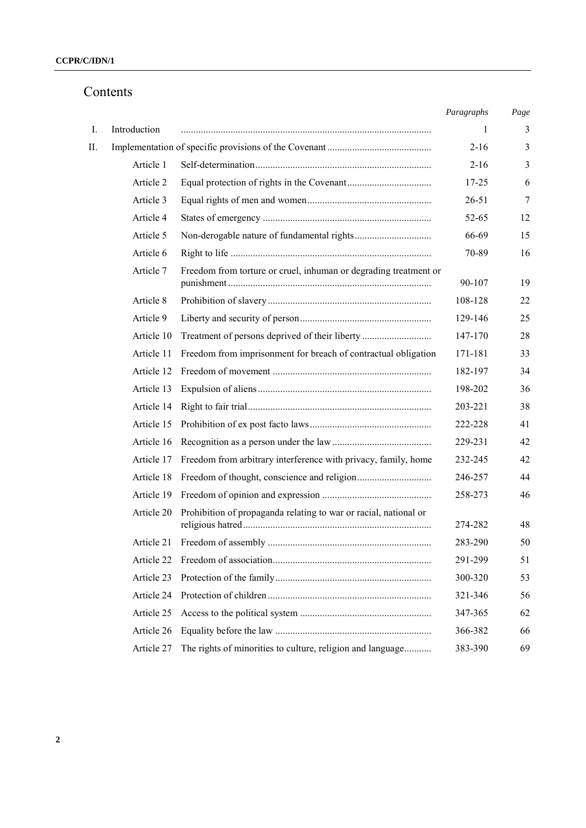# Contents

|    |              |                                                                  | Paragraphs | Page           |
|----|--------------|------------------------------------------------------------------|------------|----------------|
| Ι. | Introduction |                                                                  | 1          | 3              |
| П. |              |                                                                  | $2 - 16$   | 3              |
|    | Article 1    |                                                                  | $2 - 16$   | $\mathfrak{Z}$ |
|    | Article 2    |                                                                  | $17 - 25$  | 6              |
|    | Article 3    |                                                                  | $26 - 51$  | $\tau$         |
|    | Article 4    |                                                                  | 52-65      | 12             |
|    | Article 5    |                                                                  | 66-69      | 15             |
|    | Article 6    |                                                                  | 70-89      | 16             |
|    | Article 7    | Freedom from torture or cruel, inhuman or degrading treatment or | 90-107     | 19             |
|    | Article 8    |                                                                  | 108-128    | 22             |
|    | Article 9    |                                                                  | 129-146    | 25             |
|    | Article 10   | Treatment of persons deprived of their liberty                   | 147-170    | 28             |
|    | Article 11   | Freedom from imprisonment for breach of contractual obligation   | 171-181    | 33             |
|    | Article 12   |                                                                  | 182-197    | 34             |
|    | Article 13   |                                                                  | 198-202    | 36             |
|    | Article 14   |                                                                  | 203-221    | 38             |
|    | Article 15   |                                                                  | 222-228    | 41             |
|    | Article 16   |                                                                  | 229-231    | 42             |
|    | Article 17   | Freedom from arbitrary interference with privacy, family, home   | 232-245    | 42             |
|    | Article 18   |                                                                  | 246-257    | 44             |
|    | Article 19   |                                                                  | 258-273    | 46             |
|    | Article 20   | Prohibition of propaganda relating to war or racial, national or | 274-282    | 48             |
|    | Article 21   |                                                                  | 283-290    | 50             |
|    | Article 22   |                                                                  | 291-299    | 51             |
|    | Article 23   |                                                                  | 300-320    | 53             |
|    | Article 24   |                                                                  | 321-346    | 56             |
|    | Article 25   |                                                                  | 347-365    | 62             |
|    | Article 26   |                                                                  | 366-382    | 66             |
|    | Article 27   | The rights of minorities to culture, religion and language       | 383-390    | 69             |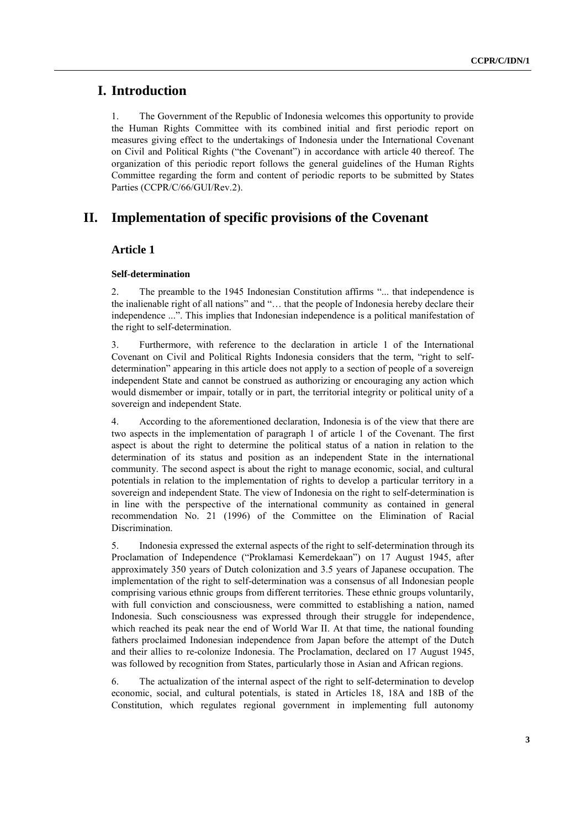## **I. Introduction**

1. The Government of the Republic of Indonesia welcomes this opportunity to provide the Human Rights Committee with its combined initial and first periodic report on measures giving effect to the undertakings of Indonesia under the International Covenant on Civil and Political Rights ("the Covenant") in accordance with article 40 thereof. The organization of this periodic report follows the general guidelines of the Human Rights Committee regarding the form and content of periodic reports to be submitted by States Parties (CCPR/C/66/GUI/Rev.2).

## **II. Implementation of specific provisions of the Covenant**

## **Article 1**

#### **Self-determination**

2. The preamble to the 1945 Indonesian Constitution affirms "... that independence is the inalienable right of all nations" and "… that the people of Indonesia hereby declare their independence ...". This implies that Indonesian independence is a political manifestation of the right to self-determination.

3. Furthermore, with reference to the declaration in article 1 of the International Covenant on Civil and Political Rights Indonesia considers that the term, "right to selfdetermination" appearing in this article does not apply to a section of people of a sovereign independent State and cannot be construed as authorizing or encouraging any action which would dismember or impair, totally or in part, the territorial integrity or political unity of a sovereign and independent State.

4. According to the aforementioned declaration, Indonesia is of the view that there are two aspects in the implementation of paragraph 1 of article 1 of the Covenant. The first aspect is about the right to determine the political status of a nation in relation to the determination of its status and position as an independent State in the international community. The second aspect is about the right to manage economic, social, and cultural potentials in relation to the implementation of rights to develop a particular territory in a sovereign and independent State. The view of Indonesia on the right to self-determination is in line with the perspective of the international community as contained in general recommendation No. 21 (1996) of the Committee on the Elimination of Racial Discrimination.

5. Indonesia expressed the external aspects of the right to self-determination through its Proclamation of Independence ("Proklamasi Kemerdekaan") on 17 August 1945, after approximately 350 years of Dutch colonization and 3.5 years of Japanese occupation. The implementation of the right to self-determination was a consensus of all Indonesian people comprising various ethnic groups from different territories. These ethnic groups voluntarily, with full conviction and consciousness, were committed to establishing a nation, named Indonesia. Such consciousness was expressed through their struggle for independence, which reached its peak near the end of World War II. At that time, the national founding fathers proclaimed Indonesian independence from Japan before the attempt of the Dutch and their allies to re-colonize Indonesia. The Proclamation, declared on 17 August 1945, was followed by recognition from States, particularly those in Asian and African regions.

6. The actualization of the internal aspect of the right to self-determination to develop economic, social, and cultural potentials, is stated in Articles 18, 18A and 18B of the Constitution, which regulates regional government in implementing full autonomy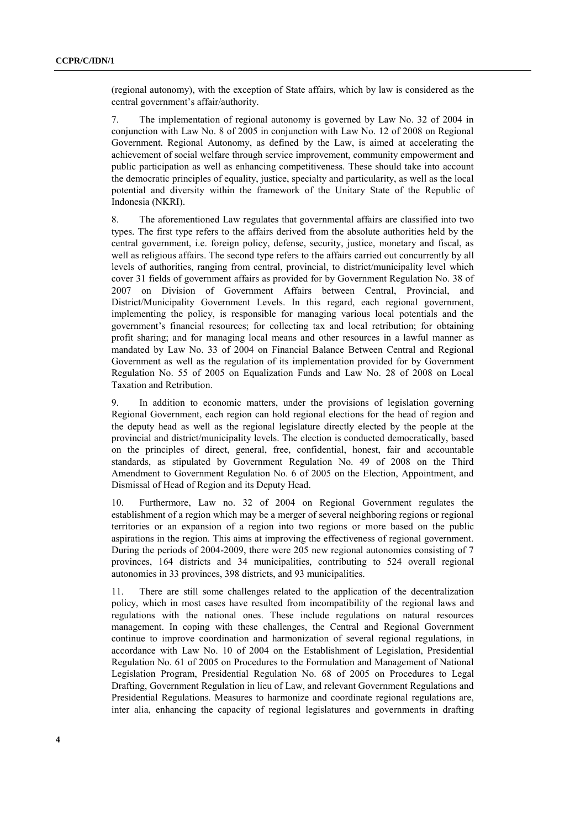(regional autonomy), with the exception of State affairs, which by law is considered as the central government's affair/authority.

7. The implementation of regional autonomy is governed by Law No. 32 of 2004 in conjunction with Law No. 8 of 2005 in conjunction with Law No. 12 of 2008 on Regional Government. Regional Autonomy, as defined by the Law, is aimed at accelerating the achievement of social welfare through service improvement, community empowerment and public participation as well as enhancing competitiveness. These should take into account the democratic principles of equality, justice, specialty and particularity, as well as the local potential and diversity within the framework of the Unitary State of the Republic of Indonesia (NKRI).

8. The aforementioned Law regulates that governmental affairs are classified into two types. The first type refers to the affairs derived from the absolute authorities held by the central government, i.e. foreign policy, defense, security, justice, monetary and fiscal, as well as religious affairs. The second type refers to the affairs carried out concurrently by all levels of authorities, ranging from central, provincial, to district/municipality level which cover 31 fields of government affairs as provided for by Government Regulation No. 38 of 2007 on Division of Government Affairs between Central, Provincial, and District/Municipality Government Levels. In this regard, each regional government, implementing the policy, is responsible for managing various local potentials and the government's financial resources; for collecting tax and local retribution; for obtaining profit sharing; and for managing local means and other resources in a lawful manner as mandated by Law No. 33 of 2004 on Financial Balance Between Central and Regional Government as well as the regulation of its implementation provided for by Government Regulation No. 55 of 2005 on Equalization Funds and Law No. 28 of 2008 on Local Taxation and Retribution.

9. In addition to economic matters, under the provisions of legislation governing Regional Government, each region can hold regional elections for the head of region and the deputy head as well as the regional legislature directly elected by the people at the provincial and district/municipality levels. The election is conducted democratically, based on the principles of direct, general, free, confidential, honest, fair and accountable standards, as stipulated by Government Regulation No. 49 of 2008 on the Third Amendment to Government Regulation No. 6 of 2005 on the Election, Appointment, and Dismissal of Head of Region and its Deputy Head.

10. Furthermore, Law no. 32 of 2004 on Regional Government regulates the establishment of a region which may be a merger of several neighboring regions or regional territories or an expansion of a region into two regions or more based on the public aspirations in the region. This aims at improving the effectiveness of regional government. During the periods of 2004-2009, there were 205 new regional autonomies consisting of 7 provinces, 164 districts and 34 municipalities, contributing to 524 overall regional autonomies in 33 provinces, 398 districts, and 93 municipalities.

11. There are still some challenges related to the application of the decentralization policy, which in most cases have resulted from incompatibility of the regional laws and regulations with the national ones. These include regulations on natural resources management. In coping with these challenges, the Central and Regional Government continue to improve coordination and harmonization of several regional regulations, in accordance with Law No. 10 of 2004 on the Establishment of Legislation, Presidential Regulation No. 61 of 2005 on Procedures to the Formulation and Management of National Legislation Program, Presidential Regulation No. 68 of 2005 on Procedures to Legal Drafting, Government Regulation in lieu of Law, and relevant Government Regulations and Presidential Regulations. Measures to harmonize and coordinate regional regulations are, inter alia, enhancing the capacity of regional legislatures and governments in drafting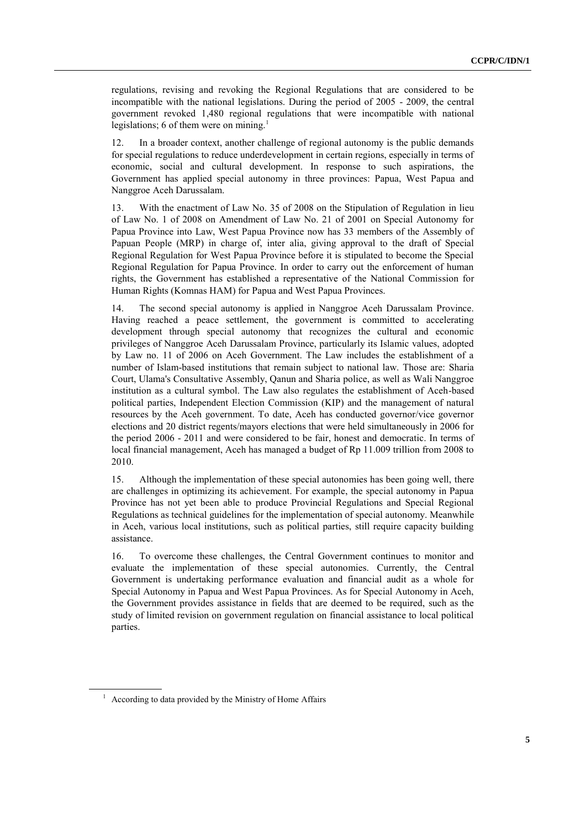regulations, revising and revoking the Regional Regulations that are considered to be incompatible with the national legislations. During the period of 2005 - 2009, the central government revoked 1,480 regional regulations that were incompatible with national legislations; 6 of them were on mining.<sup>1</sup>

12. In a broader context, another challenge of regional autonomy is the public demands for special regulations to reduce underdevelopment in certain regions, especially in terms of economic, social and cultural development. In response to such aspirations, the Government has applied special autonomy in three provinces: Papua, West Papua and Nanggroe Aceh Darussalam.

13. With the enactment of Law No. 35 of 2008 on the Stipulation of Regulation in lieu of Law No. 1 of 2008 on Amendment of Law No. 21 of 2001 on Special Autonomy for Papua Province into Law, West Papua Province now has 33 members of the Assembly of Papuan People (MRP) in charge of, inter alia, giving approval to the draft of Special Regional Regulation for West Papua Province before it is stipulated to become the Special Regional Regulation for Papua Province. In order to carry out the enforcement of human rights, the Government has established a representative of the National Commission for Human Rights (Komnas HAM) for Papua and West Papua Provinces.

14. The second special autonomy is applied in Nanggroe Aceh Darussalam Province. Having reached a peace settlement, the government is committed to accelerating development through special autonomy that recognizes the cultural and economic privileges of Nanggroe Aceh Darussalam Province, particularly its Islamic values, adopted by Law no. 11 of 2006 on Aceh Government. The Law includes the establishment of a number of Islam-based institutions that remain subject to national law. Those are: Sharia Court, Ulama's Consultative Assembly, Qanun and Sharia police, as well as Wali Nanggroe institution as a cultural symbol. The Law also regulates the establishment of Aceh-based political parties, Independent Election Commission (KIP) and the management of natural resources by the Aceh government. To date, Aceh has conducted governor/vice governor elections and 20 district regents/mayors elections that were held simultaneously in 2006 for the period 2006 - 2011 and were considered to be fair, honest and democratic. In terms of local financial management, Aceh has managed a budget of Rp 11.009 trillion from 2008 to 2010.

15. Although the implementation of these special autonomies has been going well, there are challenges in optimizing its achievement. For example, the special autonomy in Papua Province has not yet been able to produce Provincial Regulations and Special Regional Regulations as technical guidelines for the implementation of special autonomy. Meanwhile in Aceh, various local institutions, such as political parties, still require capacity building assistance.

16. To overcome these challenges, the Central Government continues to monitor and evaluate the implementation of these special autonomies. Currently, the Central Government is undertaking performance evaluation and financial audit as a whole for Special Autonomy in Papua and West Papua Provinces. As for Special Autonomy in Aceh, the Government provides assistance in fields that are deemed to be required, such as the study of limited revision on government regulation on financial assistance to local political parties.

 $1$  According to data provided by the Ministry of Home Affairs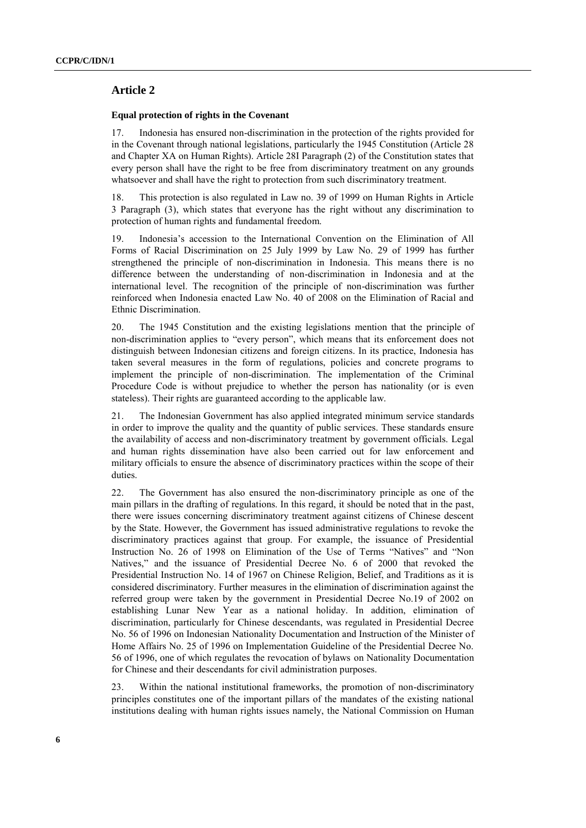## **Article 2**

#### **Equal protection of rights in the Covenant**

17. Indonesia has ensured non-discrimination in the protection of the rights provided for in the Covenant through national legislations, particularly the 1945 Constitution (Article 28 and Chapter XA on Human Rights). Article 28I Paragraph (2) of the Constitution states that every person shall have the right to be free from discriminatory treatment on any grounds whatsoever and shall have the right to protection from such discriminatory treatment.

18. This protection is also regulated in Law no. 39 of 1999 on Human Rights in Article 3 Paragraph (3), which states that everyone has the right without any discrimination to protection of human rights and fundamental freedom.

19. Indonesia's accession to the International Convention on the Elimination of All Forms of Racial Discrimination on 25 July 1999 by Law No. 29 of 1999 has further strengthened the principle of non-discrimination in Indonesia. This means there is no difference between the understanding of non-discrimination in Indonesia and at the international level. The recognition of the principle of non-discrimination was further reinforced when Indonesia enacted Law No. 40 of 2008 on the Elimination of Racial and Ethnic Discrimination.

20. The 1945 Constitution and the existing legislations mention that the principle of non-discrimination applies to "every person", which means that its enforcement does not distinguish between Indonesian citizens and foreign citizens. In its practice, Indonesia has taken several measures in the form of regulations, policies and concrete programs to implement the principle of non-discrimination. The implementation of the Criminal Procedure Code is without prejudice to whether the person has nationality (or is even stateless). Their rights are guaranteed according to the applicable law.

21. The Indonesian Government has also applied integrated minimum service standards in order to improve the quality and the quantity of public services. These standards ensure the availability of access and non-discriminatory treatment by government officials. Legal and human rights dissemination have also been carried out for law enforcement and military officials to ensure the absence of discriminatory practices within the scope of their duties.

22. The Government has also ensured the non-discriminatory principle as one of the main pillars in the drafting of regulations. In this regard, it should be noted that in the past, there were issues concerning discriminatory treatment against citizens of Chinese descent by the State. However, the Government has issued administrative regulations to revoke the discriminatory practices against that group. For example, the issuance of Presidential Instruction No. 26 of 1998 on Elimination of the Use of Terms "Natives" and "Non Natives," and the issuance of Presidential Decree No. 6 of 2000 that revoked the Presidential Instruction No. 14 of 1967 on Chinese Religion, Belief, and Traditions as it is considered discriminatory. Further measures in the elimination of discrimination against the referred group were taken by the government in Presidential Decree No.19 of 2002 on establishing Lunar New Year as a national holiday. In addition, elimination of discrimination, particularly for Chinese descendants, was regulated in Presidential Decree No. 56 of 1996 on Indonesian Nationality Documentation and Instruction of the Minister of Home Affairs No. 25 of 1996 on Implementation Guideline of the Presidential Decree No. 56 of 1996, one of which regulates the revocation of bylaws on Nationality Documentation for Chinese and their descendants for civil administration purposes.

23. Within the national institutional frameworks, the promotion of non-discriminatory principles constitutes one of the important pillars of the mandates of the existing national institutions dealing with human rights issues namely, the National Commission on Human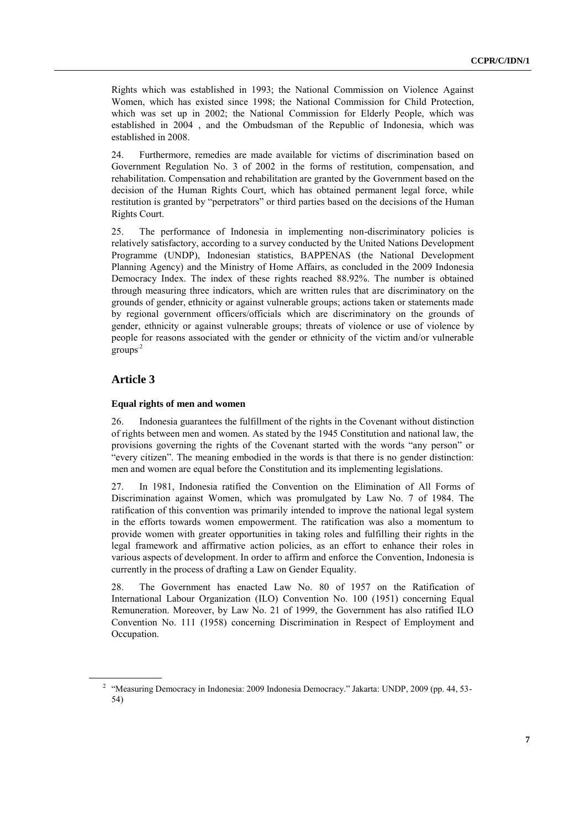Rights which was established in 1993; the National Commission on Violence Against Women, which has existed since 1998; the National Commission for Child Protection, which was set up in 2002; the National Commission for Elderly People, which was established in 2004 , and the Ombudsman of the Republic of Indonesia, which was established in 2008.

24. Furthermore, remedies are made available for victims of discrimination based on Government Regulation No. 3 of 2002 in the forms of restitution, compensation, and rehabilitation. Compensation and rehabilitation are granted by the Government based on the decision of the Human Rights Court, which has obtained permanent legal force, while restitution is granted by "perpetrators" or third parties based on the decisions of the Human Rights Court.

25. The performance of Indonesia in implementing non-discriminatory policies is relatively satisfactory, according to a survey conducted by the United Nations Development Programme (UNDP), Indonesian statistics, BAPPENAS (the National Development Planning Agency) and the Ministry of Home Affairs, as concluded in the 2009 Indonesia Democracy Index. The index of these rights reached 88.92%. The number is obtained through measuring three indicators, which are written rules that are discriminatory on the grounds of gender, ethnicity or against vulnerable groups; actions taken or statements made by regional government officers/officials which are discriminatory on the grounds of gender, ethnicity or against vulnerable groups; threats of violence or use of violence by people for reasons associated with the gender or ethnicity of the victim and/or vulnerable groups.2

## **Article 3**

#### **Equal rights of men and women**

26. Indonesia guarantees the fulfillment of the rights in the Covenant without distinction of rights between men and women. As stated by the 1945 Constitution and national law, the provisions governing the rights of the Covenant started with the words "any person" or "every citizen". The meaning embodied in the words is that there is no gender distinction: men and women are equal before the Constitution and its implementing legislations.

27. In 1981, Indonesia ratified the Convention on the Elimination of All Forms of Discrimination against Women, which was promulgated by Law No. 7 of 1984. The ratification of this convention was primarily intended to improve the national legal system in the efforts towards women empowerment. The ratification was also a momentum to provide women with greater opportunities in taking roles and fulfilling their rights in the legal framework and affirmative action policies, as an effort to enhance their roles in various aspects of development. In order to affirm and enforce the Convention, Indonesia is currently in the process of drafting a Law on Gender Equality.

28. The Government has enacted Law No. 80 of 1957 on the Ratification of International Labour Organization (ILO) Convention No. 100 (1951) concerning Equal Remuneration. Moreover, by Law No. 21 of 1999, the Government has also ratified ILO Convention No. 111 (1958) concerning Discrimination in Respect of Employment and Occupation.

<sup>&</sup>lt;sup>2</sup> "Measuring Democracy in Indonesia: 2009 Indonesia Democracy." Jakarta: UNDP, 2009 (pp. 44, 53-54)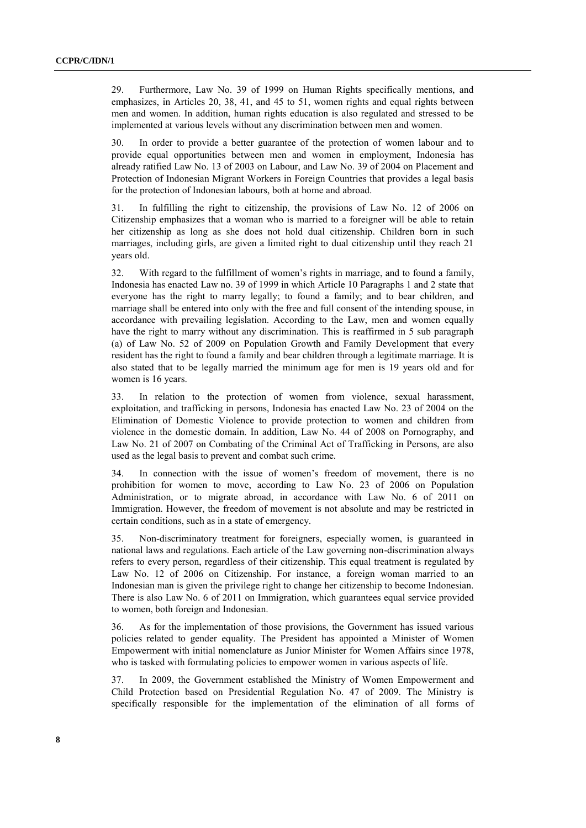29. Furthermore, Law No. 39 of 1999 on Human Rights specifically mentions, and emphasizes, in Articles 20, 38, 41, and 45 to 51, women rights and equal rights between men and women. In addition, human rights education is also regulated and stressed to be implemented at various levels without any discrimination between men and women.

30. In order to provide a better guarantee of the protection of women labour and to provide equal opportunities between men and women in employment, Indonesia has already ratified Law No. 13 of 2003 on Labour, and Law No. 39 of 2004 on Placement and Protection of Indonesian Migrant Workers in Foreign Countries that provides a legal basis for the protection of Indonesian labours, both at home and abroad.

31. In fulfilling the right to citizenship, the provisions of Law No. 12 of 2006 on Citizenship emphasizes that a woman who is married to a foreigner will be able to retain her citizenship as long as she does not hold dual citizenship. Children born in such marriages, including girls, are given a limited right to dual citizenship until they reach 21 years old.

32. With regard to the fulfillment of women's rights in marriage, and to found a family, Indonesia has enacted Law no. 39 of 1999 in which Article 10 Paragraphs 1 and 2 state that everyone has the right to marry legally; to found a family; and to bear children, and marriage shall be entered into only with the free and full consent of the intending spouse, in accordance with prevailing legislation. According to the Law, men and women equally have the right to marry without any discrimination. This is reaffirmed in 5 sub paragraph (a) of Law No. 52 of 2009 on Population Growth and Family Development that every resident has the right to found a family and bear children through a legitimate marriage. It is also stated that to be legally married the minimum age for men is 19 years old and for women is 16 years.

33. In relation to the protection of women from violence, sexual harassment, exploitation, and trafficking in persons, Indonesia has enacted Law No. 23 of 2004 on the Elimination of Domestic Violence to provide protection to women and children from violence in the domestic domain. In addition, Law No. 44 of 2008 on Pornography, and Law No. 21 of 2007 on Combating of the Criminal Act of Trafficking in Persons, are also used as the legal basis to prevent and combat such crime.

34. In connection with the issue of women's freedom of movement, there is no prohibition for women to move, according to Law No. 23 of 2006 on Population Administration, or to migrate abroad, in accordance with Law No. 6 of 2011 on Immigration. However, the freedom of movement is not absolute and may be restricted in certain conditions, such as in a state of emergency.

35. Non-discriminatory treatment for foreigners, especially women, is guaranteed in national laws and regulations. Each article of the Law governing non-discrimination always refers to every person, regardless of their citizenship. This equal treatment is regulated by Law No. 12 of 2006 on Citizenship. For instance, a foreign woman married to an Indonesian man is given the privilege right to change her citizenship to become Indonesian. There is also Law No. 6 of 2011 on Immigration, which guarantees equal service provided to women, both foreign and Indonesian.

36. As for the implementation of those provisions, the Government has issued various policies related to gender equality. The President has appointed a Minister of Women Empowerment with initial nomenclature as Junior Minister for Women Affairs since 1978, who is tasked with formulating policies to empower women in various aspects of life.

37. In 2009, the Government established the Ministry of Women Empowerment and Child Protection based on Presidential Regulation No. 47 of 2009. The Ministry is specifically responsible for the implementation of the elimination of all forms of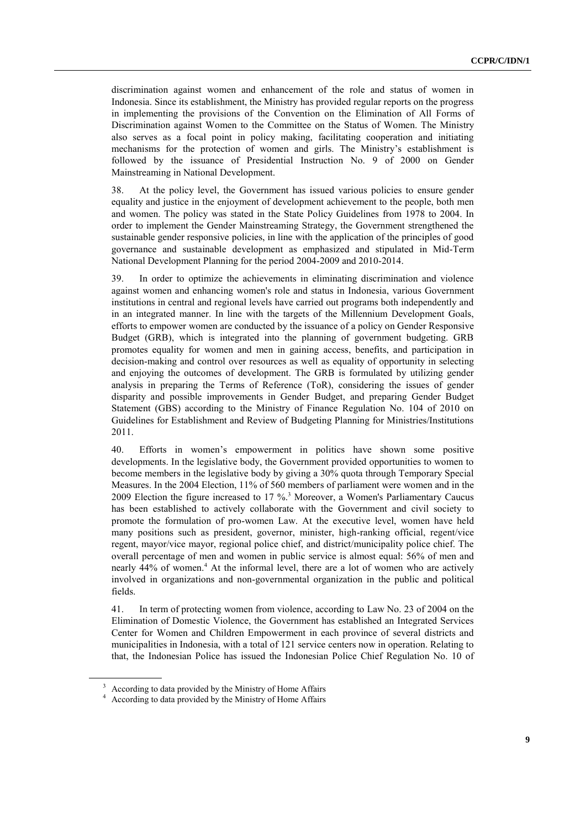discrimination against women and enhancement of the role and status of women in Indonesia. Since its establishment, the Ministry has provided regular reports on the progress in implementing the provisions of the Convention on the Elimination of All Forms of Discrimination against Women to the Committee on the Status of Women. The Ministry also serves as a focal point in policy making, facilitating cooperation and initiating mechanisms for the protection of women and girls. The Ministry's establishment is followed by the issuance of Presidential Instruction No. 9 of 2000 on Gender Mainstreaming in National Development.

38. At the policy level, the Government has issued various policies to ensure gender equality and justice in the enjoyment of development achievement to the people, both men and women. The policy was stated in the State Policy Guidelines from 1978 to 2004. In order to implement the Gender Mainstreaming Strategy, the Government strengthened the sustainable gender responsive policies, in line with the application of the principles of good governance and sustainable development as emphasized and stipulated in Mid-Term National Development Planning for the period 2004-2009 and 2010-2014.

39. In order to optimize the achievements in eliminating discrimination and violence against women and enhancing women's role and status in Indonesia, various Government institutions in central and regional levels have carried out programs both independently and in an integrated manner. In line with the targets of the Millennium Development Goals, efforts to empower women are conducted by the issuance of a policy on Gender Responsive Budget (GRB), which is integrated into the planning of government budgeting. GRB promotes equality for women and men in gaining access, benefits, and participation in decision-making and control over resources as well as equality of opportunity in selecting and enjoying the outcomes of development. The GRB is formulated by utilizing gender analysis in preparing the Terms of Reference (ToR), considering the issues of gender disparity and possible improvements in Gender Budget, and preparing Gender Budget Statement (GBS) according to the Ministry of Finance Regulation No. 104 of 2010 on Guidelines for Establishment and Review of Budgeting Planning for Ministries/Institutions 2011.

40. Efforts in women's empowerment in politics have shown some positive developments. In the legislative body, the Government provided opportunities to women to become members in the legislative body by giving a 30% quota through Temporary Special Measures. In the 2004 Election, 11% of 560 members of parliament were women and in the 2009 Election the figure increased to 17 %.<sup>3</sup> Moreover, a Women's Parliamentary Caucus has been established to actively collaborate with the Government and civil society to promote the formulation of pro-women Law. At the executive level, women have held many positions such as president, governor, minister, high-ranking official, regent/vice regent, mayor/vice mayor, regional police chief, and district/municipality police chief. The overall percentage of men and women in public service is almost equal: 56% of men and nearly 44% of women. <sup>4</sup> At the informal level, there are a lot of women who are actively involved in organizations and non-governmental organization in the public and political fields.

41. In term of protecting women from violence, according to Law No. 23 of 2004 on the Elimination of Domestic Violence, the Government has established an Integrated Services Center for Women and Children Empowerment in each province of several districts and municipalities in Indonesia, with a total of 121 service centers now in operation. Relating to that, the Indonesian Police has issued the Indonesian Police Chief Regulation No. 10 of

<sup>&</sup>lt;sup>3</sup> According to data provided by the Ministry of Home Affairs

<sup>4</sup> According to data provided by the Ministry of Home Affairs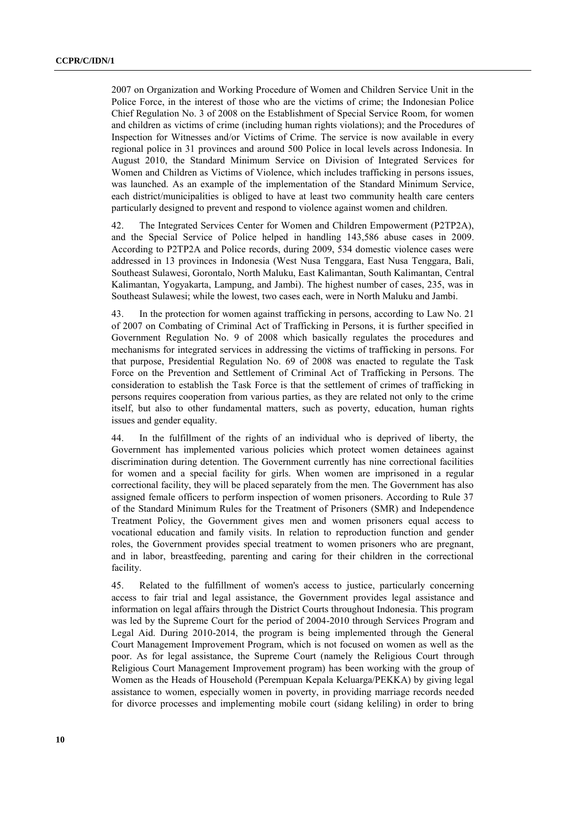2007 on Organization and Working Procedure of Women and Children Service Unit in the Police Force, in the interest of those who are the victims of crime; the Indonesian Police Chief Regulation No. 3 of 2008 on the Establishment of Special Service Room, for women and children as victims of crime (including human rights violations); and the Procedures of Inspection for Witnesses and/or Victims of Crime. The service is now available in every regional police in 31 provinces and around 500 Police in local levels across Indonesia. In August 2010, the Standard Minimum Service on Division of Integrated Services for Women and Children as Victims of Violence, which includes trafficking in persons issues, was launched. As an example of the implementation of the Standard Minimum Service, each district/municipalities is obliged to have at least two community health care centers particularly designed to prevent and respond to violence against women and children.

42. The Integrated Services Center for Women and Children Empowerment (P2TP2A), and the Special Service of Police helped in handling 143,586 abuse cases in 2009. According to P2TP2A and Police records, during 2009, 534 domestic violence cases were addressed in 13 provinces in Indonesia (West Nusa Tenggara, East Nusa Tenggara, Bali, Southeast Sulawesi, Gorontalo, North Maluku, East Kalimantan, South Kalimantan, Central Kalimantan, Yogyakarta, Lampung, and Jambi). The highest number of cases, 235, was in Southeast Sulawesi; while the lowest, two cases each, were in North Maluku and Jambi.

43. In the protection for women against trafficking in persons, according to Law No. 21 of 2007 on Combating of Criminal Act of Trafficking in Persons, it is further specified in Government Regulation No. 9 of 2008 which basically regulates the procedures and mechanisms for integrated services in addressing the victims of trafficking in persons. For that purpose, Presidential Regulation No. 69 of 2008 was enacted to regulate the Task Force on the Prevention and Settlement of Criminal Act of Trafficking in Persons. The consideration to establish the Task Force is that the settlement of crimes of trafficking in persons requires cooperation from various parties, as they are related not only to the crime itself, but also to other fundamental matters, such as poverty, education, human rights issues and gender equality.

44. In the fulfillment of the rights of an individual who is deprived of liberty, the Government has implemented various policies which protect women detainees against discrimination during detention. The Government currently has nine correctional facilities for women and a special facility for girls. When women are imprisoned in a regular correctional facility, they will be placed separately from the men. The Government has also assigned female officers to perform inspection of women prisoners. According to Rule 37 of the Standard Minimum Rules for the Treatment of Prisoners (SMR) and Independence Treatment Policy, the Government gives men and women prisoners equal access to vocational education and family visits. In relation to reproduction function and gender roles, the Government provides special treatment to women prisoners who are pregnant, and in labor, breastfeeding, parenting and caring for their children in the correctional facility.

45. Related to the fulfillment of women's access to justice, particularly concerning access to fair trial and legal assistance, the Government provides legal assistance and information on legal affairs through the District Courts throughout Indonesia. This program was led by the Supreme Court for the period of 2004-2010 through Services Program and Legal Aid. During 2010-2014, the program is being implemented through the General Court Management Improvement Program, which is not focused on women as well as the poor. As for legal assistance, the Supreme Court (namely the Religious Court through Religious Court Management Improvement program) has been working with the group of Women as the Heads of Household (Perempuan Kepala Keluarga/PEKKA) by giving legal assistance to women, especially women in poverty, in providing marriage records needed for divorce processes and implementing mobile court (sidang keliling) in order to bring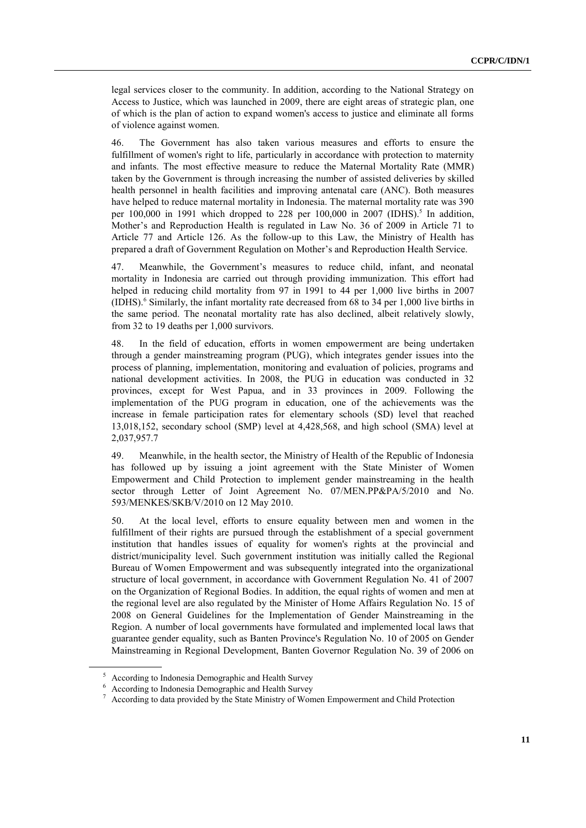legal services closer to the community. In addition, according to the National Strategy on Access to Justice, which was launched in 2009, there are eight areas of strategic plan, one of which is the plan of action to expand women's access to justice and eliminate all forms of violence against women.

46. The Government has also taken various measures and efforts to ensure the fulfillment of women's right to life, particularly in accordance with protection to maternity and infants. The most effective measure to reduce the Maternal Mortality Rate (MMR) taken by the Government is through increasing the number of assisted deliveries by skilled health personnel in health facilities and improving antenatal care (ANC). Both measures have helped to reduce maternal mortality in Indonesia. The maternal mortality rate was 390 per 100,000 in 1991 which dropped to 228 per 100,000 in 2007 (IDHS).<sup>5</sup> In addition, Mother's and Reproduction Health is regulated in Law No. 36 of 2009 in Article 71 to Article 77 and Article 126. As the follow-up to this Law, the Ministry of Health has prepared a draft of Government Regulation on Mother's and Reproduction Health Service.

47. Meanwhile, the Government's measures to reduce child, infant, and neonatal mortality in Indonesia are carried out through providing immunization. This effort had helped in reducing child mortality from 97 in 1991 to 44 per 1,000 live births in 2007  $(IDHS)$ .<sup>6</sup> Similarly, the infant mortality rate decreased from 68 to 34 per 1,000 live births in the same period. The neonatal mortality rate has also declined, albeit relatively slowly, from 32 to 19 deaths per 1,000 survivors.

48. In the field of education, efforts in women empowerment are being undertaken through a gender mainstreaming program (PUG), which integrates gender issues into the process of planning, implementation, monitoring and evaluation of policies, programs and national development activities. In 2008, the PUG in education was conducted in 32 provinces, except for West Papua, and in 33 provinces in 2009. Following the implementation of the PUG program in education, one of the achievements was the increase in female participation rates for elementary schools (SD) level that reached 13,018,152, secondary school (SMP) level at 4,428,568, and high school (SMA) level at 2,037,957.7

49. Meanwhile, in the health sector, the Ministry of Health of the Republic of Indonesia has followed up by issuing a joint agreement with the State Minister of Women Empowerment and Child Protection to implement gender mainstreaming in the health sector through Letter of Joint Agreement No. 07/MEN.PP&PA/5/2010 and No. 593/MENKES/SKB/V/2010 on 12 May 2010.

50. At the local level, efforts to ensure equality between men and women in the fulfillment of their rights are pursued through the establishment of a special government institution that handles issues of equality for women's rights at the provincial and district/municipality level. Such government institution was initially called the Regional Bureau of Women Empowerment and was subsequently integrated into the organizational structure of local government, in accordance with Government Regulation No. 41 of 2007 on the Organization of Regional Bodies. In addition, the equal rights of women and men at the regional level are also regulated by the Minister of Home Affairs Regulation No. 15 of 2008 on General Guidelines for the Implementation of Gender Mainstreaming in the Region. A number of local governments have formulated and implemented local laws that guarantee gender equality, such as Banten Province's Regulation No. 10 of 2005 on Gender Mainstreaming in Regional Development, Banten Governor Regulation No. 39 of 2006 on

<sup>5</sup> According to Indonesia Demographic and Health Survey

<sup>6</sup> According to Indonesia Demographic and Health Survey

<sup>7</sup> According to data provided by the State Ministry of Women Empowerment and Child Protection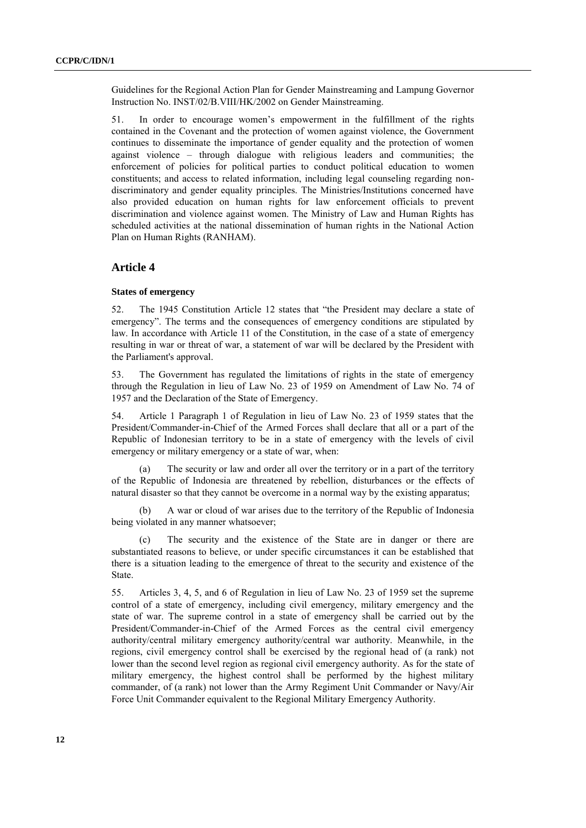Guidelines for the Regional Action Plan for Gender Mainstreaming and Lampung Governor Instruction No. INST/02/B.VIII/HK/2002 on Gender Mainstreaming.

51. In order to encourage women's empowerment in the fulfillment of the rights contained in the Covenant and the protection of women against violence, the Government continues to disseminate the importance of gender equality and the protection of women against violence – through dialogue with religious leaders and communities; the enforcement of policies for political parties to conduct political education to women constituents; and access to related information, including legal counseling regarding nondiscriminatory and gender equality principles. The Ministries/Institutions concerned have also provided education on human rights for law enforcement officials to prevent discrimination and violence against women. The Ministry of Law and Human Rights has scheduled activities at the national dissemination of human rights in the National Action Plan on Human Rights (RANHAM).

## **Article 4**

#### **States of emergency**

52. The 1945 Constitution Article 12 states that "the President may declare a state of emergency". The terms and the consequences of emergency conditions are stipulated by law. In accordance with Article 11 of the Constitution, in the case of a state of emergency resulting in war or threat of war, a statement of war will be declared by the President with the Parliament's approval.

53. The Government has regulated the limitations of rights in the state of emergency through the Regulation in lieu of Law No. 23 of 1959 on Amendment of Law No. 74 of 1957 and the Declaration of the State of Emergency.

54. Article 1 Paragraph 1 of Regulation in lieu of Law No. 23 of 1959 states that the President/Commander-in-Chief of the Armed Forces shall declare that all or a part of the Republic of Indonesian territory to be in a state of emergency with the levels of civil emergency or military emergency or a state of war, when:

(a) The security or law and order all over the territory or in a part of the territory of the Republic of Indonesia are threatened by rebellion, disturbances or the effects of natural disaster so that they cannot be overcome in a normal way by the existing apparatus;

(b) A war or cloud of war arises due to the territory of the Republic of Indonesia being violated in any manner whatsoever;

(c) The security and the existence of the State are in danger or there are substantiated reasons to believe, or under specific circumstances it can be established that there is a situation leading to the emergence of threat to the security and existence of the State.

55. Articles 3, 4, 5, and 6 of Regulation in lieu of Law No. 23 of 1959 set the supreme control of a state of emergency, including civil emergency, military emergency and the state of war. The supreme control in a state of emergency shall be carried out by the President/Commander-in-Chief of the Armed Forces as the central civil emergency authority/central military emergency authority/central war authority. Meanwhile, in the regions, civil emergency control shall be exercised by the regional head of (a rank) not lower than the second level region as regional civil emergency authority. As for the state of military emergency, the highest control shall be performed by the highest military commander, of (a rank) not lower than the Army Regiment Unit Commander or Navy/Air Force Unit Commander equivalent to the Regional Military Emergency Authority.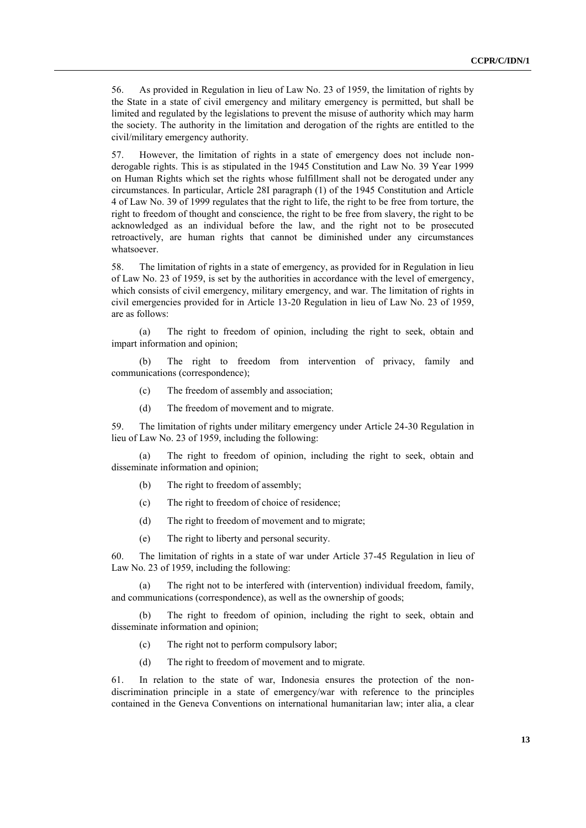56. As provided in Regulation in lieu of Law No. 23 of 1959, the limitation of rights by the State in a state of civil emergency and military emergency is permitted, but shall be limited and regulated by the legislations to prevent the misuse of authority which may harm the society. The authority in the limitation and derogation of the rights are entitled to the civil/military emergency authority.

57. However, the limitation of rights in a state of emergency does not include nonderogable rights. This is as stipulated in the 1945 Constitution and Law No. 39 Year 1999 on Human Rights which set the rights whose fulfillment shall not be derogated under any circumstances. In particular, Article 28I paragraph (1) of the 1945 Constitution and Article 4 of Law No. 39 of 1999 regulates that the right to life, the right to be free from torture, the right to freedom of thought and conscience, the right to be free from slavery, the right to be acknowledged as an individual before the law, and the right not to be prosecuted retroactively, are human rights that cannot be diminished under any circumstances whatsoever.

58. The limitation of rights in a state of emergency, as provided for in Regulation in lieu of Law No. 23 of 1959, is set by the authorities in accordance with the level of emergency, which consists of civil emergency, military emergency, and war. The limitation of rights in civil emergencies provided for in Article 13-20 Regulation in lieu of Law No. 23 of 1959, are as follows:

(a) The right to freedom of opinion, including the right to seek, obtain and impart information and opinion;

(b) The right to freedom from intervention of privacy, family and communications (correspondence);

- (c) The freedom of assembly and association;
- (d) The freedom of movement and to migrate.

59. The limitation of rights under military emergency under Article 24-30 Regulation in lieu of Law No. 23 of 1959, including the following:

(a) The right to freedom of opinion, including the right to seek, obtain and disseminate information and opinion;

- (b) The right to freedom of assembly;
- (c) The right to freedom of choice of residence;
- (d) The right to freedom of movement and to migrate;
- (e) The right to liberty and personal security.

60. The limitation of rights in a state of war under Article 37-45 Regulation in lieu of Law No. 23 of 1959, including the following:

(a) The right not to be interfered with (intervention) individual freedom, family, and communications (correspondence), as well as the ownership of goods;

(b) The right to freedom of opinion, including the right to seek, obtain and disseminate information and opinion;

- (c) The right not to perform compulsory labor;
- (d) The right to freedom of movement and to migrate.

61. In relation to the state of war, Indonesia ensures the protection of the nondiscrimination principle in a state of emergency/war with reference to the principles contained in the Geneva Conventions on international humanitarian law; inter alia, a clear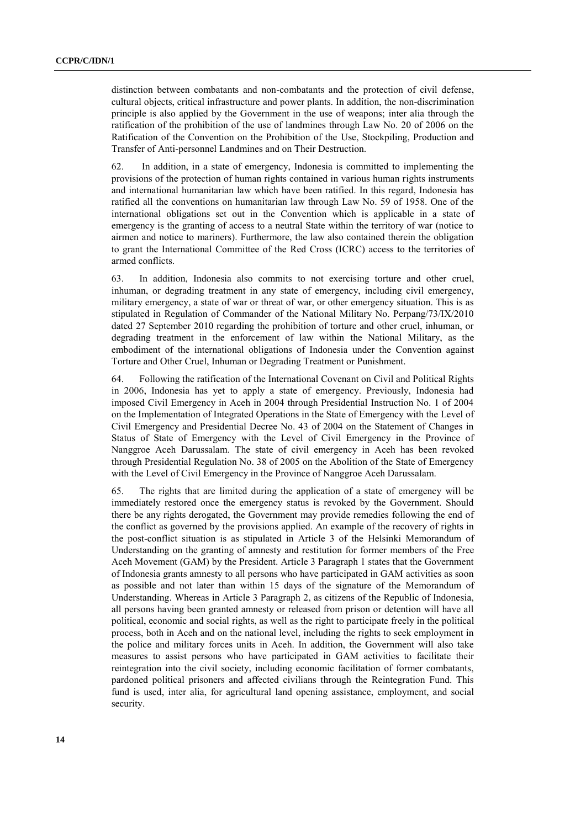distinction between combatants and non-combatants and the protection of civil defense, cultural objects, critical infrastructure and power plants. In addition, the non-discrimination principle is also applied by the Government in the use of weapons; inter alia through the ratification of the prohibition of the use of landmines through Law No. 20 of 2006 on the Ratification of the Convention on the Prohibition of the Use, Stockpiling, Production and Transfer of Anti-personnel Landmines and on Their Destruction.

62. In addition, in a state of emergency, Indonesia is committed to implementing the provisions of the protection of human rights contained in various human rights instruments and international humanitarian law which have been ratified. In this regard, Indonesia has ratified all the conventions on humanitarian law through Law No. 59 of 1958. One of the international obligations set out in the Convention which is applicable in a state of emergency is the granting of access to a neutral State within the territory of war (notice to airmen and notice to mariners). Furthermore, the law also contained therein the obligation to grant the International Committee of the Red Cross (ICRC) access to the territories of armed conflicts.

63. In addition, Indonesia also commits to not exercising torture and other cruel, inhuman, or degrading treatment in any state of emergency, including civil emergency, military emergency, a state of war or threat of war, or other emergency situation. This is as stipulated in Regulation of Commander of the National Military No. Perpang/73/IX/2010 dated 27 September 2010 regarding the prohibition of torture and other cruel, inhuman, or degrading treatment in the enforcement of law within the National Military, as the embodiment of the international obligations of Indonesia under the Convention against Torture and Other Cruel, Inhuman or Degrading Treatment or Punishment.

64. Following the ratification of the International Covenant on Civil and Political Rights in 2006, Indonesia has yet to apply a state of emergency. Previously, Indonesia had imposed Civil Emergency in Aceh in 2004 through Presidential Instruction No. 1 of 2004 on the Implementation of Integrated Operations in the State of Emergency with the Level of Civil Emergency and Presidential Decree No. 43 of 2004 on the Statement of Changes in Status of State of Emergency with the Level of Civil Emergency in the Province of Nanggroe Aceh Darussalam. The state of civil emergency in Aceh has been revoked through Presidential Regulation No. 38 of 2005 on the Abolition of the State of Emergency with the Level of Civil Emergency in the Province of Nanggroe Aceh Darussalam.

65. The rights that are limited during the application of a state of emergency will be immediately restored once the emergency status is revoked by the Government. Should there be any rights derogated, the Government may provide remedies following the end of the conflict as governed by the provisions applied. An example of the recovery of rights in the post-conflict situation is as stipulated in Article 3 of the Helsinki Memorandum of Understanding on the granting of amnesty and restitution for former members of the Free Aceh Movement (GAM) by the President. Article 3 Paragraph 1 states that the Government of Indonesia grants amnesty to all persons who have participated in GAM activities as soon as possible and not later than within 15 days of the signature of the Memorandum of Understanding. Whereas in Article 3 Paragraph 2, as citizens of the Republic of Indonesia, all persons having been granted amnesty or released from prison or detention will have all political, economic and social rights, as well as the right to participate freely in the political process, both in Aceh and on the national level, including the rights to seek employment in the police and military forces units in Aceh. In addition, the Government will also take measures to assist persons who have participated in GAM activities to facilitate their reintegration into the civil society, including economic facilitation of former combatants, pardoned political prisoners and affected civilians through the Reintegration Fund. This fund is used, inter alia, for agricultural land opening assistance, employment, and social security.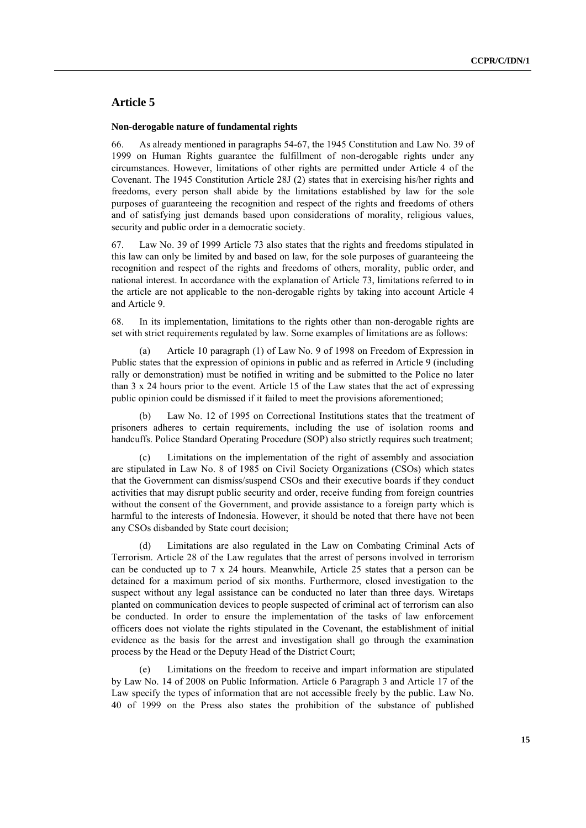## **Article 5**

#### **Non-derogable nature of fundamental rights**

66. As already mentioned in paragraphs 54-67, the 1945 Constitution and Law No. 39 of 1999 on Human Rights guarantee the fulfillment of non-derogable rights under any circumstances. However, limitations of other rights are permitted under Article 4 of the Covenant. The 1945 Constitution Article 28J (2) states that in exercising his/her rights and freedoms, every person shall abide by the limitations established by law for the sole purposes of guaranteeing the recognition and respect of the rights and freedoms of others and of satisfying just demands based upon considerations of morality, religious values, security and public order in a democratic society.

67. Law No. 39 of 1999 Article 73 also states that the rights and freedoms stipulated in this law can only be limited by and based on law, for the sole purposes of guaranteeing the recognition and respect of the rights and freedoms of others, morality, public order, and national interest. In accordance with the explanation of Article 73, limitations referred to in the article are not applicable to the non-derogable rights by taking into account Article 4 and Article 9.

68. In its implementation, limitations to the rights other than non-derogable rights are set with strict requirements regulated by law. Some examples of limitations are as follows:

Article 10 paragraph (1) of Law No. 9 of 1998 on Freedom of Expression in Public states that the expression of opinions in public and as referred in Article 9 (including rally or demonstration) must be notified in writing and be submitted to the Police no later than 3 x 24 hours prior to the event. Article 15 of the Law states that the act of expressing public opinion could be dismissed if it failed to meet the provisions aforementioned;

Law No. 12 of 1995 on Correctional Institutions states that the treatment of prisoners adheres to certain requirements, including the use of isolation rooms and handcuffs. Police Standard Operating Procedure (SOP) also strictly requires such treatment;

Limitations on the implementation of the right of assembly and association are stipulated in Law No. 8 of 1985 on Civil Society Organizations (CSOs) which states that the Government can dismiss/suspend CSOs and their executive boards if they conduct activities that may disrupt public security and order, receive funding from foreign countries without the consent of the Government, and provide assistance to a foreign party which is harmful to the interests of Indonesia. However, it should be noted that there have not been any CSOs disbanded by State court decision;

Limitations are also regulated in the Law on Combating Criminal Acts of Terrorism. Article 28 of the Law regulates that the arrest of persons involved in terrorism can be conducted up to 7 x 24 hours. Meanwhile, Article 25 states that a person can be detained for a maximum period of six months. Furthermore, closed investigation to the suspect without any legal assistance can be conducted no later than three days. Wiretaps planted on communication devices to people suspected of criminal act of terrorism can also be conducted. In order to ensure the implementation of the tasks of law enforcement officers does not violate the rights stipulated in the Covenant, the establishment of initial evidence as the basis for the arrest and investigation shall go through the examination process by the Head or the Deputy Head of the District Court;

Limitations on the freedom to receive and impart information are stipulated by Law No. 14 of 2008 on Public Information. Article 6 Paragraph 3 and Article 17 of the Law specify the types of information that are not accessible freely by the public. Law No. 40 of 1999 on the Press also states the prohibition of the substance of published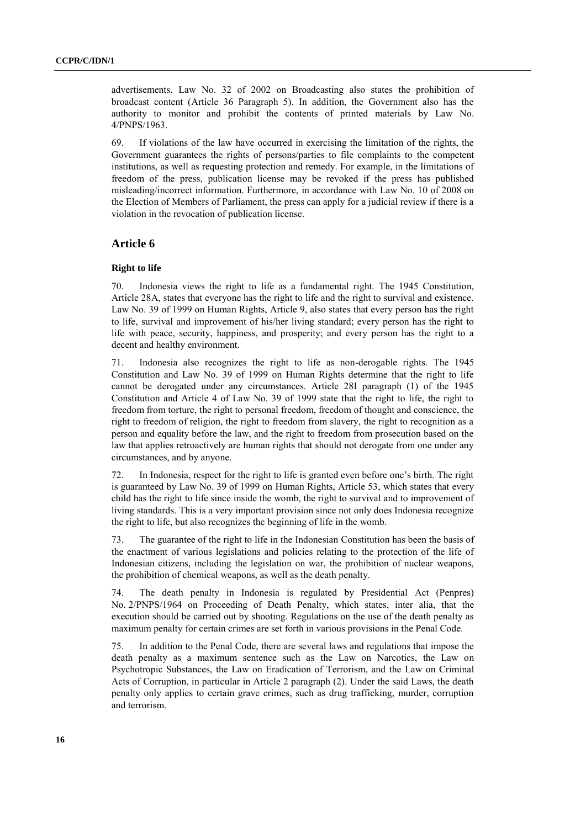advertisements. Law No. 32 of 2002 on Broadcasting also states the prohibition of broadcast content (Article 36 Paragraph 5). In addition, the Government also has the authority to monitor and prohibit the contents of printed materials by Law No. 4/PNPS/1963.

69. If violations of the law have occurred in exercising the limitation of the rights, the Government guarantees the rights of persons/parties to file complaints to the competent institutions, as well as requesting protection and remedy. For example, in the limitations of freedom of the press, publication license may be revoked if the press has published misleading/incorrect information. Furthermore, in accordance with Law No. 10 of 2008 on the Election of Members of Parliament, the press can apply for a judicial review if there is a violation in the revocation of publication license.

## **Article 6**

#### **Right to life**

70. Indonesia views the right to life as a fundamental right. The 1945 Constitution, Article 28A, states that everyone has the right to life and the right to survival and existence. Law No. 39 of 1999 on Human Rights, Article 9, also states that every person has the right to life, survival and improvement of his/her living standard; every person has the right to life with peace, security, happiness, and prosperity; and every person has the right to a decent and healthy environment.

71. Indonesia also recognizes the right to life as non-derogable rights. The 1945 Constitution and Law No. 39 of 1999 on Human Rights determine that the right to life cannot be derogated under any circumstances. Article 28I paragraph (1) of the 1945 Constitution and Article 4 of Law No. 39 of 1999 state that the right to life, the right to freedom from torture, the right to personal freedom, freedom of thought and conscience, the right to freedom of religion, the right to freedom from slavery, the right to recognition as a person and equality before the law, and the right to freedom from prosecution based on the law that applies retroactively are human rights that should not derogate from one under any circumstances, and by anyone.

72. In Indonesia, respect for the right to life is granted even before one's birth. The right is guaranteed by Law No. 39 of 1999 on Human Rights, Article 53, which states that every child has the right to life since inside the womb, the right to survival and to improvement of living standards. This is a very important provision since not only does Indonesia recognize the right to life, but also recognizes the beginning of life in the womb.

73. The guarantee of the right to life in the Indonesian Constitution has been the basis of the enactment of various legislations and policies relating to the protection of the life of Indonesian citizens, including the legislation on war, the prohibition of nuclear weapons, the prohibition of chemical weapons, as well as the death penalty.

74. The death penalty in Indonesia is regulated by Presidential Act (Penpres) No. 2/PNPS/1964 on Proceeding of Death Penalty, which states, inter alia, that the execution should be carried out by shooting. Regulations on the use of the death penalty as maximum penalty for certain crimes are set forth in various provisions in the Penal Code.

75. In addition to the Penal Code, there are several laws and regulations that impose the death penalty as a maximum sentence such as the Law on Narcotics, the Law on Psychotropic Substances, the Law on Eradication of Terrorism, and the Law on Criminal Acts of Corruption, in particular in Article 2 paragraph (2). Under the said Laws, the death penalty only applies to certain grave crimes, such as drug trafficking, murder, corruption and terrorism.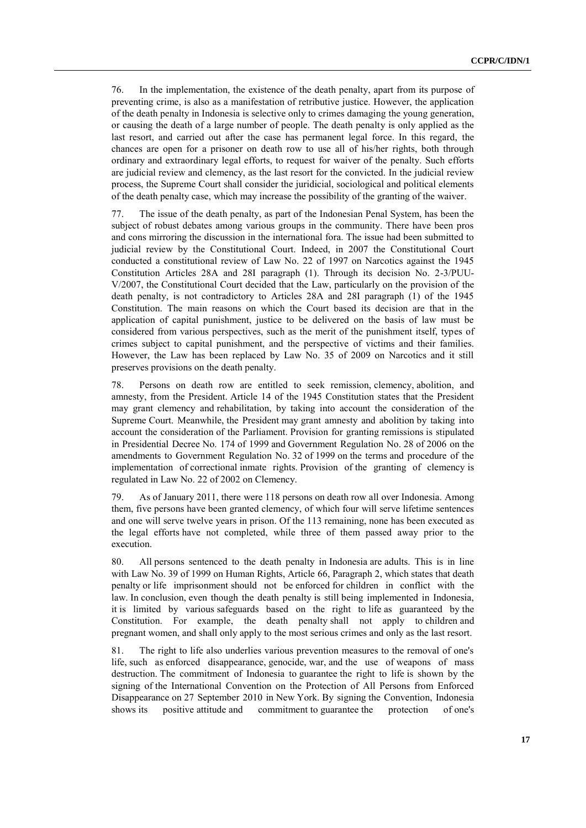76. In the implementation, the existence of the death penalty, apart from its purpose of preventing crime, is also as a manifestation of retributive justice. However, the application of the death penalty in Indonesia is selective only to crimes damaging the young generation, or causing the death of a large number of people. The death penalty is only applied as the last resort, and carried out after the case has permanent legal force. In this regard, the chances are open for a prisoner on death row to use all of his/her rights, both through ordinary and extraordinary legal efforts, to request for waiver of the penalty. Such efforts are judicial review and clemency, as the last resort for the convicted. In the judicial review process, the Supreme Court shall consider the juridicial, sociological and political elements of the death penalty case, which may increase the possibility of the granting of the waiver.

77. The issue of the death penalty, as part of the Indonesian Penal System, has been the subject of robust debates among various groups in the community. There have been pros and cons mirroring the discussion in the international fora. The issue had been submitted to judicial review by the Constitutional Court. Indeed, in 2007 the Constitutional Court conducted a constitutional review of Law No. 22 of 1997 on Narcotics against the 1945 Constitution Articles 28A and 28I paragraph (1). Through its decision No. 2-3/PUU-V/2007, the Constitutional Court decided that the Law, particularly on the provision of the death penalty, is not contradictory to Articles 28A and 28I paragraph (1) of the 1945 Constitution. The main reasons on which the Court based its decision are that in the application of capital punishment, justice to be delivered on the basis of law must be considered from various perspectives, such as the merit of the punishment itself, types of crimes subject to capital punishment, and the perspective of victims and their families. However, the Law has been replaced by Law No. 35 of 2009 on Narcotics and it still preserves provisions on the death penalty.

78. Persons on death row are entitled to seek remission, clemency, abolition, and amnesty, from the President. Article 14 of the 1945 Constitution states that the President may grant clemency and rehabilitation, by taking into account the consideration of the Supreme Court. Meanwhile, the President may grant amnesty and abolition by taking into account the consideration of the Parliament. Provision for granting remissions is stipulated in Presidential Decree No. 174 of 1999 and Government Regulation No. 28 of 2006 on the amendments to Government Regulation No. 32 of 1999 on the terms and procedure of the implementation of correctional inmate rights. Provision of the granting of clemency is regulated in Law No. 22 of 2002 on Clemency.

79. As of January 2011, there were 118 persons on death row all over Indonesia. Among them, five persons have been granted clemency, of which four will serve lifetime sentences and one will serve twelve years in prison. Of the 113 remaining, none has been executed as the legal efforts have not completed, while three of them passed away prior to the execution.

80. All persons sentenced to the death penalty in Indonesia are adults. This is in line with Law No. 39 of 1999 on Human Rights, Article 66, Paragraph 2, which states that death penalty or life imprisonment should not be enforced for children in conflict with the law. In conclusion, even though the death penalty is still being implemented in Indonesia, it is limited by various safeguards based on the right to life as guaranteed by the Constitution. For example, the death penalty shall not apply to children and pregnant women, and shall only apply to the most serious crimes and only as the last resort.

81. The right to life also underlies various prevention measures to the removal of one's life, such as enforced disappearance, genocide, war, and the use of weapons of mass destruction. The commitment of Indonesia to guarantee the right to life is shown by the signing of the International Convention on the Protection of All Persons from Enforced Disappearance on 27 September 2010 in New York. By signing the Convention, Indonesia shows its positive attitude and commitment to guarantee the protection of one's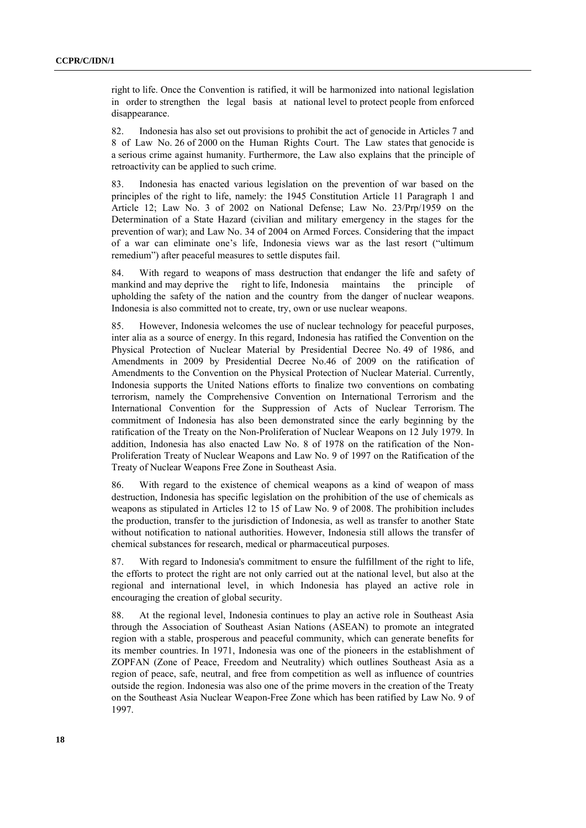right to life. Once the Convention is ratified, it will be harmonized into national legislation in order to strengthen the legal basis at national level to protect people from enforced disappearance.

82. Indonesia has also set out provisions to prohibit the act of genocide in Articles 7 and 8 of Law No. 26 of 2000 on the Human Rights Court. The Law states that genocide is a serious crime against humanity. Furthermore, the Law also explains that the principle of retroactivity can be applied to such crime.

83. Indonesia has enacted various legislation on the prevention of war based on the principles of the right to life, namely: the 1945 Constitution Article 11 Paragraph 1 and Article 12; Law No. 3 of 2002 on National Defense; Law No. 23/Prp/1959 on the Determination of a State Hazard (civilian and military emergency in the stages for the prevention of war); and Law No. 34 of 2004 on Armed Forces. Considering that the impact of a war can eliminate one's life, Indonesia views war as the last resort ("ultimum remedium") after peaceful measures to settle disputes fail.

84. With regard to weapons of mass destruction that endanger the life and safety of mankind and may deprive the right to life. Indonesia maintains the principle of right to life, Indonesia maintains the principle of upholding the safety of the nation and the country from the danger of nuclear weapons. Indonesia is also committed not to create, try, own or use nuclear weapons.

85. However, Indonesia welcomes the use of nuclear technology for peaceful purposes, inter alia as a source of energy. In this regard, Indonesia has ratified the Convention on the Physical Protection of Nuclear Material by Presidential Decree No. 49 of 1986, and Amendments in 2009 by Presidential Decree No.46 of 2009 on the ratification of Amendments to the Convention on the Physical Protection of Nuclear Material. Currently, Indonesia supports the United Nations efforts to finalize two conventions on combating terrorism, namely the Comprehensive Convention on International Terrorism and the International Convention for the Suppression of Acts of Nuclear Terrorism. The commitment of Indonesia has also been demonstrated since the early beginning by the ratification of the Treaty on the Non-Proliferation of Nuclear Weapons on 12 July 1979. In addition, Indonesia has also enacted Law No. 8 of 1978 on the ratification of the Non-Proliferation Treaty of Nuclear Weapons and Law No. 9 of 1997 on the Ratification of the Treaty of Nuclear Weapons Free Zone in Southeast Asia.

86. With regard to the existence of chemical weapons as a kind of weapon of mass destruction, Indonesia has specific legislation on the prohibition of the use of chemicals as weapons as stipulated in Articles 12 to 15 of Law No. 9 of 2008. The prohibition includes the production, transfer to the jurisdiction of Indonesia, as well as transfer to another State without notification to national authorities. However, Indonesia still allows the transfer of chemical substances for research, medical or pharmaceutical purposes.

87. With regard to Indonesia's commitment to ensure the fulfillment of the right to life, the efforts to protect the right are not only carried out at the national level, but also at the regional and international level, in which Indonesia has played an active role in encouraging the creation of global security.

88. At the regional level, Indonesia continues to play an active role in Southeast Asia through the Association of Southeast Asian Nations (ASEAN) to promote an integrated region with a stable, prosperous and peaceful community, which can generate benefits for its member countries. In 1971, Indonesia was one of the pioneers in the establishment of ZOPFAN (Zone of Peace, Freedom and Neutrality) which outlines Southeast Asia as a region of peace, safe, neutral, and free from competition as well as influence of countries outside the region. Indonesia was also one of the prime movers in the creation of the Treaty on the Southeast Asia Nuclear Weapon-Free Zone which has been ratified by Law No. 9 of 1997.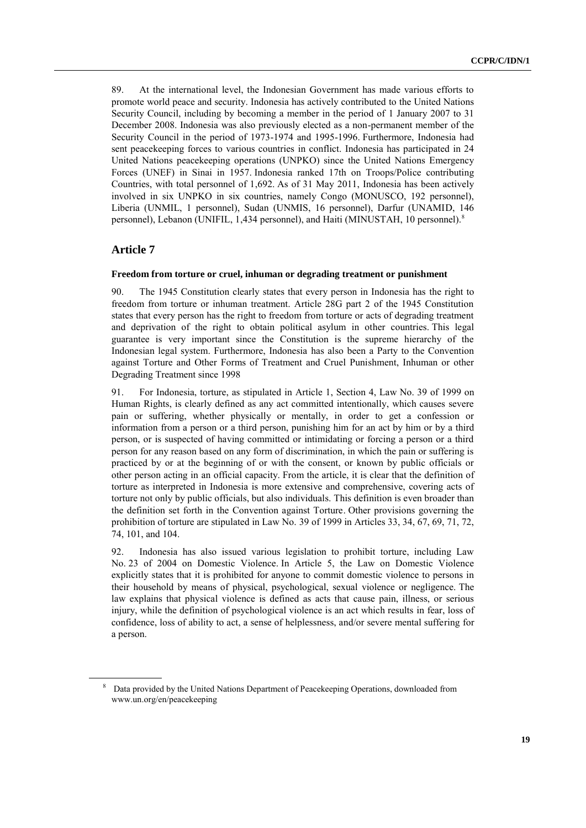89. At the international level, the Indonesian Government has made various efforts to promote world peace and security. Indonesia has actively contributed to the United Nations Security Council, including by becoming a member in the period of 1 January 2007 to 31 December 2008. Indonesia was also previously elected as a non-permanent member of the Security Council in the period of 1973-1974 and 1995-1996. Furthermore, Indonesia had sent peacekeeping forces to various countries in conflict. Indonesia has participated in 24 United Nations peacekeeping operations (UNPKO) since the United Nations Emergency Forces (UNEF) in Sinai in 1957. Indonesia ranked 17th on Troops/Police contributing Countries, with total personnel of 1,692. As of 31 May 2011, Indonesia has been actively involved in six UNPKO in six countries, namely Congo (MONUSCO, 192 personnel), Liberia (UNMIL, 1 personnel), Sudan (UNMIS, 16 personnel), Darfur (UNAMID, 146 personnel), Lebanon (UNIFIL, 1,434 personnel), and Haiti (MINUSTAH, 10 personnel).<sup>8</sup>

## **Article 7**

#### **Freedom from torture or cruel, inhuman or degrading treatment or punishment**

90. The 1945 Constitution clearly states that every person in Indonesia has the right to freedom from torture or inhuman treatment. Article 28G part 2 of the 1945 Constitution states that every person has the right to freedom from torture or acts of degrading treatment and deprivation of the right to obtain political asylum in other countries. This legal guarantee is very important since the Constitution is the supreme hierarchy of the Indonesian legal system. Furthermore, Indonesia has also been a Party to the Convention against Torture and Other Forms of Treatment and Cruel Punishment, Inhuman or other Degrading Treatment since 1998

91. For Indonesia, torture, as stipulated in Article 1, Section 4, Law No. 39 of 1999 on Human Rights, is clearly defined as any act committed intentionally, which causes severe pain or suffering, whether physically or mentally, in order to get a confession or information from a person or a third person, punishing him for an act by him or by a third person, or is suspected of having committed or intimidating or forcing a person or a third person for any reason based on any form of discrimination, in which the pain or suffering is practiced by or at the beginning of or with the consent, or known by public officials or other person acting in an official capacity. From the article, it is clear that the definition of torture as interpreted in Indonesia is more extensive and comprehensive, covering acts of torture not only by public officials, but also individuals. This definition is even broader than the definition set forth in the Convention against Torture. Other provisions governing the prohibition of torture are stipulated in Law No. 39 of 1999 in Articles 33, 34, 67, 69, 71, 72, 74, 101, and 104.

92. Indonesia has also issued various legislation to prohibit torture, including Law No. 23 of 2004 on Domestic Violence. In Article 5, the Law on Domestic Violence explicitly states that it is prohibited for anyone to commit domestic violence to persons in their household by means of physical, psychological, sexual violence or negligence. The law explains that physical violence is defined as acts that cause pain, illness, or serious injury, while the definition of psychological violence is an act which results in fear, loss of confidence, loss of ability to act, a sense of helplessness, and/or severe mental suffering for a person.

<sup>&</sup>lt;sup>8</sup> Data provided by the United Nations Department of Peacekeeping Operations, downloaded from www.un.org/en/peacekeeping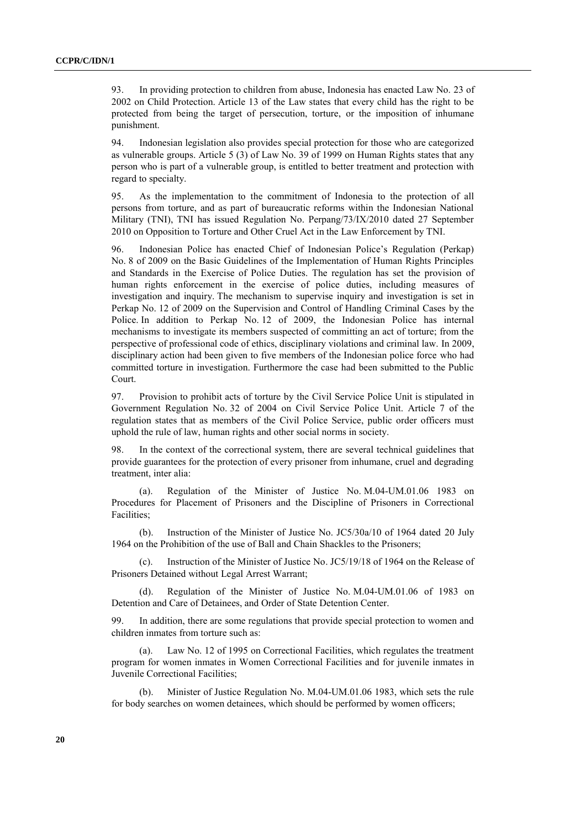93. In providing protection to children from abuse, Indonesia has enacted Law No. 23 of 2002 on Child Protection. Article 13 of the Law states that every child has the right to be protected from being the target of persecution, torture, or the imposition of inhumane punishment.

94. Indonesian legislation also provides special protection for those who are categorized as vulnerable groups. Article 5 (3) of Law No. 39 of 1999 on Human Rights states that any person who is part of a vulnerable group, is entitled to better treatment and protection with regard to specialty.

95. As the implementation to the commitment of Indonesia to the protection of all persons from torture, and as part of bureaucratic reforms within the Indonesian National Military (TNI), TNI has issued Regulation No. Perpang/73/IX/2010 dated 27 September 2010 on Opposition to Torture and Other Cruel Act in the Law Enforcement by TNI.

96. Indonesian Police has enacted Chief of Indonesian Police's Regulation (Perkap) No. 8 of 2009 on the Basic Guidelines of the Implementation of Human Rights Principles and Standards in the Exercise of Police Duties. The regulation has set the provision of human rights enforcement in the exercise of police duties, including measures of investigation and inquiry. The mechanism to supervise inquiry and investigation is set in Perkap No. 12 of 2009 on the Supervision and Control of Handling Criminal Cases by the Police. In addition to Perkap No. 12 of 2009, the Indonesian Police has internal mechanisms to investigate its members suspected of committing an act of torture; from the perspective of professional code of ethics, disciplinary violations and criminal law. In 2009, disciplinary action had been given to five members of the Indonesian police force who had committed torture in investigation. Furthermore the case had been submitted to the Public Court.

97. Provision to prohibit acts of torture by the Civil Service Police Unit is stipulated in Government Regulation No. 32 of 2004 on Civil Service Police Unit. Article 7 of the regulation states that as members of the Civil Police Service, public order officers must uphold the rule of law, human rights and other social norms in society.

98. In the context of the correctional system, there are several technical guidelines that provide guarantees for the protection of every prisoner from inhumane, cruel and degrading treatment, inter alia:

(a). Regulation of the Minister of Justice No. M.04-UM.01.06 1983 on Procedures for Placement of Prisoners and the Discipline of Prisoners in Correctional Facilities;

(b). Instruction of the Minister of Justice No. JC5/30a/10 of 1964 dated 20 July 1964 on the Prohibition of the use of Ball and Chain Shackles to the Prisoners;

(c). Instruction of the Minister of Justice No. JC5/19/18 of 1964 on the Release of Prisoners Detained without Legal Arrest Warrant;

(d). Regulation of the Minister of Justice No. M.04-UM.01.06 of 1983 on Detention and Care of Detainees, and Order of State Detention Center.

99. In addition, there are some regulations that provide special protection to women and children inmates from torture such as:

(a). Law No. 12 of 1995 on Correctional Facilities, which regulates the treatment program for women inmates in Women Correctional Facilities and for juvenile inmates in Juvenile Correctional Facilities;

Minister of Justice Regulation No. M.04-UM.01.06 1983, which sets the rule for body searches on women detainees, which should be performed by women officers;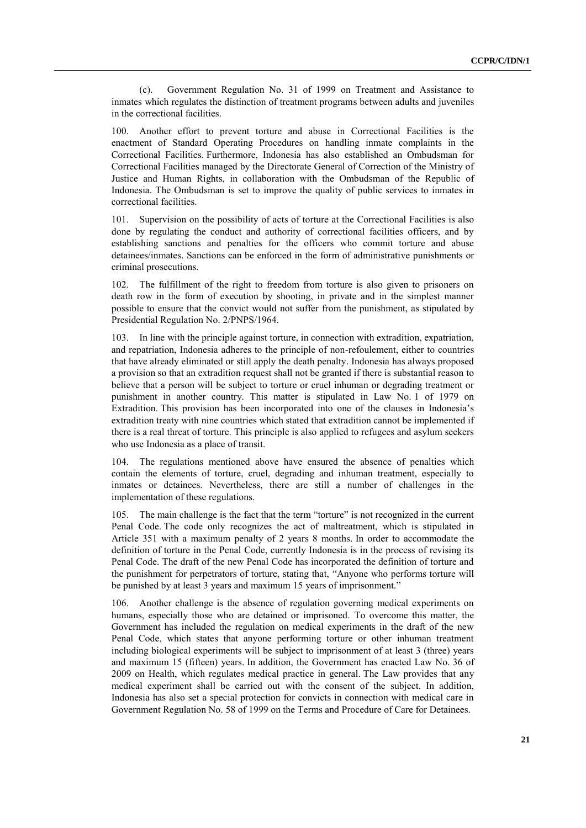(c). Government Regulation No. 31 of 1999 on Treatment and Assistance to inmates which regulates the distinction of treatment programs between adults and juveniles in the correctional facilities.

100. Another effort to prevent torture and abuse in Correctional Facilities is the enactment of Standard Operating Procedures on handling inmate complaints in the Correctional Facilities. Furthermore, Indonesia has also established an Ombudsman for Correctional Facilities managed by the Directorate General of Correction of the Ministry of Justice and Human Rights, in collaboration with the Ombudsman of the Republic of Indonesia. The Ombudsman is set to improve the quality of public services to inmates in correctional facilities.

101. Supervision on the possibility of acts of torture at the Correctional Facilities is also done by regulating the conduct and authority of correctional facilities officers, and by establishing sanctions and penalties for the officers who commit torture and abuse detainees/inmates. Sanctions can be enforced in the form of administrative punishments or criminal prosecutions.

102. The fulfillment of the right to freedom from torture is also given to prisoners on death row in the form of execution by shooting, in private and in the simplest manner possible to ensure that the convict would not suffer from the punishment, as stipulated by Presidential Regulation No. 2/PNPS/1964.

103. In line with the principle against torture, in connection with extradition, expatriation, and repatriation, Indonesia adheres to the principle of non-refoulement, either to countries that have already eliminated or still apply the death penalty. Indonesia has always proposed a provision so that an extradition request shall not be granted if there is substantial reason to believe that a person will be subject to torture or cruel inhuman or degrading treatment or punishment in another country. This matter is stipulated in Law No. 1 of 1979 on Extradition. This provision has been incorporated into one of the clauses in Indonesia's extradition treaty with nine countries which stated that extradition cannot be implemented if there is a real threat of torture. This principle is also applied to refugees and asylum seekers who use Indonesia as a place of transit.

104. The regulations mentioned above have ensured the absence of penalties which contain the elements of torture, cruel, degrading and inhuman treatment, especially to inmates or detainees. Nevertheless, there are still a number of challenges in the implementation of these regulations.

105. The main challenge is the fact that the term "torture" is not recognized in the current Penal Code. The code only recognizes the act of maltreatment, which is stipulated in Article 351 with a maximum penalty of 2 years 8 months. In order to accommodate the definition of torture in the Penal Code, currently Indonesia is in the process of revising its Penal Code. The draft of the new Penal Code has incorporated the definition of torture and the punishment for perpetrators of torture, stating that, "Anyone who performs torture will be punished by at least 3 years and maximum 15 years of imprisonment."

106. Another challenge is the absence of regulation governing medical experiments on humans, especially those who are detained or imprisoned. To overcome this matter, the Government has included the regulation on medical experiments in the draft of the new Penal Code, which states that anyone performing torture or other inhuman treatment including biological experiments will be subject to imprisonment of at least 3 (three) years and maximum 15 (fifteen) years. In addition, the Government has enacted Law No. 36 of 2009 on Health, which regulates medical practice in general. The Law provides that any medical experiment shall be carried out with the consent of the subject. In addition, Indonesia has also set a special protection for convicts in connection with medical care in Government Regulation No. 58 of 1999 on the Terms and Procedure of Care for Detainees.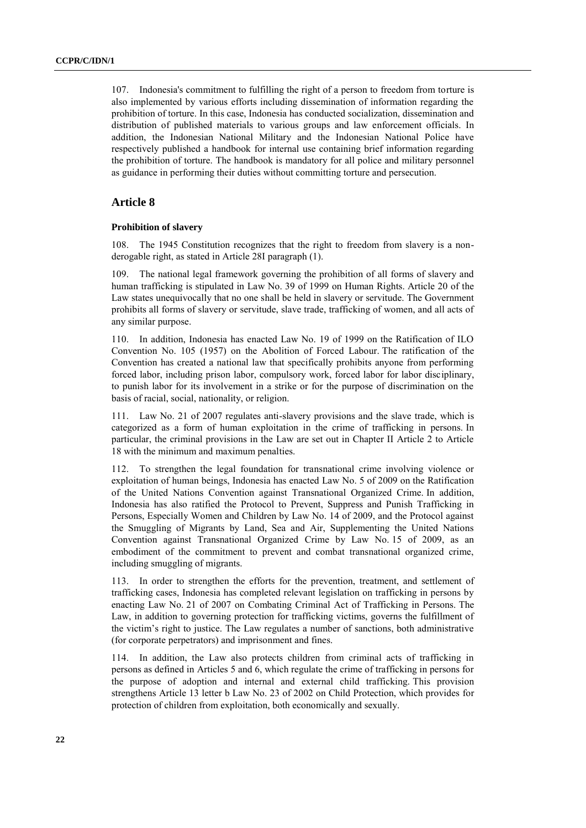107. Indonesia's commitment to fulfilling the right of a person to freedom from torture is also implemented by various efforts including dissemination of information regarding the prohibition of torture. In this case, Indonesia has conducted socialization, dissemination and distribution of published materials to various groups and law enforcement officials. In addition, the Indonesian National Military and the Indonesian National Police have respectively published a handbook for internal use containing brief information regarding the prohibition of torture. The handbook is mandatory for all police and military personnel as guidance in performing their duties without committing torture and persecution.

## **Article 8**

#### **Prohibition of slavery**

108. The 1945 Constitution recognizes that the right to freedom from slavery is a nonderogable right, as stated in Article 28I paragraph (1).

109. The national legal framework governing the prohibition of all forms of slavery and human trafficking is stipulated in Law No. 39 of 1999 on Human Rights. Article 20 of the Law states unequivocally that no one shall be held in slavery or servitude. The Government prohibits all forms of slavery or servitude, slave trade, trafficking of women, and all acts of any similar purpose.

110. In addition, Indonesia has enacted Law No. 19 of 1999 on the Ratification of ILO Convention No. 105 (1957) on the Abolition of Forced Labour. The ratification of the Convention has created a national law that specifically prohibits anyone from performing forced labor, including prison labor, compulsory work, forced labor for labor disciplinary, to punish labor for its involvement in a strike or for the purpose of discrimination on the basis of racial, social, nationality, or religion.

111. Law No. 21 of 2007 regulates anti-slavery provisions and the slave trade, which is categorized as a form of human exploitation in the crime of trafficking in persons. In particular, the criminal provisions in the Law are set out in Chapter II Article 2 to Article 18 with the minimum and maximum penalties.

112. To strengthen the legal foundation for transnational crime involving violence or exploitation of human beings, Indonesia has enacted Law No. 5 of 2009 on the Ratification of the United Nations Convention against Transnational Organized Crime. In addition, Indonesia has also ratified the Protocol to Prevent, Suppress and Punish Trafficking in Persons, Especially Women and Children by Law No. 14 of 2009, and the Protocol against the Smuggling of Migrants by Land, Sea and Air, Supplementing the United Nations Convention against Transnational Organized Crime by Law No. 15 of 2009, as an embodiment of the commitment to prevent and combat transnational organized crime, including smuggling of migrants.

113. In order to strengthen the efforts for the prevention, treatment, and settlement of trafficking cases, Indonesia has completed relevant legislation on trafficking in persons by enacting Law No. 21 of 2007 on Combating Criminal Act of Trafficking in Persons. The Law, in addition to governing protection for trafficking victims, governs the fulfillment of the victim's right to justice. The Law regulates a number of sanctions, both administrative (for corporate perpetrators) and imprisonment and fines.

114. In addition, the Law also protects children from criminal acts of trafficking in persons as defined in Articles 5 and 6, which regulate the crime of trafficking in persons for the purpose of adoption and internal and external child trafficking. This provision strengthens Article 13 letter b Law No. 23 of 2002 on Child Protection, which provides for protection of children from exploitation, both economically and sexually.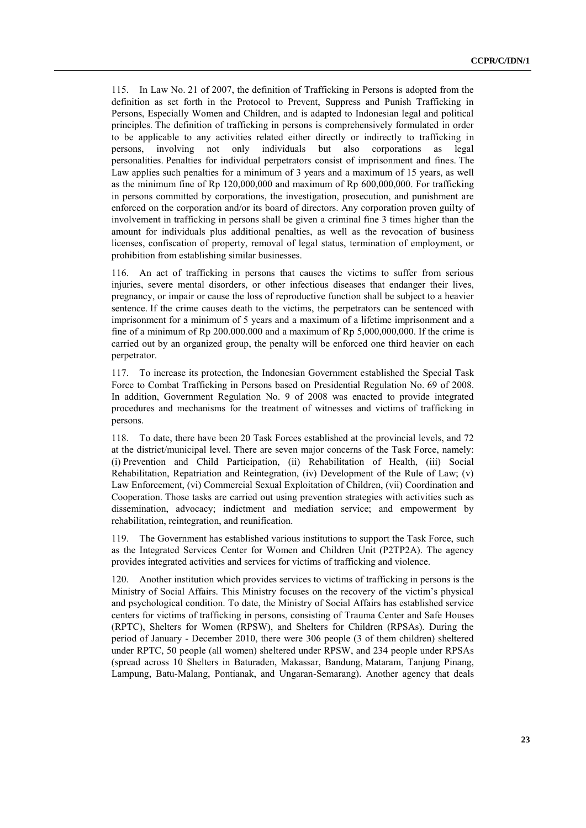115. In Law No. 21 of 2007, the definition of Trafficking in Persons is adopted from the definition as set forth in the Protocol to Prevent, Suppress and Punish Trafficking in Persons, Especially Women and Children, and is adapted to Indonesian legal and political principles. The definition of trafficking in persons is comprehensively formulated in order to be applicable to any activities related either directly or indirectly to trafficking in persons, involving not only individuals but also corporations as legal personalities. Penalties for individual perpetrators consist of imprisonment and fines. The Law applies such penalties for a minimum of 3 years and a maximum of 15 years, as well as the minimum fine of Rp 120,000,000 and maximum of Rp 600,000,000. For trafficking in persons committed by corporations, the investigation, prosecution, and punishment are enforced on the corporation and/or its board of directors. Any corporation proven guilty of involvement in trafficking in persons shall be given a criminal fine 3 times higher than the amount for individuals plus additional penalties, as well as the revocation of business licenses, confiscation of property, removal of legal status, termination of employment, or prohibition from establishing similar businesses.

116. An act of trafficking in persons that causes the victims to suffer from serious injuries, severe mental disorders, or other infectious diseases that endanger their lives, pregnancy, or impair or cause the loss of reproductive function shall be subject to a heavier sentence. If the crime causes death to the victims, the perpetrators can be sentenced with imprisonment for a minimum of 5 years and a maximum of a lifetime imprisonment and a fine of a minimum of Rp 200.000.000 and a maximum of Rp 5,000,000,000. If the crime is carried out by an organized group, the penalty will be enforced one third heavier on each perpetrator.

117. To increase its protection, the Indonesian Government established the Special Task Force to Combat Trafficking in Persons based on Presidential Regulation No. 69 of 2008. In addition, Government Regulation No. 9 of 2008 was enacted to provide integrated procedures and mechanisms for the treatment of witnesses and victims of trafficking in persons.

118. To date, there have been 20 Task Forces established at the provincial levels, and 72 at the district/municipal level. There are seven major concerns of the Task Force, namely: (i) Prevention and Child Participation, (ii) Rehabilitation of Health, (iii) Social Rehabilitation, Repatriation and Reintegration, (iv) Development of the Rule of Law; (v) Law Enforcement, (vi) Commercial Sexual Exploitation of Children, (vii) Coordination and Cooperation. Those tasks are carried out using prevention strategies with activities such as dissemination, advocacy; indictment and mediation service; and empowerment by rehabilitation, reintegration, and reunification.

119. The Government has established various institutions to support the Task Force, such as the Integrated Services Center for Women and Children Unit (P2TP2A). The agency provides integrated activities and services for victims of trafficking and violence.

120. Another institution which provides services to victims of trafficking in persons is the Ministry of Social Affairs. This Ministry focuses on the recovery of the victim's physical and psychological condition. To date, the Ministry of Social Affairs has established service centers for victims of trafficking in persons, consisting of Trauma Center and Safe Houses (RPTC), Shelters for Women (RPSW), and Shelters for Children (RPSAs). During the period of January - December 2010, there were 306 people (3 of them children) sheltered under RPTC, 50 people (all women) sheltered under RPSW, and 234 people under RPSAs (spread across 10 Shelters in Baturaden, Makassar, Bandung, Mataram, Tanjung Pinang, Lampung, Batu-Malang, Pontianak, and Ungaran-Semarang). Another agency that deals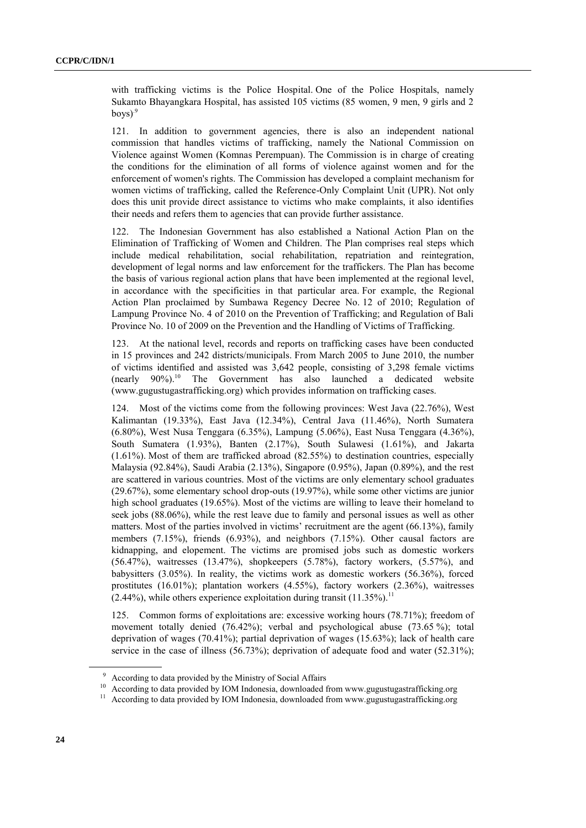with trafficking victims is the Police Hospital. One of the Police Hospitals, namely Sukamto Bhayangkara Hospital, has assisted 105 victims (85 women, 9 men, 9 girls and 2 boys)<sup>.9</sup>

121. In addition to government agencies, there is also an independent national commission that handles victims of trafficking, namely the National Commission on Violence against Women (Komnas Perempuan). The Commission is in charge of creating the conditions for the elimination of all forms of violence against women and for the enforcement of women's rights. The Commission has developed a complaint mechanism for women victims of trafficking, called the Reference-Only Complaint Unit (UPR). Not only does this unit provide direct assistance to victims who make complaints, it also identifies their needs and refers them to agencies that can provide further assistance.

122. The Indonesian Government has also established a National Action Plan on the Elimination of Trafficking of Women and Children. The Plan comprises real steps which include medical rehabilitation, social rehabilitation, repatriation and reintegration, development of legal norms and law enforcement for the traffickers. The Plan has become the basis of various regional action plans that have been implemented at the regional level, in accordance with the specificities in that particular area. For example, the Regional Action Plan proclaimed by Sumbawa Regency Decree No. 12 of 2010; Regulation of Lampung Province No. 4 of 2010 on the Prevention of Trafficking; and Regulation of Bali Province No. 10 of 2009 on the Prevention and the Handling of Victims of Trafficking.

123. At the national level, records and reports on trafficking cases have been conducted in 15 provinces and 242 districts/municipals. From March 2005 to June 2010, the number of victims identified and assisted was 3,642 people, consisting of 3,298 female victims (nearly 90%).<sup>10</sup> The Government has also launched a dedicated website (www.gugustugastrafficking.org) which provides information on trafficking cases.

124. Most of the victims come from the following provinces: West Java (22.76%), West Kalimantan (19.33%), East Java (12.34%), Central Java (11.46%), North Sumatera (6.80%), West Nusa Tenggara (6.35%), Lampung (5.06%), East Nusa Tenggara (4.36%), South Sumatera (1.93%), Banten (2.17%), South Sulawesi (1.61%), and Jakarta  $(1.61\%)$ . Most of them are trafficked abroad  $(82.55\%)$  to destination countries, especially Malaysia (92.84%), Saudi Arabia (2.13%), Singapore (0.95%), Japan (0.89%), and the rest are scattered in various countries. Most of the victims are only elementary school graduates (29.67%), some elementary school drop-outs (19.97%), while some other victims are junior high school graduates (19.65%). Most of the victims are willing to leave their homeland to seek jobs (88.06%), while the rest leave due to family and personal issues as well as other matters. Most of the parties involved in victims' recruitment are the agent (66.13%), family members (7.15%), friends (6.93%), and neighbors (7.15%). Other causal factors are kidnapping, and elopement. The victims are promised jobs such as domestic workers (56.47%), waitresses (13.47%), shopkeepers (5.78%), factory workers, (5.57%), and babysitters (3.05%). In reality, the victims work as domestic workers (56.36%), forced prostitutes (16.01%); plantation workers (4.55%), factory workers (2.36%), waitresses  $(2.44\%)$ , while others experience exploitation during transit  $(11.35\%)$ <sup>1</sup>

125. Common forms of exploitations are: excessive working hours (78.71%); freedom of movement totally denied (76.42%); verbal and psychological abuse (73.65 %); total deprivation of wages (70.41%); partial deprivation of wages (15.63%); lack of health care service in the case of illness (56.73%); deprivation of adequate food and water (52.31%);

<sup>9</sup> According to data provided by the Ministry of Social Affairs

<sup>&</sup>lt;sup>10</sup> According to data provided by IOM Indonesia, downloaded from www.gugustugastrafficking.org

<sup>&</sup>lt;sup>11</sup> According to data provided by IOM Indonesia, downloaded from www.gugustugastrafficking.org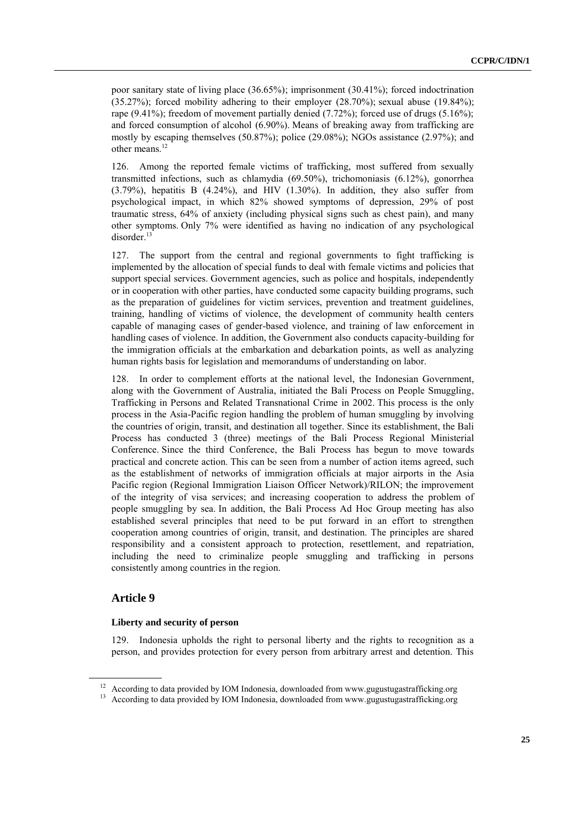poor sanitary state of living place (36.65%); imprisonment (30.41%); forced indoctrination (35.27%); forced mobility adhering to their employer (28.70%); sexual abuse (19.84%); rape (9.41%); freedom of movement partially denied (7.72%); forced use of drugs (5.16%); and forced consumption of alcohol (6.90%). Means of breaking away from trafficking are mostly by escaping themselves (50.87%); police (29.08%); NGOs assistance (2.97%); and other means.<sup>12</sup>

126. Among the reported female victims of trafficking, most suffered from sexually transmitted infections, such as chlamydia (69.50%), trichomoniasis (6.12%), gonorrhea  $(3.79\%)$ , hepatitis B  $(4.24\%)$ , and HIV  $(1.30\%)$ . In addition, they also suffer from psychological impact, in which 82% showed symptoms of depression, 29% of post traumatic stress, 64% of anxiety (including physical signs such as chest pain), and many other symptoms. Only 7% were identified as having no indication of any psychological disorder.<sup>13</sup>

127. The support from the central and regional governments to fight trafficking is implemented by the allocation of special funds to deal with female victims and policies that support special services. Government agencies, such as police and hospitals, independently or in cooperation with other parties, have conducted some capacity building programs, such as the preparation of guidelines for victim services, prevention and treatment guidelines, training, handling of victims of violence, the development of community health centers capable of managing cases of gender-based violence, and training of law enforcement in handling cases of violence. In addition, the Government also conducts capacity-building for the immigration officials at the embarkation and debarkation points, as well as analyzing human rights basis for legislation and memorandums of understanding on labor.

128. In order to complement efforts at the national level, the Indonesian Government, along with the Government of Australia, initiated the Bali Process on People Smuggling, Trafficking in Persons and Related Transnational Crime in 2002. This process is the only process in the Asia-Pacific region handling the problem of human smuggling by involving the countries of origin, transit, and destination all together. Since its establishment, the Bali Process has conducted 3 (three) meetings of the Bali Process Regional Ministerial Conference. Since the third Conference, the Bali Process has begun to move towards practical and concrete action. This can be seen from a number of action items agreed, such as the establishment of networks of immigration officials at major airports in the Asia Pacific region (Regional Immigration Liaison Officer Network)/RILON; the improvement of the integrity of visa services; and increasing cooperation to address the problem of people smuggling by sea. In addition, the Bali Process Ad Hoc Group meeting has also established several principles that need to be put forward in an effort to strengthen cooperation among countries of origin, transit, and destination. The principles are shared responsibility and a consistent approach to protection, resettlement, and repatriation, including the need to criminalize people smuggling and trafficking in persons consistently among countries in the region.

## **Article 9**

#### **Liberty and security of person**

129. Indonesia upholds the right to personal liberty and the rights to recognition as a person, and provides protection for every person from arbitrary arrest and detention. This

<sup>&</sup>lt;sup>12</sup> According to data provided by IOM Indonesia, downloaded from www.gugustugastrafficking.org

<sup>&</sup>lt;sup>13</sup> According to data provided by IOM Indonesia, downloaded from www.gugustugastrafficking.org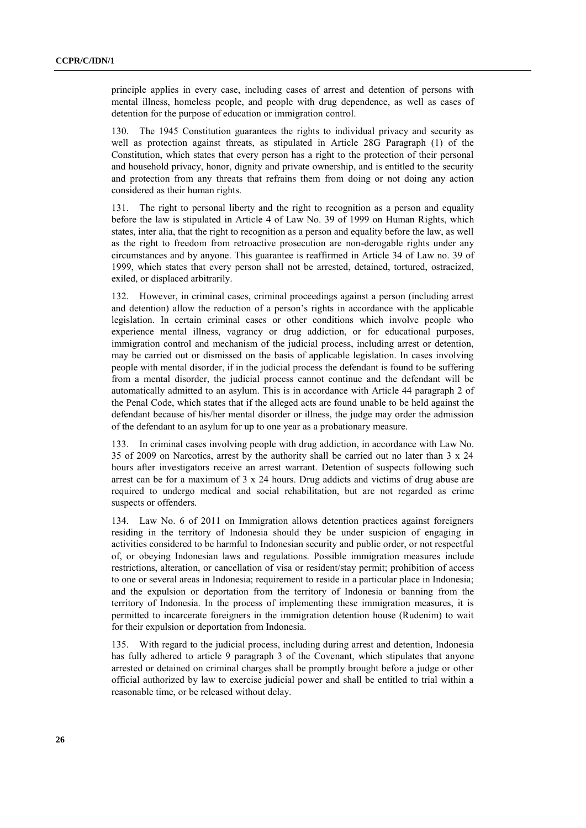principle applies in every case, including cases of arrest and detention of persons with mental illness, homeless people, and people with drug dependence, as well as cases of detention for the purpose of education or immigration control.

130. The 1945 Constitution guarantees the rights to individual privacy and security as well as protection against threats, as stipulated in Article 28G Paragraph (1) of the Constitution, which states that every person has a right to the protection of their personal and household privacy, honor, dignity and private ownership, and is entitled to the security and protection from any threats that refrains them from doing or not doing any action considered as their human rights.

131. The right to personal liberty and the right to recognition as a person and equality before the law is stipulated in Article 4 of Law No. 39 of 1999 on Human Rights, which states, inter alia, that the right to recognition as a person and equality before the law, as well as the right to freedom from retroactive prosecution are non-derogable rights under any circumstances and by anyone. This guarantee is reaffirmed in Article 34 of Law no. 39 of 1999, which states that every person shall not be arrested, detained, tortured, ostracized, exiled, or displaced arbitrarily.

132. However, in criminal cases, criminal proceedings against a person (including arrest and detention) allow the reduction of a person's rights in accordance with the applicable legislation. In certain criminal cases or other conditions which involve people who experience mental illness, vagrancy or drug addiction, or for educational purposes, immigration control and mechanism of the judicial process, including arrest or detention, may be carried out or dismissed on the basis of applicable legislation. In cases involving people with mental disorder, if in the judicial process the defendant is found to be suffering from a mental disorder, the judicial process cannot continue and the defendant will be automatically admitted to an asylum. This is in accordance with Article 44 paragraph 2 of the Penal Code, which states that if the alleged acts are found unable to be held against the defendant because of his/her mental disorder or illness, the judge may order the admission of the defendant to an asylum for up to one year as a probationary measure.

133. In criminal cases involving people with drug addiction, in accordance with Law No. 35 of 2009 on Narcotics, arrest by the authority shall be carried out no later than 3 x 24 hours after investigators receive an arrest warrant. Detention of suspects following such arrest can be for a maximum of 3 x 24 hours. Drug addicts and victims of drug abuse are required to undergo medical and social rehabilitation, but are not regarded as crime suspects or offenders.

134. Law No. 6 of 2011 on Immigration allows detention practices against foreigners residing in the territory of Indonesia should they be under suspicion of engaging in activities considered to be harmful to Indonesian security and public order, or not respectful of, or obeying Indonesian laws and regulations. Possible immigration measures include restrictions, alteration, or cancellation of visa or resident/stay permit; prohibition of access to one or several areas in Indonesia; requirement to reside in a particular place in Indonesia; and the expulsion or deportation from the territory of Indonesia or banning from the territory of Indonesia. In the process of implementing these immigration measures, it is permitted to incarcerate foreigners in the immigration detention house (Rudenim) to wait for their expulsion or deportation from Indonesia.

135. With regard to the judicial process, including during arrest and detention, Indonesia has fully adhered to article 9 paragraph 3 of the Covenant, which stipulates that anyone arrested or detained on criminal charges shall be promptly brought before a judge or other official authorized by law to exercise judicial power and shall be entitled to trial within a reasonable time, or be released without delay.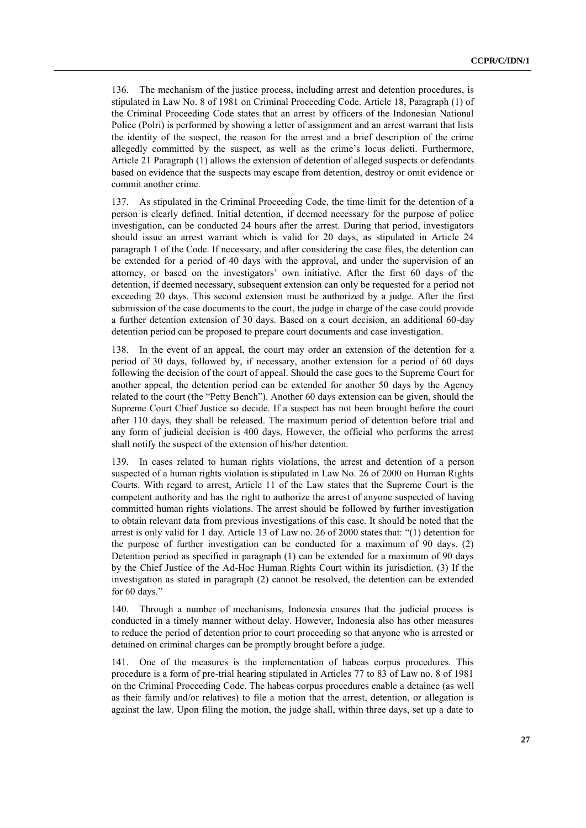136. The mechanism of the justice process, including arrest and detention procedures, is stipulated in Law No. 8 of 1981 on Criminal Proceeding Code. Article 18, Paragraph (1) of the Criminal Proceeding Code states that an arrest by officers of the Indonesian National Police (Polri) is performed by showing a letter of assignment and an arrest warrant that lists the identity of the suspect, the reason for the arrest and a brief description of the crime allegedly committed by the suspect, as well as the crime's locus delicti. Furthermore, Article 21 Paragraph (1) allows the extension of detention of alleged suspects or defendants based on evidence that the suspects may escape from detention, destroy or omit evidence or commit another crime.

137. As stipulated in the Criminal Proceeding Code, the time limit for the detention of a person is clearly defined. Initial detention, if deemed necessary for the purpose of police investigation, can be conducted 24 hours after the arrest. During that period, investigators should issue an arrest warrant which is valid for 20 days, as stipulated in Article 24 paragraph 1 of the Code. If necessary, and after considering the case files, the detention can be extended for a period of 40 days with the approval, and under the supervision of an attorney, or based on the investigators' own initiative. After the first 60 days of the detention, if deemed necessary, subsequent extension can only be requested for a period not exceeding 20 days. This second extension must be authorized by a judge. After the first submission of the case documents to the court, the judge in charge of the case could provide a further detention extension of 30 days. Based on a court decision, an additional 60-day detention period can be proposed to prepare court documents and case investigation.

138. In the event of an appeal, the court may order an extension of the detention for a period of 30 days, followed by, if necessary, another extension for a period of 60 days following the decision of the court of appeal. Should the case goes to the Supreme Court for another appeal, the detention period can be extended for another 50 days by the Agency related to the court (the "Petty Bench"). Another 60 days extension can be given, should the Supreme Court Chief Justice so decide. If a suspect has not been brought before the court after 110 days, they shall be released. The maximum period of detention before trial and any form of judicial decision is 400 days. However, the official who performs the arrest shall notify the suspect of the extension of his/her detention.

139. In cases related to human rights violations, the arrest and detention of a person suspected of a human rights violation is stipulated in Law No. 26 of 2000 on Human Rights Courts. With regard to arrest, Article 11 of the Law states that the Supreme Court is the competent authority and has the right to authorize the arrest of anyone suspected of having committed human rights violations. The arrest should be followed by further investigation to obtain relevant data from previous investigations of this case. It should be noted that the arrest is only valid for 1 day. Article 13 of Law no. 26 of 2000 states that: "(1) detention for the purpose of further investigation can be conducted for a maximum of 90 days. (2) Detention period as specified in paragraph (1) can be extended for a maximum of 90 days by the Chief Justice of the Ad-Hoc Human Rights Court within its jurisdiction. (3) If the investigation as stated in paragraph (2) cannot be resolved, the detention can be extended for 60 days."

140. Through a number of mechanisms, Indonesia ensures that the judicial process is conducted in a timely manner without delay. However, Indonesia also has other measures to reduce the period of detention prior to court proceeding so that anyone who is arrested or detained on criminal charges can be promptly brought before a judge.

141. One of the measures is the implementation of habeas corpus procedures. This procedure is a form of pre-trial hearing stipulated in Articles 77 to 83 of Law no. 8 of 1981 on the Criminal Proceeding Code. The habeas corpus procedures enable a detainee (as well as their family and/or relatives) to file a motion that the arrest, detention, or allegation is against the law. Upon filing the motion, the judge shall, within three days, set up a date to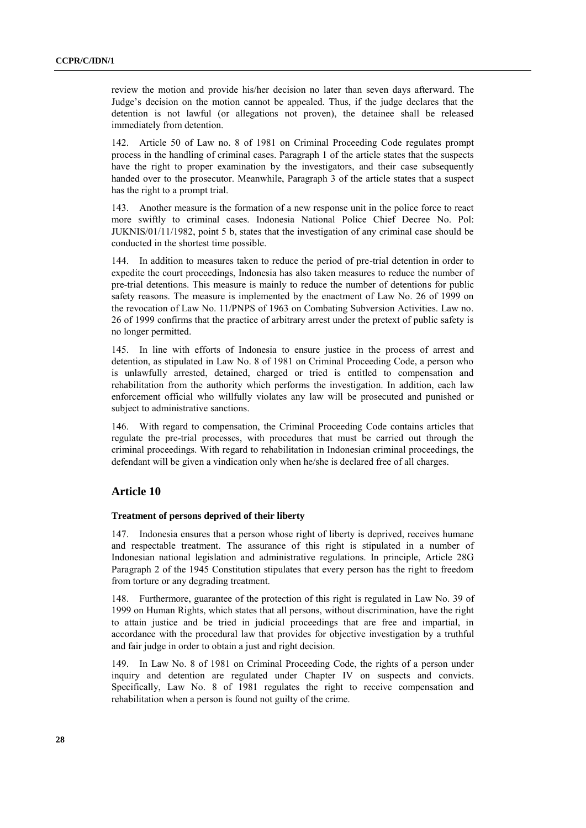review the motion and provide his/her decision no later than seven days afterward. The Judge's decision on the motion cannot be appealed. Thus, if the judge declares that the detention is not lawful (or allegations not proven), the detainee shall be released immediately from detention.

142. Article 50 of Law no. 8 of 1981 on Criminal Proceeding Code regulates prompt process in the handling of criminal cases. Paragraph 1 of the article states that the suspects have the right to proper examination by the investigators, and their case subsequently handed over to the prosecutor. Meanwhile, Paragraph 3 of the article states that a suspect has the right to a prompt trial.

143. Another measure is the formation of a new response unit in the police force to react more swiftly to criminal cases. Indonesia National Police Chief Decree No. Pol: JUKNIS/01/11/1982, point 5 b, states that the investigation of any criminal case should be conducted in the shortest time possible.

144. In addition to measures taken to reduce the period of pre-trial detention in order to expedite the court proceedings, Indonesia has also taken measures to reduce the number of pre-trial detentions. This measure is mainly to reduce the number of detentions for public safety reasons. The measure is implemented by the enactment of Law No. 26 of 1999 on the revocation of Law No. 11/PNPS of 1963 on Combating Subversion Activities. Law no. 26 of 1999 confirms that the practice of arbitrary arrest under the pretext of public safety is no longer permitted.

145. In line with efforts of Indonesia to ensure justice in the process of arrest and detention, as stipulated in Law No. 8 of 1981 on Criminal Proceeding Code, a person who is unlawfully arrested, detained, charged or tried is entitled to compensation and rehabilitation from the authority which performs the investigation. In addition, each law enforcement official who willfully violates any law will be prosecuted and punished or subject to administrative sanctions.

146. With regard to compensation, the Criminal Proceeding Code contains articles that regulate the pre-trial processes, with procedures that must be carried out through the criminal proceedings. With regard to rehabilitation in Indonesian criminal proceedings, the defendant will be given a vindication only when he/she is declared free of all charges.

## **Article 10**

#### **Treatment of persons deprived of their liberty**

147. Indonesia ensures that a person whose right of liberty is deprived, receives humane and respectable treatment. The assurance of this right is stipulated in a number of Indonesian national legislation and administrative regulations. In principle, Article 28G Paragraph 2 of the 1945 Constitution stipulates that every person has the right to freedom from torture or any degrading treatment.

148. Furthermore, guarantee of the protection of this right is regulated in Law No. 39 of 1999 on Human Rights, which states that all persons, without discrimination, have the right to attain justice and be tried in judicial proceedings that are free and impartial, in accordance with the procedural law that provides for objective investigation by a truthful and fair judge in order to obtain a just and right decision.

149. In Law No. 8 of 1981 on Criminal Proceeding Code, the rights of a person under inquiry and detention are regulated under Chapter IV on suspects and convicts. Specifically, Law No. 8 of 1981 regulates the right to receive compensation and rehabilitation when a person is found not guilty of the crime.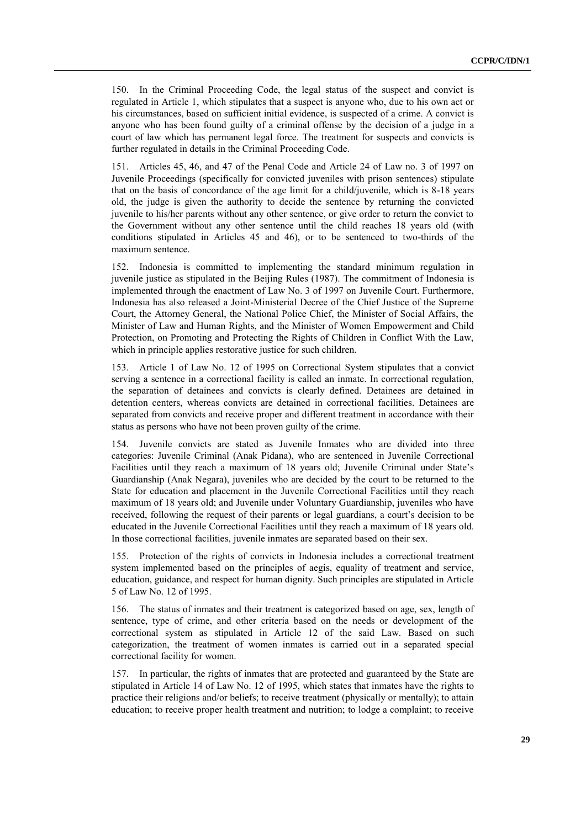150. In the Criminal Proceeding Code, the legal status of the suspect and convict is regulated in Article 1, which stipulates that a suspect is anyone who, due to his own act or his circumstances, based on sufficient initial evidence, is suspected of a crime. A convict is anyone who has been found guilty of a criminal offense by the decision of a judge in a court of law which has permanent legal force. The treatment for suspects and convicts is further regulated in details in the Criminal Proceeding Code.

151. Articles 45, 46, and 47 of the Penal Code and Article 24 of Law no. 3 of 1997 on Juvenile Proceedings (specifically for convicted juveniles with prison sentences) stipulate that on the basis of concordance of the age limit for a child/juvenile, which is 8-18 years old, the judge is given the authority to decide the sentence by returning the convicted juvenile to his/her parents without any other sentence, or give order to return the convict to the Government without any other sentence until the child reaches 18 years old (with conditions stipulated in Articles 45 and 46), or to be sentenced to two-thirds of the maximum sentence.

152. Indonesia is committed to implementing the standard minimum regulation in juvenile justice as stipulated in the Beijing Rules (1987). The commitment of Indonesia is implemented through the enactment of Law No. 3 of 1997 on Juvenile Court. Furthermore, Indonesia has also released a Joint-Ministerial Decree of the Chief Justice of the Supreme Court, the Attorney General, the National Police Chief, the Minister of Social Affairs, the Minister of Law and Human Rights, and the Minister of Women Empowerment and Child Protection, on Promoting and Protecting the Rights of Children in Conflict With the Law, which in principle applies restorative justice for such children.

153. Article 1 of Law No. 12 of 1995 on Correctional System stipulates that a convict serving a sentence in a correctional facility is called an inmate. In correctional regulation, the separation of detainees and convicts is clearly defined. Detainees are detained in detention centers, whereas convicts are detained in correctional facilities. Detainees are separated from convicts and receive proper and different treatment in accordance with their status as persons who have not been proven guilty of the crime.

154. Juvenile convicts are stated as Juvenile Inmates who are divided into three categories: Juvenile Criminal (Anak Pidana), who are sentenced in Juvenile Correctional Facilities until they reach a maximum of 18 years old; Juvenile Criminal under State's Guardianship (Anak Negara), juveniles who are decided by the court to be returned to the State for education and placement in the Juvenile Correctional Facilities until they reach maximum of 18 years old; and Juvenile under Voluntary Guardianship, juveniles who have received, following the request of their parents or legal guardians, a court's decision to be educated in the Juvenile Correctional Facilities until they reach a maximum of 18 years old. In those correctional facilities, juvenile inmates are separated based on their sex.

155. Protection of the rights of convicts in Indonesia includes a correctional treatment system implemented based on the principles of aegis, equality of treatment and service, education, guidance, and respect for human dignity. Such principles are stipulated in Article 5 of Law No. 12 of 1995.

156. The status of inmates and their treatment is categorized based on age, sex, length of sentence, type of crime, and other criteria based on the needs or development of the correctional system as stipulated in Article 12 of the said Law. Based on such categorization, the treatment of women inmates is carried out in a separated special correctional facility for women.

157. In particular, the rights of inmates that are protected and guaranteed by the State are stipulated in Article 14 of Law No. 12 of 1995, which states that inmates have the rights to practice their religions and/or beliefs; to receive treatment (physically or mentally); to attain education; to receive proper health treatment and nutrition; to lodge a complaint; to receive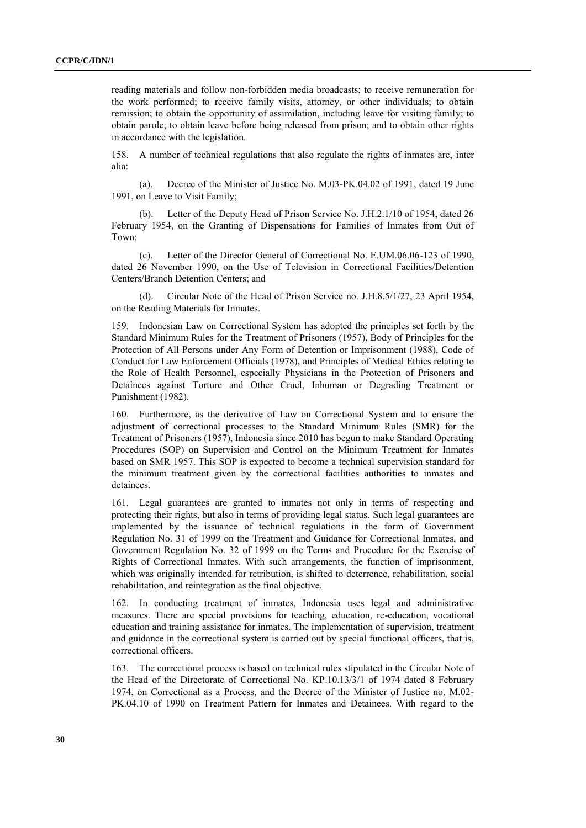reading materials and follow non-forbidden media broadcasts; to receive remuneration for the work performed; to receive family visits, attorney, or other individuals; to obtain remission; to obtain the opportunity of assimilation, including leave for visiting family; to obtain parole; to obtain leave before being released from prison; and to obtain other rights in accordance with the legislation.

158. A number of technical regulations that also regulate the rights of inmates are, inter alia:

(a). Decree of the Minister of Justice No. M.03-PK.04.02 of 1991, dated 19 June 1991, on Leave to Visit Family;

(b). Letter of the Deputy Head of Prison Service No. J.H.2.1/10 of 1954, dated 26 February 1954, on the Granting of Dispensations for Families of Inmates from Out of Town;

(c). Letter of the Director General of Correctional No. E.UM.06.06-123 of 1990, dated 26 November 1990, on the Use of Television in Correctional Facilities/Detention Centers/Branch Detention Centers; and

(d). Circular Note of the Head of Prison Service no. J.H.8.5/1/27, 23 April 1954, on the Reading Materials for Inmates.

159. Indonesian Law on Correctional System has adopted the principles set forth by the Standard Minimum Rules for the Treatment of Prisoners (1957), Body of Principles for the Protection of All Persons under Any Form of Detention or Imprisonment (1988), Code of Conduct for Law Enforcement Officials (1978), and Principles of Medical Ethics relating to the Role of Health Personnel, especially Physicians in the Protection of Prisoners and Detainees against Torture and Other Cruel, Inhuman or Degrading Treatment or Punishment (1982).

160. Furthermore, as the derivative of Law on Correctional System and to ensure the adjustment of correctional processes to the Standard Minimum Rules (SMR) for the Treatment of Prisoners (1957), Indonesia since 2010 has begun to make Standard Operating Procedures (SOP) on Supervision and Control on the Minimum Treatment for Inmates based on SMR 1957. This SOP is expected to become a technical supervision standard for the minimum treatment given by the correctional facilities authorities to inmates and detainees.

161. Legal guarantees are granted to inmates not only in terms of respecting and protecting their rights, but also in terms of providing legal status. Such legal guarantees are implemented by the issuance of technical regulations in the form of Government Regulation No. 31 of 1999 on the Treatment and Guidance for Correctional Inmates, and Government Regulation No. 32 of 1999 on the Terms and Procedure for the Exercise of Rights of Correctional Inmates. With such arrangements, the function of imprisonment, which was originally intended for retribution, is shifted to deterrence, rehabilitation, social rehabilitation, and reintegration as the final objective.

162. In conducting treatment of inmates, Indonesia uses legal and administrative measures. There are special provisions for teaching, education, re-education, vocational education and training assistance for inmates. The implementation of supervision, treatment and guidance in the correctional system is carried out by special functional officers, that is, correctional officers.

163. The correctional process is based on technical rules stipulated in the Circular Note of the Head of the Directorate of Correctional No. KP.10.13/3/1 of 1974 dated 8 February 1974, on Correctional as a Process, and the Decree of the Minister of Justice no. M.02- PK.04.10 of 1990 on Treatment Pattern for Inmates and Detainees. With regard to the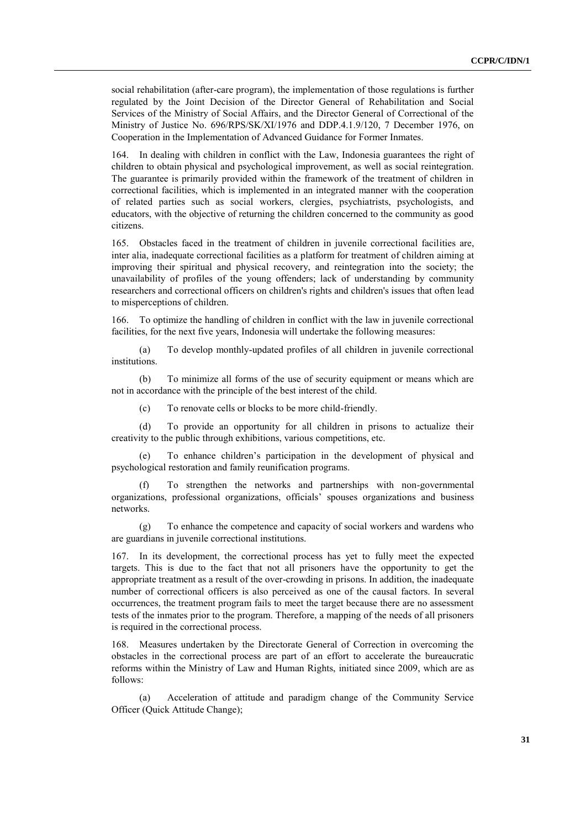social rehabilitation (after-care program), the implementation of those regulations is further regulated by the Joint Decision of the Director General of Rehabilitation and Social Services of the Ministry of Social Affairs, and the Director General of Correctional of the Ministry of Justice No. 696/RPS/SK/XI/1976 and DDP.4.1.9/120, 7 December 1976, on Cooperation in the Implementation of Advanced Guidance for Former Inmates.

164. In dealing with children in conflict with the Law, Indonesia guarantees the right of children to obtain physical and psychological improvement, as well as social reintegration. The guarantee is primarily provided within the framework of the treatment of children in correctional facilities, which is implemented in an integrated manner with the cooperation of related parties such as social workers, clergies, psychiatrists, psychologists, and educators, with the objective of returning the children concerned to the community as good citizens.

165. Obstacles faced in the treatment of children in juvenile correctional facilities are, inter alia, inadequate correctional facilities as a platform for treatment of children aiming at improving their spiritual and physical recovery, and reintegration into the society; the unavailability of profiles of the young offenders; lack of understanding by community researchers and correctional officers on children's rights and children's issues that often lead to misperceptions of children.

166. To optimize the handling of children in conflict with the law in juvenile correctional facilities, for the next five years, Indonesia will undertake the following measures:

(a) To develop monthly-updated profiles of all children in juvenile correctional institutions.

(b) To minimize all forms of the use of security equipment or means which are not in accordance with the principle of the best interest of the child.

(c) To renovate cells or blocks to be more child-friendly.

(d) To provide an opportunity for all children in prisons to actualize their creativity to the public through exhibitions, various competitions, etc.

(e) To enhance children's participation in the development of physical and psychological restoration and family reunification programs.

(f) To strengthen the networks and partnerships with non-governmental organizations, professional organizations, officials' spouses organizations and business networks.

(g) To enhance the competence and capacity of social workers and wardens who are guardians in juvenile correctional institutions.

167. In its development, the correctional process has yet to fully meet the expected targets. This is due to the fact that not all prisoners have the opportunity to get the appropriate treatment as a result of the over-crowding in prisons. In addition, the inadequate number of correctional officers is also perceived as one of the causal factors. In several occurrences, the treatment program fails to meet the target because there are no assessment tests of the inmates prior to the program. Therefore, a mapping of the needs of all prisoners is required in the correctional process.

168. Measures undertaken by the Directorate General of Correction in overcoming the obstacles in the correctional process are part of an effort to accelerate the bureaucratic reforms within the Ministry of Law and Human Rights, initiated since 2009, which are as follows:

(a) Acceleration of attitude and paradigm change of the Community Service Officer (Quick Attitude Change);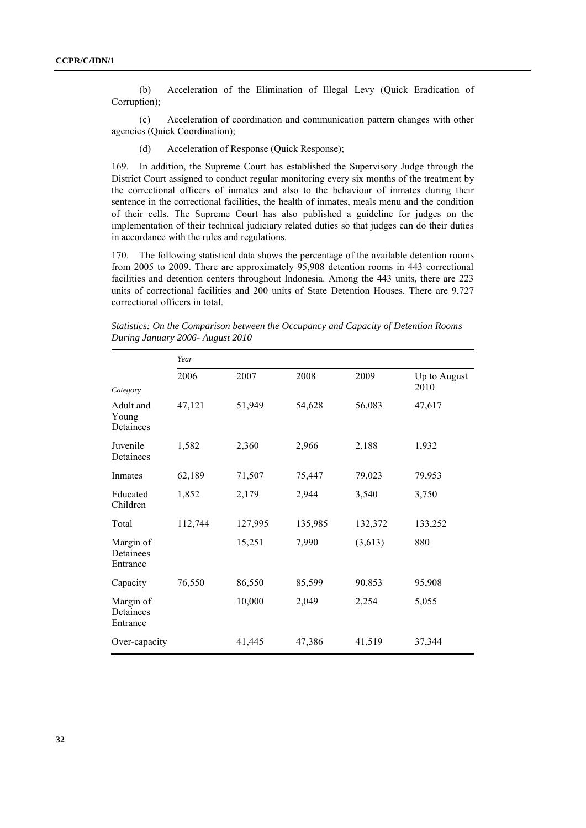(b) Acceleration of the Elimination of Illegal Levy (Quick Eradication of Corruption);

(c) Acceleration of coordination and communication pattern changes with other agencies (Quick Coordination);

(d) Acceleration of Response (Quick Response);

169. In addition, the Supreme Court has established the Supervisory Judge through the District Court assigned to conduct regular monitoring every six months of the treatment by the correctional officers of inmates and also to the behaviour of inmates during their sentence in the correctional facilities, the health of inmates, meals menu and the condition of their cells. The Supreme Court has also published a guideline for judges on the implementation of their technical judiciary related duties so that judges can do their duties in accordance with the rules and regulations.

170. The following statistical data shows the percentage of the available detention rooms from 2005 to 2009. There are approximately 95,908 detention rooms in 443 correctional facilities and detention centers throughout Indonesia. Among the 443 units, there are 223 units of correctional facilities and 200 units of State Detention Houses. There are 9,727 correctional officers in total.

|                                             | Year    |         |         |         |                      |
|---------------------------------------------|---------|---------|---------|---------|----------------------|
|                                             | 2006    | 2007    | 2008    | 2009    | Up to August<br>2010 |
| Category<br>Adult and<br>Young<br>Detainees | 47,121  | 51,949  | 54,628  | 56,083  | 47,617               |
| Juvenile<br>Detainees                       | 1,582   | 2,360   | 2,966   | 2,188   | 1,932                |
| Inmates                                     | 62,189  | 71,507  | 75,447  | 79,023  | 79,953               |
| Educated<br>Children                        | 1,852   | 2,179   | 2,944   | 3,540   | 3,750                |
| Total                                       | 112,744 | 127,995 | 135,985 | 132,372 | 133,252              |
| Margin of<br>Detainees<br>Entrance          |         | 15,251  | 7,990   | (3,613) | 880                  |
| Capacity                                    | 76,550  | 86,550  | 85,599  | 90,853  | 95,908               |
| Margin of<br>Detainees<br>Entrance          |         | 10,000  | 2,049   | 2,254   | 5,055                |
| Over-capacity                               |         | 41,445  | 47,386  | 41,519  | 37,344               |

*Statistics: On the Comparison between the Occupancy and Capacity of Detention Rooms During January 2006- August 2010*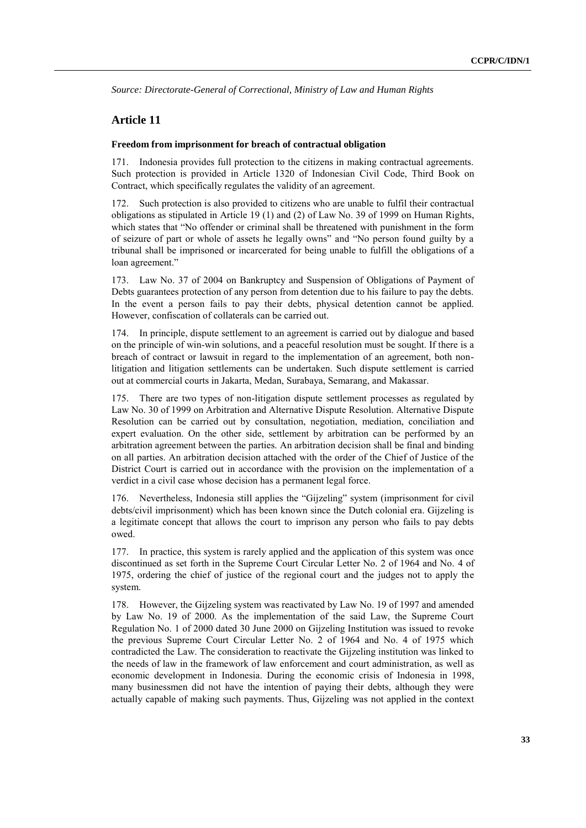*Source: Directorate-General of Correctional, Ministry of Law and Human Rights*

## **Article 11**

#### **Freedom from imprisonment for breach of contractual obligation**

171. Indonesia provides full protection to the citizens in making contractual agreements. Such protection is provided in Article 1320 of Indonesian Civil Code, Third Book on Contract, which specifically regulates the validity of an agreement.

172. Such protection is also provided to citizens who are unable to fulfil their contractual obligations as stipulated in Article 19 (1) and (2) of Law No. 39 of 1999 on Human Rights, which states that "No offender or criminal shall be threatened with punishment in the form of seizure of part or whole of assets he legally owns" and "No person found guilty by a tribunal shall be imprisoned or incarcerated for being unable to fulfill the obligations of a loan agreement."

173. Law No. 37 of 2004 on Bankruptcy and Suspension of Obligations of Payment of Debts guarantees protection of any person from detention due to his failure to pay the debts. In the event a person fails to pay their debts, physical detention cannot be applied. However, confiscation of collaterals can be carried out.

174. In principle, dispute settlement to an agreement is carried out by dialogue and based on the principle of win-win solutions, and a peaceful resolution must be sought. If there is a breach of contract or lawsuit in regard to the implementation of an agreement, both nonlitigation and litigation settlements can be undertaken. Such dispute settlement is carried out at commercial courts in Jakarta, Medan, Surabaya, Semarang, and Makassar.

175. There are two types of non-litigation dispute settlement processes as regulated by Law No. 30 of 1999 on Arbitration and Alternative Dispute Resolution. Alternative Dispute Resolution can be carried out by consultation, negotiation, mediation, conciliation and expert evaluation. On the other side, settlement by arbitration can be performed by an arbitration agreement between the parties. An arbitration decision shall be final and binding on all parties. An arbitration decision attached with the order of the Chief of Justice of the District Court is carried out in accordance with the provision on the implementation of a verdict in a civil case whose decision has a permanent legal force.

176. Nevertheless, Indonesia still applies the "Gijzeling" system (imprisonment for civil debts/civil imprisonment) which has been known since the Dutch colonial era. Gijzeling is a legitimate concept that allows the court to imprison any person who fails to pay debts owed.

177. In practice, this system is rarely applied and the application of this system was once discontinued as set forth in the Supreme Court Circular Letter No. 2 of 1964 and No. 4 of 1975, ordering the chief of justice of the regional court and the judges not to apply the system.

178. However, the Gijzeling system was reactivated by Law No. 19 of 1997 and amended by Law No. 19 of 2000. As the implementation of the said Law, the Supreme Court Regulation No. 1 of 2000 dated 30 June 2000 on Gijzeling Institution was issued to revoke the previous Supreme Court Circular Letter No. 2 of 1964 and No. 4 of 1975 which contradicted the Law. The consideration to reactivate the Gijzeling institution was linked to the needs of law in the framework of law enforcement and court administration, as well as economic development in Indonesia. During the economic crisis of Indonesia in 1998, many businessmen did not have the intention of paying their debts, although they were actually capable of making such payments. Thus, Gijzeling was not applied in the context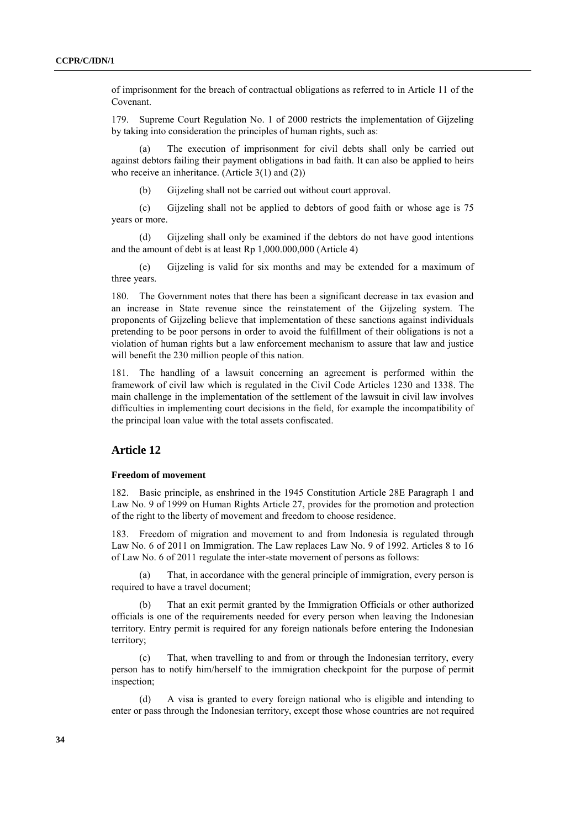of imprisonment for the breach of contractual obligations as referred to in Article 11 of the Covenant.

179. Supreme Court Regulation No. 1 of 2000 restricts the implementation of Gijzeling by taking into consideration the principles of human rights, such as:

The execution of imprisonment for civil debts shall only be carried out against debtors failing their payment obligations in bad faith. It can also be applied to heirs who receive an inheritance. (Article 3(1) and (2))

(b) Gijzeling shall not be carried out without court approval.

(c) Gijzeling shall not be applied to debtors of good faith or whose age is 75 years or more.

(d) Gijzeling shall only be examined if the debtors do not have good intentions and the amount of debt is at least Rp 1,000.000,000 (Article 4)

(e) Gijzeling is valid for six months and may be extended for a maximum of three years.

180. The Government notes that there has been a significant decrease in tax evasion and an increase in State revenue since the reinstatement of the Gijzeling system. The proponents of Gijzeling believe that implementation of these sanctions against individuals pretending to be poor persons in order to avoid the fulfillment of their obligations is not a violation of human rights but a law enforcement mechanism to assure that law and justice will benefit the 230 million people of this nation.

181. The handling of a lawsuit concerning an agreement is performed within the framework of civil law which is regulated in the Civil Code Articles 1230 and 1338. The main challenge in the implementation of the settlement of the lawsuit in civil law involves difficulties in implementing court decisions in the field, for example the incompatibility of the principal loan value with the total assets confiscated.

## **Article 12**

#### **Freedom of movement**

182. Basic principle, as enshrined in the 1945 Constitution Article 28E Paragraph 1 and Law No. 9 of 1999 on Human Rights Article 27, provides for the promotion and protection of the right to the liberty of movement and freedom to choose residence.

183. Freedom of migration and movement to and from Indonesia is regulated through Law No. 6 of 2011 on Immigration. The Law replaces Law No. 9 of 1992. Articles 8 to 16 of Law No. 6 of 2011 regulate the inter-state movement of persons as follows:

(a) That, in accordance with the general principle of immigration, every person is required to have a travel document;

(b) That an exit permit granted by the Immigration Officials or other authorized officials is one of the requirements needed for every person when leaving the Indonesian territory. Entry permit is required for any foreign nationals before entering the Indonesian territory;

(c) That, when travelling to and from or through the Indonesian territory, every person has to notify him/herself to the immigration checkpoint for the purpose of permit inspection;

(d) A visa is granted to every foreign national who is eligible and intending to enter or pass through the Indonesian territory, except those whose countries are not required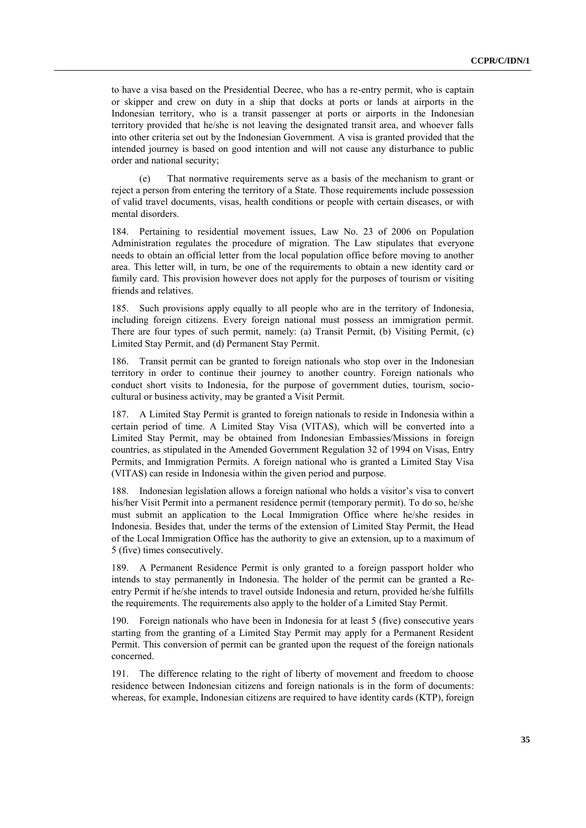to have a visa based on the Presidential Decree, who has a re-entry permit, who is captain or skipper and crew on duty in a ship that docks at ports or lands at airports in the Indonesian territory, who is a transit passenger at ports or airports in the Indonesian territory provided that he/she is not leaving the designated transit area, and whoever falls into other criteria set out by the Indonesian Government. A visa is granted provided that the intended journey is based on good intention and will not cause any disturbance to public order and national security;

(e) That normative requirements serve as a basis of the mechanism to grant or reject a person from entering the territory of a State. Those requirements include possession of valid travel documents, visas, health conditions or people with certain diseases, or with mental disorders.

184. Pertaining to residential movement issues, Law No. 23 of 2006 on Population Administration regulates the procedure of migration. The Law stipulates that everyone needs to obtain an official letter from the local population office before moving to another area. This letter will, in turn, be one of the requirements to obtain a new identity card or family card. This provision however does not apply for the purposes of tourism or visiting friends and relatives.

185. Such provisions apply equally to all people who are in the territory of Indonesia, including foreign citizens. Every foreign national must possess an immigration permit. There are four types of such permit, namely: (a) Transit Permit, (b) Visiting Permit, (c) Limited Stay Permit, and (d) Permanent Stay Permit.

186. Transit permit can be granted to foreign nationals who stop over in the Indonesian territory in order to continue their journey to another country. Foreign nationals who conduct short visits to Indonesia, for the purpose of government duties, tourism, sociocultural or business activity, may be granted a Visit Permit.

187. A Limited Stay Permit is granted to foreign nationals to reside in Indonesia within a certain period of time. A Limited Stay Visa (VITAS), which will be converted into a Limited Stay Permit, may be obtained from Indonesian Embassies/Missions in foreign countries, as stipulated in the Amended Government Regulation 32 of 1994 on Visas, Entry Permits, and Immigration Permits. A foreign national who is granted a Limited Stay Visa (VITAS) can reside in Indonesia within the given period and purpose.

188. Indonesian legislation allows a foreign national who holds a visitor's visa to convert his/her Visit Permit into a permanent residence permit (temporary permit). To do so, he/she must submit an application to the Local Immigration Office where he/she resides in Indonesia. Besides that, under the terms of the extension of Limited Stay Permit, the Head of the Local Immigration Office has the authority to give an extension, up to a maximum of 5 (five) times consecutively.

189. A Permanent Residence Permit is only granted to a foreign passport holder who intends to stay permanently in Indonesia. The holder of the permit can be granted a Reentry Permit if he/she intends to travel outside Indonesia and return, provided he/she fulfills the requirements. The requirements also apply to the holder of a Limited Stay Permit.

190. Foreign nationals who have been in Indonesia for at least 5 (five) consecutive years starting from the granting of a Limited Stay Permit may apply for a Permanent Resident Permit. This conversion of permit can be granted upon the request of the foreign nationals concerned.

191. The difference relating to the right of liberty of movement and freedom to choose residence between Indonesian citizens and foreign nationals is in the form of documents: whereas, for example, Indonesian citizens are required to have identity cards (KTP), foreign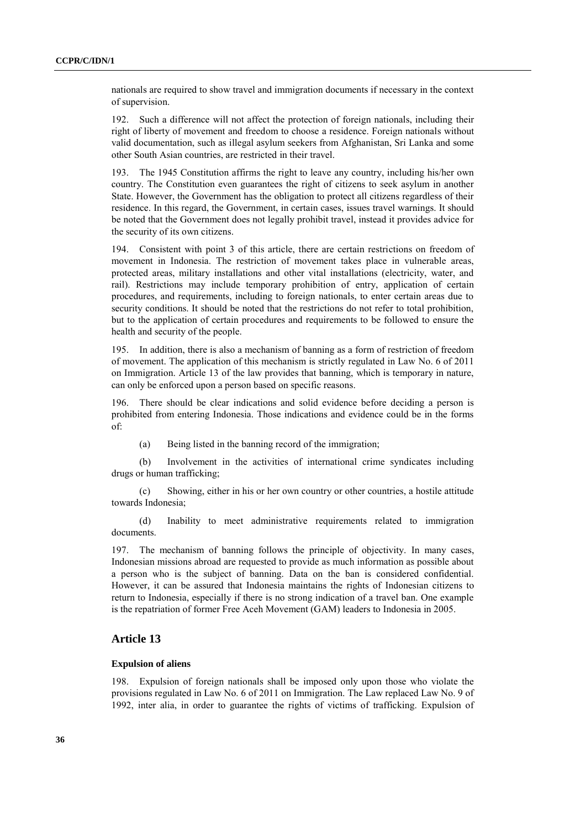nationals are required to show travel and immigration documents if necessary in the context of supervision.

192. Such a difference will not affect the protection of foreign nationals, including their right of liberty of movement and freedom to choose a residence. Foreign nationals without valid documentation, such as illegal asylum seekers from Afghanistan, Sri Lanka and some other South Asian countries, are restricted in their travel.

193. The 1945 Constitution affirms the right to leave any country, including his/her own country. The Constitution even guarantees the right of citizens to seek asylum in another State. However, the Government has the obligation to protect all citizens regardless of their residence. In this regard, the Government, in certain cases, issues travel warnings. It should be noted that the Government does not legally prohibit travel, instead it provides advice for the security of its own citizens.

194. Consistent with point 3 of this article, there are certain restrictions on freedom of movement in Indonesia. The restriction of movement takes place in vulnerable areas, protected areas, military installations and other vital installations (electricity, water, and rail). Restrictions may include temporary prohibition of entry, application of certain procedures, and requirements, including to foreign nationals, to enter certain areas due to security conditions. It should be noted that the restrictions do not refer to total prohibition, but to the application of certain procedures and requirements to be followed to ensure the health and security of the people.

195. In addition, there is also a mechanism of banning as a form of restriction of freedom of movement. The application of this mechanism is strictly regulated in Law No. 6 of 2011 on Immigration. Article 13 of the law provides that banning, which is temporary in nature, can only be enforced upon a person based on specific reasons.

196. There should be clear indications and solid evidence before deciding a person is prohibited from entering Indonesia. Those indications and evidence could be in the forms of:

(a) Being listed in the banning record of the immigration;

(b) Involvement in the activities of international crime syndicates including drugs or human trafficking;

(c) Showing, either in his or her own country or other countries, a hostile attitude towards Indonesia;

(d) Inability to meet administrative requirements related to immigration documents.

197. The mechanism of banning follows the principle of objectivity. In many cases, Indonesian missions abroad are requested to provide as much information as possible about a person who is the subject of banning. Data on the ban is considered confidential. However, it can be assured that Indonesia maintains the rights of Indonesian citizens to return to Indonesia, especially if there is no strong indication of a travel ban. One example is the repatriation of former Free Aceh Movement (GAM) leaders to Indonesia in 2005.

## **Article 13**

#### **Expulsion of aliens**

198. Expulsion of foreign nationals shall be imposed only upon those who violate the provisions regulated in Law No. 6 of 2011 on Immigration. The Law replaced Law No. 9 of 1992, inter alia, in order to guarantee the rights of victims of trafficking. Expulsion of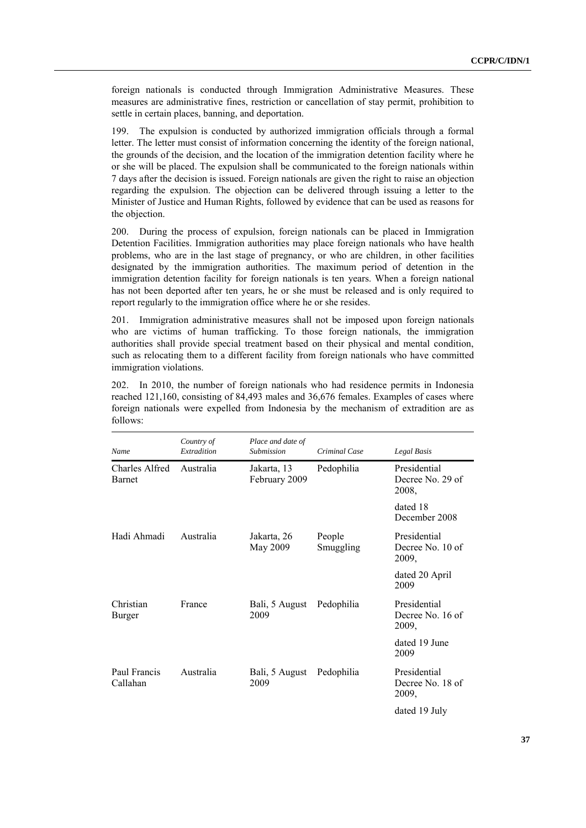foreign nationals is conducted through Immigration Administrative Measures. These measures are administrative fines, restriction or cancellation of stay permit, prohibition to settle in certain places, banning, and deportation.

199. The expulsion is conducted by authorized immigration officials through a formal letter. The letter must consist of information concerning the identity of the foreign national, the grounds of the decision, and the location of the immigration detention facility where he or she will be placed. The expulsion shall be communicated to the foreign nationals within 7 days after the decision is issued. Foreign nationals are given the right to raise an objection regarding the expulsion. The objection can be delivered through issuing a letter to the Minister of Justice and Human Rights, followed by evidence that can be used as reasons for the objection.

200. During the process of expulsion, foreign nationals can be placed in Immigration Detention Facilities. Immigration authorities may place foreign nationals who have health problems, who are in the last stage of pregnancy, or who are children, in other facilities designated by the immigration authorities. The maximum period of detention in the immigration detention facility for foreign nationals is ten years. When a foreign national has not been deported after ten years, he or she must be released and is only required to report regularly to the immigration office where he or she resides.

201. Immigration administrative measures shall not be imposed upon foreign nationals who are victims of human trafficking. To those foreign nationals, the immigration authorities shall provide special treatment based on their physical and mental condition, such as relocating them to a different facility from foreign nationals who have committed immigration violations.

202. In 2010, the number of foreign nationals who had residence permits in Indonesia reached 121,160, consisting of 84,493 males and 36,676 females. Examples of cases where foreign nationals were expelled from Indonesia by the mechanism of extradition are as follows:

| Name                            | Country of<br>Extradition | Place and date of<br><b>Submission</b> | Criminal Case       | Legal Basis                               |
|---------------------------------|---------------------------|----------------------------------------|---------------------|-------------------------------------------|
| Charles Alfred<br><b>Barnet</b> | Australia                 | Jakarta, 13<br>February 2009           | Pedophilia          | Presidential<br>Decree No. 29 of<br>2008, |
|                                 |                           |                                        |                     | dated 18<br>December 2008                 |
| Hadi Ahmadi                     | Australia                 | Jakarta, 26<br>May 2009                | People<br>Smuggling | Presidential<br>Decree No. 10 of<br>2009, |
|                                 |                           |                                        |                     | dated 20 April<br>2009                    |
| Christian<br>Burger             | France                    | Bali, 5 August<br>2009                 | Pedophilia          | Presidential<br>Decree No. 16 of<br>2009, |
|                                 |                           |                                        |                     | dated 19 June<br>2009                     |
| Paul Francis<br>Callahan        | Australia                 | Bali, 5 August<br>2009                 | Pedophilia          | Presidential<br>Decree No. 18 of<br>2009, |
|                                 |                           |                                        |                     | dated 19 July                             |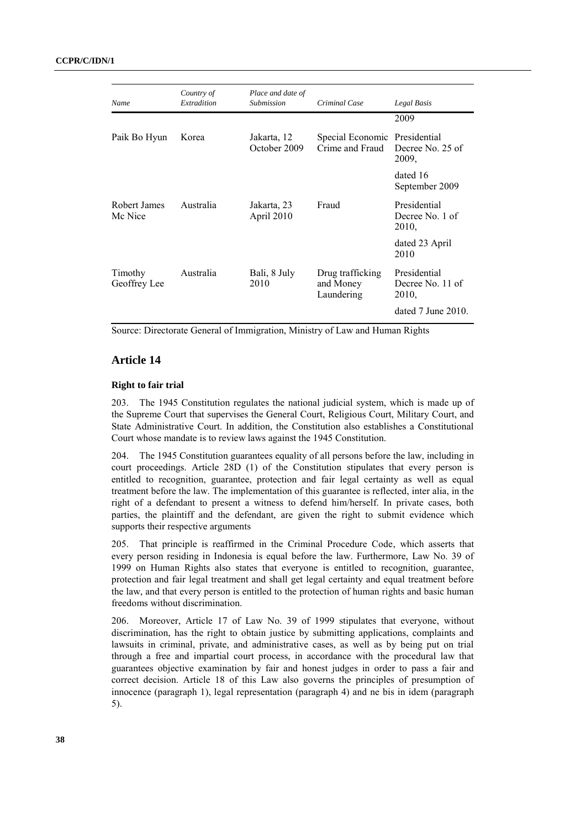| Name                    | Country of<br>Extradition | Place and date of<br>Submission | Criminal Case                               | Legal Basis                               |
|-------------------------|---------------------------|---------------------------------|---------------------------------------------|-------------------------------------------|
|                         |                           |                                 |                                             | 2009                                      |
| Paik Bo Hyun            | Korea                     | Jakarta, 12<br>October 2009     | Special Economic<br>Crime and Fraud         | Presidential<br>Decree No. 25 of<br>2009, |
|                         |                           |                                 |                                             | dated 16<br>September 2009                |
| Robert James<br>Mc Nice | Australia                 | Jakarta, 23<br>April 2010       | Fraud                                       | Presidential<br>Decree No. 1 of<br>2010,  |
|                         |                           |                                 |                                             | dated 23 April<br>2010                    |
| Timothy<br>Geoffrey Lee | Australia                 | Bali, 8 July<br>2010            | Drug trafficking<br>and Money<br>Laundering | Presidential<br>Decree No. 11 of<br>2010, |
|                         |                           |                                 |                                             | dated $7$ June $2010$ .                   |

Source: Directorate General of Immigration, Ministry of Law and Human Rights

## **Article 14**

### **Right to fair trial**

203. The 1945 Constitution regulates the national judicial system, which is made up of the Supreme Court that supervises the General Court, Religious Court, Military Court, and State Administrative Court. In addition, the Constitution also establishes a Constitutional Court whose mandate is to review laws against the 1945 Constitution.

204. The 1945 Constitution guarantees equality of all persons before the law, including in court proceedings. Article 28D (1) of the Constitution stipulates that every person is entitled to recognition, guarantee, protection and fair legal certainty as well as equal treatment before the law. The implementation of this guarantee is reflected, inter alia, in the right of a defendant to present a witness to defend him/herself. In private cases, both parties, the plaintiff and the defendant, are given the right to submit evidence which supports their respective arguments

205. That principle is reaffirmed in the Criminal Procedure Code, which asserts that every person residing in Indonesia is equal before the law. Furthermore, Law No. 39 of 1999 on Human Rights also states that everyone is entitled to recognition, guarantee, protection and fair legal treatment and shall get legal certainty and equal treatment before the law, and that every person is entitled to the protection of human rights and basic human freedoms without discrimination.

206. Moreover, Article 17 of Law No. 39 of 1999 stipulates that everyone, without discrimination, has the right to obtain justice by submitting applications, complaints and lawsuits in criminal, private, and administrative cases, as well as by being put on trial through a free and impartial court process, in accordance with the procedural law that guarantees objective examination by fair and honest judges in order to pass a fair and correct decision. Article 18 of this Law also governs the principles of presumption of innocence (paragraph 1), legal representation (paragraph 4) and ne bis in idem (paragraph 5).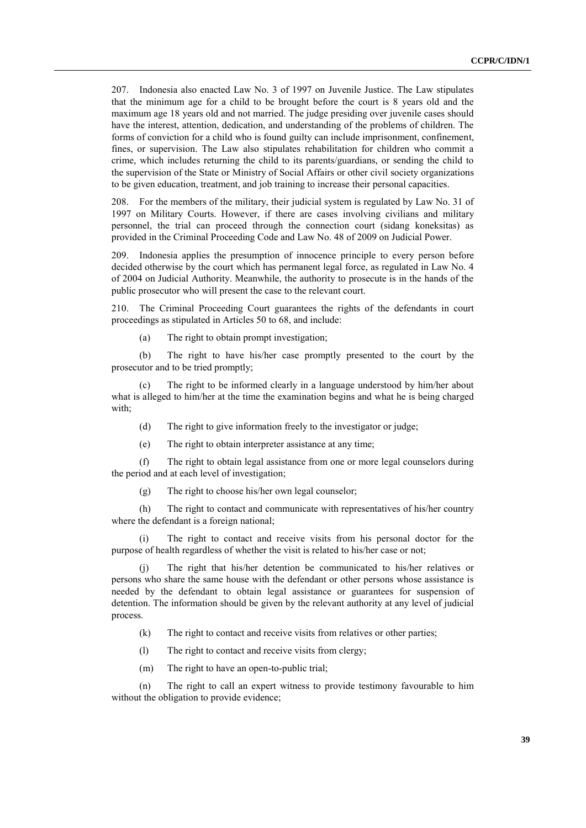207. Indonesia also enacted Law No. 3 of 1997 on Juvenile Justice. The Law stipulates that the minimum age for a child to be brought before the court is 8 years old and the maximum age 18 years old and not married. The judge presiding over juvenile cases should have the interest, attention, dedication, and understanding of the problems of children. The forms of conviction for a child who is found guilty can include imprisonment, confinement, fines, or supervision. The Law also stipulates rehabilitation for children who commit a crime, which includes returning the child to its parents/guardians, or sending the child to the supervision of the State or Ministry of Social Affairs or other civil society organizations to be given education, treatment, and job training to increase their personal capacities.

208. For the members of the military, their judicial system is regulated by Law No. 31 of 1997 on Military Courts. However, if there are cases involving civilians and military personnel, the trial can proceed through the connection court (sidang koneksitas) as provided in the Criminal Proceeding Code and Law No. 48 of 2009 on Judicial Power.

209. Indonesia applies the presumption of innocence principle to every person before decided otherwise by the court which has permanent legal force, as regulated in Law No. 4 of 2004 on Judicial Authority. Meanwhile, the authority to prosecute is in the hands of the public prosecutor who will present the case to the relevant court.

210. The Criminal Proceeding Court guarantees the rights of the defendants in court proceedings as stipulated in Articles 50 to 68, and include:

(a) The right to obtain prompt investigation;

(b) The right to have his/her case promptly presented to the court by the prosecutor and to be tried promptly;

(c) The right to be informed clearly in a language understood by him/her about what is alleged to him/her at the time the examination begins and what he is being charged with;

(d) The right to give information freely to the investigator or judge;

(e) The right to obtain interpreter assistance at any time;

(f) The right to obtain legal assistance from one or more legal counselors during the period and at each level of investigation;

(g) The right to choose his/her own legal counselor;

(h) The right to contact and communicate with representatives of his/her country where the defendant is a foreign national;

(i) The right to contact and receive visits from his personal doctor for the purpose of health regardless of whether the visit is related to his/her case or not;

(j) The right that his/her detention be communicated to his/her relatives or persons who share the same house with the defendant or other persons whose assistance is needed by the defendant to obtain legal assistance or guarantees for suspension of detention. The information should be given by the relevant authority at any level of judicial process.

(k) The right to contact and receive visits from relatives or other parties;

(l) The right to contact and receive visits from clergy;

(m) The right to have an open-to-public trial;

(n) The right to call an expert witness to provide testimony favourable to him without the obligation to provide evidence;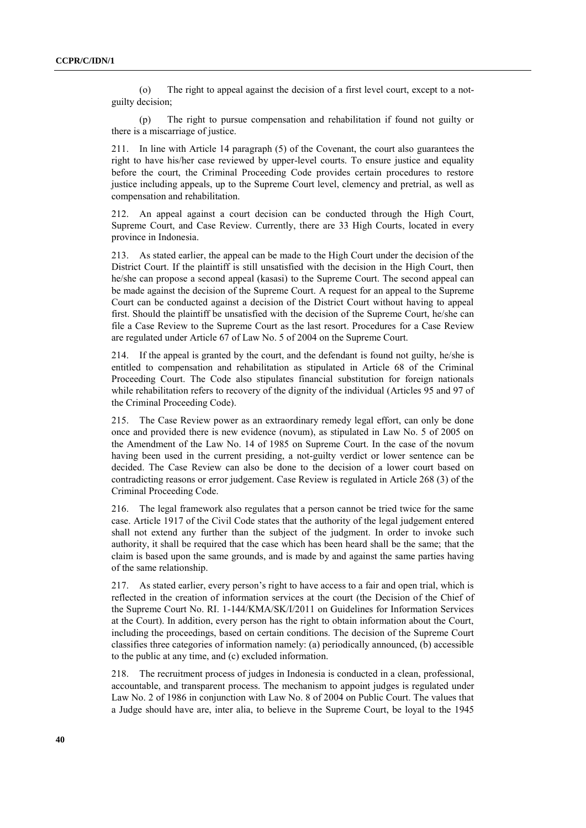(o) The right to appeal against the decision of a first level court, except to a notguilty decision;

(p) The right to pursue compensation and rehabilitation if found not guilty or there is a miscarriage of justice.

211. In line with Article 14 paragraph (5) of the Covenant, the court also guarantees the right to have his/her case reviewed by upper-level courts. To ensure justice and equality before the court, the Criminal Proceeding Code provides certain procedures to restore justice including appeals, up to the Supreme Court level, clemency and pretrial, as well as compensation and rehabilitation.

212. An appeal against a court decision can be conducted through the High Court, Supreme Court, and Case Review. Currently, there are 33 High Courts, located in every province in Indonesia.

213. As stated earlier, the appeal can be made to the High Court under the decision of the District Court. If the plaintiff is still unsatisfied with the decision in the High Court, then he/she can propose a second appeal (kasasi) to the Supreme Court. The second appeal can be made against the decision of the Supreme Court. A request for an appeal to the Supreme Court can be conducted against a decision of the District Court without having to appeal first. Should the plaintiff be unsatisfied with the decision of the Supreme Court, he/she can file a Case Review to the Supreme Court as the last resort. Procedures for a Case Review are regulated under Article 67 of Law No. 5 of 2004 on the Supreme Court.

214. If the appeal is granted by the court, and the defendant is found not guilty, he/she is entitled to compensation and rehabilitation as stipulated in Article 68 of the Criminal Proceeding Court. The Code also stipulates financial substitution for foreign nationals while rehabilitation refers to recovery of the dignity of the individual (Articles 95 and 97 of the Criminal Proceeding Code).

215. The Case Review power as an extraordinary remedy legal effort, can only be done once and provided there is new evidence (novum), as stipulated in Law No. 5 of 2005 on the Amendment of the Law No. 14 of 1985 on Supreme Court. In the case of the novum having been used in the current presiding, a not-guilty verdict or lower sentence can be decided. The Case Review can also be done to the decision of a lower court based on contradicting reasons or error judgement. Case Review is regulated in Article 268 (3) of the Criminal Proceeding Code.

216. The legal framework also regulates that a person cannot be tried twice for the same case. Article 1917 of the Civil Code states that the authority of the legal judgement entered shall not extend any further than the subject of the judgment. In order to invoke such authority, it shall be required that the case which has been heard shall be the same; that the claim is based upon the same grounds, and is made by and against the same parties having of the same relationship.

217. As stated earlier, every person's right to have access to a fair and open trial, which is reflected in the creation of information services at the court (the Decision of the Chief of the Supreme Court No. RI. 1-144/KMA/SK/I/2011 on Guidelines for Information Services at the Court). In addition, every person has the right to obtain information about the Court, including the proceedings, based on certain conditions. The decision of the Supreme Court classifies three categories of information namely: (a) periodically announced, (b) accessible to the public at any time, and (c) excluded information.

218. The recruitment process of judges in Indonesia is conducted in a clean, professional, accountable, and transparent process. The mechanism to appoint judges is regulated under Law No. 2 of 1986 in conjunction with Law No. 8 of 2004 on Public Court. The values that a Judge should have are, inter alia, to believe in the Supreme Court, be loyal to the 1945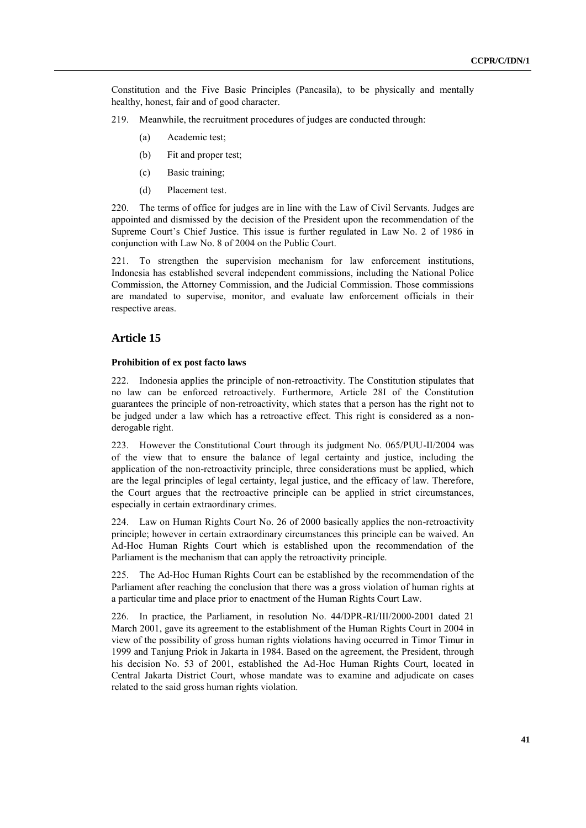Constitution and the Five Basic Principles (Pancasila), to be physically and mentally healthy, honest, fair and of good character.

- 219. Meanwhile, the recruitment procedures of judges are conducted through:
	- (a) Academic test;
	- (b) Fit and proper test;
	- (c) Basic training;
	- (d) Placement test.

220. The terms of office for judges are in line with the Law of Civil Servants. Judges are appointed and dismissed by the decision of the President upon the recommendation of the Supreme Court's Chief Justice. This issue is further regulated in Law No. 2 of 1986 in conjunction with Law No. 8 of 2004 on the Public Court.

221. To strengthen the supervision mechanism for law enforcement institutions, Indonesia has established several independent commissions, including the National Police Commission, the Attorney Commission, and the Judicial Commission. Those commissions are mandated to supervise, monitor, and evaluate law enforcement officials in their respective areas.

## **Article 15**

#### **Prohibition of ex post facto laws**

222. Indonesia applies the principle of non-retroactivity. The Constitution stipulates that no law can be enforced retroactively. Furthermore, Article 28I of the Constitution guarantees the principle of non-retroactivity, which states that a person has the right not to be judged under a law which has a retroactive effect. This right is considered as a nonderogable right.

223. However the Constitutional Court through its judgment No. 065/PUU-II/2004 was of the view that to ensure the balance of legal certainty and justice, including the application of the non-retroactivity principle, three considerations must be applied, which are the legal principles of legal certainty, legal justice, and the efficacy of law. Therefore, the Court argues that the rectroactive principle can be applied in strict circumstances, especially in certain extraordinary crimes.

224. Law on Human Rights Court No. 26 of 2000 basically applies the non-retroactivity principle; however in certain extraordinary circumstances this principle can be waived. An Ad-Hoc Human Rights Court which is established upon the recommendation of the Parliament is the mechanism that can apply the retroactivity principle.

225. The Ad-Hoc Human Rights Court can be established by the recommendation of the Parliament after reaching the conclusion that there was a gross violation of human rights at a particular time and place prior to enactment of the Human Rights Court Law.

226. In practice, the Parliament, in resolution No. 44/DPR-RI/III/2000-2001 dated 21 March 2001, gave its agreement to the establishment of the Human Rights Court in 2004 in view of the possibility of gross human rights violations having occurred in Timor Timur in 1999 and Tanjung Priok in Jakarta in 1984. Based on the agreement, the President, through his decision No. 53 of 2001, established the Ad-Hoc Human Rights Court, located in Central Jakarta District Court, whose mandate was to examine and adjudicate on cases related to the said gross human rights violation.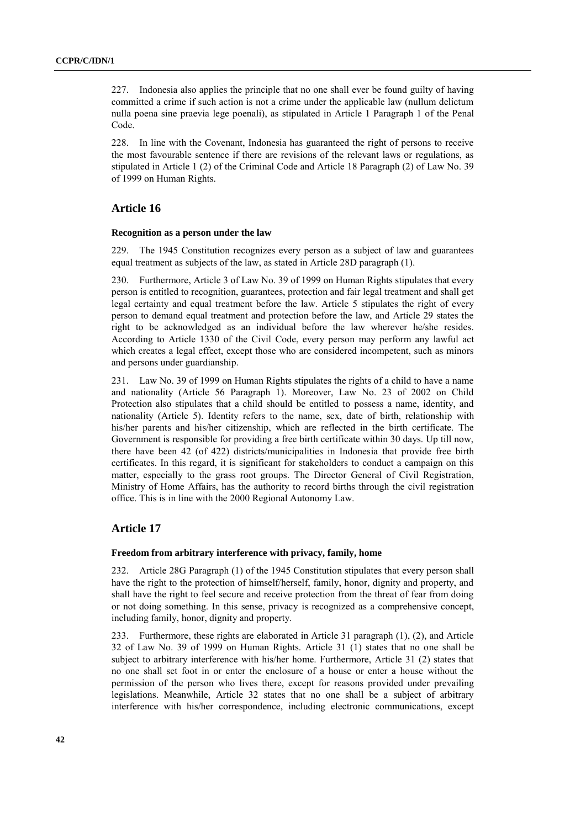227. Indonesia also applies the principle that no one shall ever be found guilty of having committed a crime if such action is not a crime under the applicable law (nullum delictum nulla poena sine praevia lege poenali), as stipulated in Article 1 Paragraph 1 of the Penal Code.

228. In line with the Covenant, Indonesia has guaranteed the right of persons to receive the most favourable sentence if there are revisions of the relevant laws or regulations, as stipulated in Article 1 (2) of the Criminal Code and Article 18 Paragraph (2) of Law No. 39 of 1999 on Human Rights.

#### **Article 16**

#### **Recognition as a person under the law**

229. The 1945 Constitution recognizes every person as a subject of law and guarantees equal treatment as subjects of the law, as stated in Article 28D paragraph (1).

230. Furthermore, Article 3 of Law No. 39 of 1999 on Human Rights stipulates that every person is entitled to recognition, guarantees, protection and fair legal treatment and shall get legal certainty and equal treatment before the law. Article 5 stipulates the right of every person to demand equal treatment and protection before the law, and Article 29 states the right to be acknowledged as an individual before the law wherever he/she resides. According to Article 1330 of the Civil Code, every person may perform any lawful act which creates a legal effect, except those who are considered incompetent, such as minors and persons under guardianship.

231. Law No. 39 of 1999 on Human Rights stipulates the rights of a child to have a name and nationality (Article 56 Paragraph 1). Moreover, Law No. 23 of 2002 on Child Protection also stipulates that a child should be entitled to possess a name, identity, and nationality (Article 5). Identity refers to the name, sex, date of birth, relationship with his/her parents and his/her citizenship, which are reflected in the birth certificate. The Government is responsible for providing a free birth certificate within 30 days. Up till now, there have been 42 (of 422) districts/municipalities in Indonesia that provide free birth certificates. In this regard, it is significant for stakeholders to conduct a campaign on this matter, especially to the grass root groups. The Director General of Civil Registration, Ministry of Home Affairs, has the authority to record births through the civil registration office. This is in line with the 2000 Regional Autonomy Law.

## **Article 17**

#### **Freedom from arbitrary interference with privacy, family, home**

232. Article 28G Paragraph (1) of the 1945 Constitution stipulates that every person shall have the right to the protection of himself/herself, family, honor, dignity and property, and shall have the right to feel secure and receive protection from the threat of fear from doing or not doing something. In this sense, privacy is recognized as a comprehensive concept, including family, honor, dignity and property.

233. Furthermore, these rights are elaborated in Article 31 paragraph (1), (2), and Article 32 of Law No. 39 of 1999 on Human Rights. Article 31 (1) states that no one shall be subject to arbitrary interference with his/her home. Furthermore, Article 31 (2) states that no one shall set foot in or enter the enclosure of a house or enter a house without the permission of the person who lives there, except for reasons provided under prevailing legislations. Meanwhile, Article 32 states that no one shall be a subject of arbitrary interference with his/her correspondence, including electronic communications, except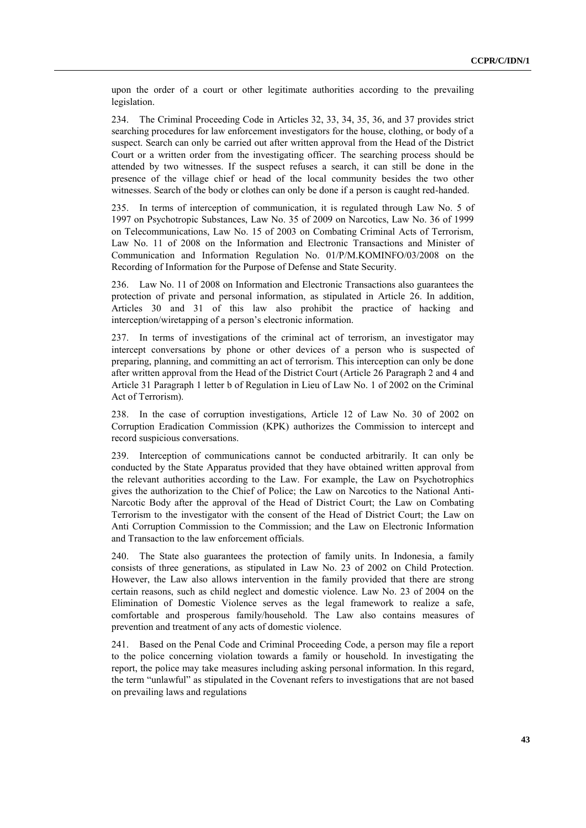upon the order of a court or other legitimate authorities according to the prevailing legislation.

234. The Criminal Proceeding Code in Articles 32, 33, 34, 35, 36, and 37 provides strict searching procedures for law enforcement investigators for the house, clothing, or body of a suspect. Search can only be carried out after written approval from the Head of the District Court or a written order from the investigating officer. The searching process should be attended by two witnesses. If the suspect refuses a search, it can still be done in the presence of the village chief or head of the local community besides the two other witnesses. Search of the body or clothes can only be done if a person is caught red-handed.

235. In terms of interception of communication, it is regulated through Law No. 5 of 1997 on Psychotropic Substances, Law No. 35 of 2009 on Narcotics, Law No. 36 of 1999 on Telecommunications, Law No. 15 of 2003 on Combating Criminal Acts of Terrorism, Law No. 11 of 2008 on the Information and Electronic Transactions and Minister of Communication and Information Regulation No. 01/P/M.KOMINFO/03/2008 on the Recording of Information for the Purpose of Defense and State Security.

Law No. 11 of 2008 on Information and Electronic Transactions also guarantees the protection of private and personal information, as stipulated in Article 26. In addition, Articles 30 and 31 of this law also prohibit the practice of hacking and interception/wiretapping of a person's electronic information.

237. In terms of investigations of the criminal act of terrorism, an investigator may intercept conversations by phone or other devices of a person who is suspected of preparing, planning, and committing an act of terrorism. This interception can only be done after written approval from the Head of the District Court (Article 26 Paragraph 2 and 4 and Article 31 Paragraph 1 letter b of Regulation in Lieu of Law No. 1 of 2002 on the Criminal Act of Terrorism).

238. In the case of corruption investigations, Article 12 of Law No. 30 of 2002 on Corruption Eradication Commission (KPK) authorizes the Commission to intercept and record suspicious conversations.

239. Interception of communications cannot be conducted arbitrarily. It can only be conducted by the State Apparatus provided that they have obtained written approval from the relevant authorities according to the Law. For example, the Law on Psychotrophics gives the authorization to the Chief of Police; the Law on Narcotics to the National Anti-Narcotic Body after the approval of the Head of District Court; the Law on Combating Terrorism to the investigator with the consent of the Head of District Court; the Law on Anti Corruption Commission to the Commission; and the Law on Electronic Information and Transaction to the law enforcement officials.

240. The State also guarantees the protection of family units. In Indonesia, a family consists of three generations, as stipulated in Law No. 23 of 2002 on Child Protection. However, the Law also allows intervention in the family provided that there are strong certain reasons, such as child neglect and domestic violence. Law No. 23 of 2004 on the Elimination of Domestic Violence serves as the legal framework to realize a safe, comfortable and prosperous family/household. The Law also contains measures of prevention and treatment of any acts of domestic violence.

241. Based on the Penal Code and Criminal Proceeding Code, a person may file a report to the police concerning violation towards a family or household. In investigating the report, the police may take measures including asking personal information. In this regard, the term "unlawful" as stipulated in the Covenant refers to investigations that are not based on prevailing laws and regulations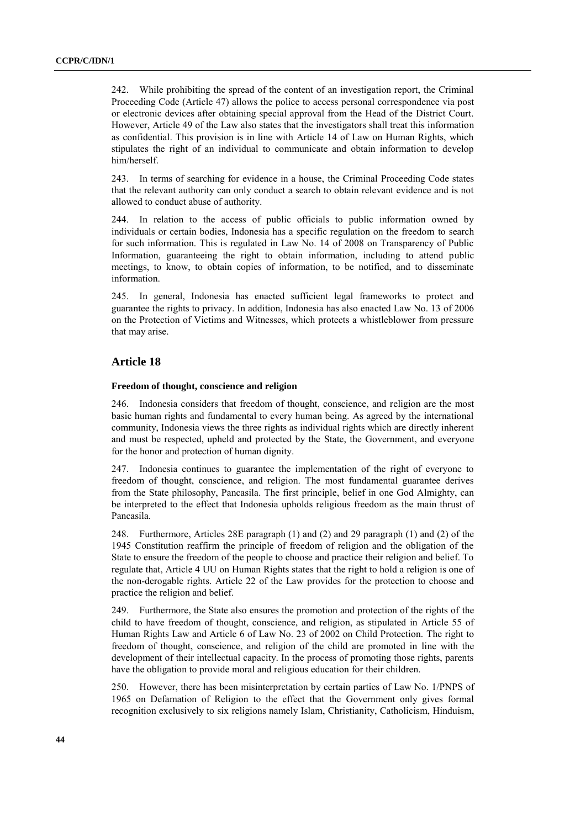242. While prohibiting the spread of the content of an investigation report, the Criminal Proceeding Code (Article 47) allows the police to access personal correspondence via post or electronic devices after obtaining special approval from the Head of the District Court. However, Article 49 of the Law also states that the investigators shall treat this information as confidential. This provision is in line with Article 14 of Law on Human Rights, which stipulates the right of an individual to communicate and obtain information to develop him/herself.

243. In terms of searching for evidence in a house, the Criminal Proceeding Code states that the relevant authority can only conduct a search to obtain relevant evidence and is not allowed to conduct abuse of authority.

244. In relation to the access of public officials to public information owned by individuals or certain bodies, Indonesia has a specific regulation on the freedom to search for such information. This is regulated in Law No. 14 of 2008 on Transparency of Public Information, guaranteeing the right to obtain information, including to attend public meetings, to know, to obtain copies of information, to be notified, and to disseminate information.

245. In general, Indonesia has enacted sufficient legal frameworks to protect and guarantee the rights to privacy. In addition, Indonesia has also enacted Law No. 13 of 2006 on the Protection of Victims and Witnesses, which protects a whistleblower from pressure that may arise.

## **Article 18**

#### **Freedom of thought, conscience and religion**

246. Indonesia considers that freedom of thought, conscience, and religion are the most basic human rights and fundamental to every human being. As agreed by the international community, Indonesia views the three rights as individual rights which are directly inherent and must be respected, upheld and protected by the State, the Government, and everyone for the honor and protection of human dignity.

247. Indonesia continues to guarantee the implementation of the right of everyone to freedom of thought, conscience, and religion. The most fundamental guarantee derives from the State philosophy, Pancasila. The first principle, belief in one God Almighty, can be interpreted to the effect that Indonesia upholds religious freedom as the main thrust of Pancasila.

248. Furthermore, Articles 28E paragraph (1) and (2) and 29 paragraph (1) and (2) of the 1945 Constitution reaffirm the principle of freedom of religion and the obligation of the State to ensure the freedom of the people to choose and practice their religion and belief. To regulate that, Article 4 UU on Human Rights states that the right to hold a religion is one of the non-derogable rights. Article 22 of the Law provides for the protection to choose and practice the religion and belief.

249. Furthermore, the State also ensures the promotion and protection of the rights of the child to have freedom of thought, conscience, and religion, as stipulated in Article 55 of Human Rights Law and Article 6 of Law No. 23 of 2002 on Child Protection. The right to freedom of thought, conscience, and religion of the child are promoted in line with the development of their intellectual capacity. In the process of promoting those rights, parents have the obligation to provide moral and religious education for their children.

250. However, there has been misinterpretation by certain parties of Law No. 1/PNPS of 1965 on Defamation of Religion to the effect that the Government only gives formal recognition exclusively to six religions namely Islam, Christianity, Catholicism, Hinduism,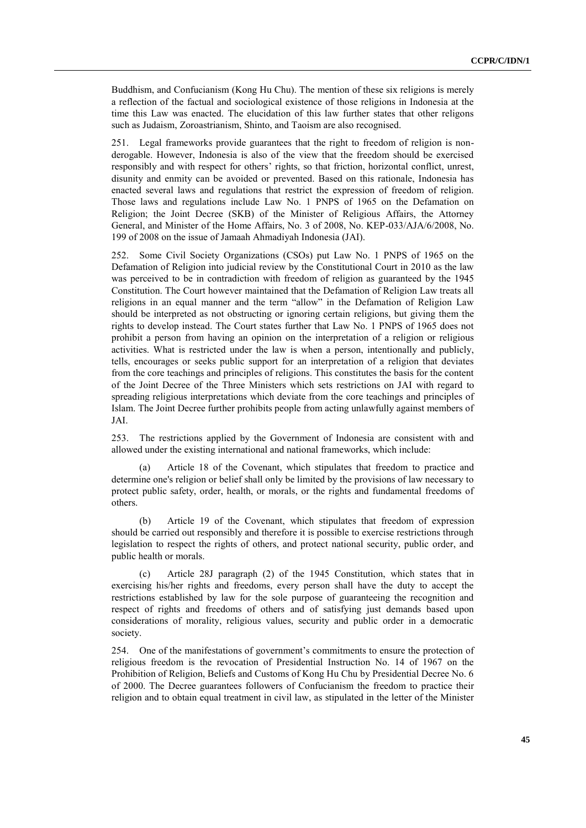Buddhism, and Confucianism (Kong Hu Chu). The mention of these six religions is merely a reflection of the factual and sociological existence of those religions in Indonesia at the time this Law was enacted. The elucidation of this law further states that other religons such as Judaism, Zoroastrianism, Shinto, and Taoism are also recognised.

251. Legal frameworks provide guarantees that the right to freedom of religion is nonderogable. However, Indonesia is also of the view that the freedom should be exercised responsibly and with respect for others' rights, so that friction, horizontal conflict, unrest, disunity and enmity can be avoided or prevented. Based on this rationale, Indonesia has enacted several laws and regulations that restrict the expression of freedom of religion. Those laws and regulations include Law No. 1 PNPS of 1965 on the Defamation on Religion; the Joint Decree (SKB) of the Minister of Religious Affairs, the Attorney General, and Minister of the Home Affairs, No. 3 of 2008, No. KEP-033/AJA/6/2008, No. 199 of 2008 on the issue of Jamaah Ahmadiyah Indonesia (JAI).

252. Some Civil Society Organizations (CSOs) put Law No. 1 PNPS of 1965 on the Defamation of Religion into judicial review by the Constitutional Court in 2010 as the law was perceived to be in contradiction with freedom of religion as guaranteed by the 1945 Constitution. The Court however maintained that the Defamation of Religion Law treats all religions in an equal manner and the term "allow" in the Defamation of Religion Law should be interpreted as not obstructing or ignoring certain religions, but giving them the rights to develop instead. The Court states further that Law No. 1 PNPS of 1965 does not prohibit a person from having an opinion on the interpretation of a religion or religious activities. What is restricted under the law is when a person, intentionally and publicly, tells, encourages or seeks public support for an interpretation of a religion that deviates from the core teachings and principles of religions. This constitutes the basis for the content of the Joint Decree of the Three Ministers which sets restrictions on JAI with regard to spreading religious interpretations which deviate from the core teachings and principles of Islam. The Joint Decree further prohibits people from acting unlawfully against members of JAI.

253. The restrictions applied by the Government of Indonesia are consistent with and allowed under the existing international and national frameworks, which include:

(a) Article 18 of the Covenant, which stipulates that freedom to practice and determine one's religion or belief shall only be limited by the provisions of law necessary to protect public safety, order, health, or morals, or the rights and fundamental freedoms of others.

(b) Article 19 of the Covenant, which stipulates that freedom of expression should be carried out responsibly and therefore it is possible to exercise restrictions through legislation to respect the rights of others, and protect national security, public order, and public health or morals.

(c) Article 28J paragraph (2) of the 1945 Constitution, which states that in exercising his/her rights and freedoms, every person shall have the duty to accept the restrictions established by law for the sole purpose of guaranteeing the recognition and respect of rights and freedoms of others and of satisfying just demands based upon considerations of morality, religious values, security and public order in a democratic society.

254. One of the manifestations of government's commitments to ensure the protection of religious freedom is the revocation of Presidential Instruction No. 14 of 1967 on the Prohibition of Religion, Beliefs and Customs of Kong Hu Chu by Presidential Decree No. 6 of 2000. The Decree guarantees followers of Confucianism the freedom to practice their religion and to obtain equal treatment in civil law, as stipulated in the letter of the Minister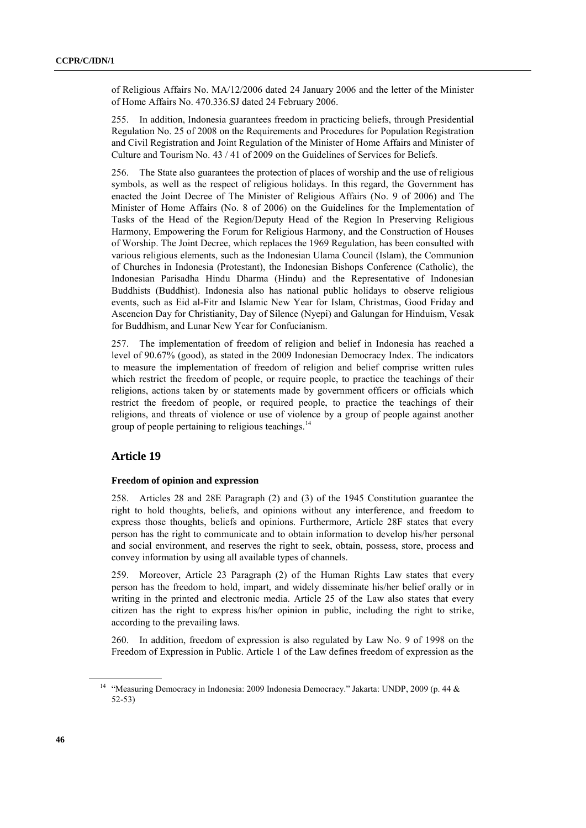of Religious Affairs No. MA/12/2006 dated 24 January 2006 and the letter of the Minister of Home Affairs No. 470.336.SJ dated 24 February 2006.

255. In addition, Indonesia guarantees freedom in practicing beliefs, through Presidential Regulation No. 25 of 2008 on the Requirements and Procedures for Population Registration and Civil Registration and Joint Regulation of the Minister of Home Affairs and Minister of Culture and Tourism No. 43 / 41 of 2009 on the Guidelines of Services for Beliefs.

256. The State also guarantees the protection of places of worship and the use of religious symbols, as well as the respect of religious holidays. In this regard, the Government has enacted the Joint Decree of The Minister of Religious Affairs (No. 9 of 2006) and The Minister of Home Affairs (No. 8 of 2006) on the Guidelines for the Implementation of Tasks of the Head of the Region/Deputy Head of the Region In Preserving Religious Harmony, Empowering the Forum for Religious Harmony, and the Construction of Houses of Worship. The Joint Decree, which replaces the 1969 Regulation, has been consulted with various religious elements, such as the Indonesian Ulama Council (Islam), the Communion of Churches in Indonesia (Protestant), the Indonesian Bishops Conference (Catholic), the Indonesian Parisadha Hindu Dharma (Hindu) and the Representative of Indonesian Buddhists (Buddhist). Indonesia also has national public holidays to observe religious events, such as Eid al-Fitr and Islamic New Year for Islam, Christmas, Good Friday and Ascencion Day for Christianity, Day of Silence (Nyepi) and Galungan for Hinduism, Vesak for Buddhism, and Lunar New Year for Confucianism.

257. The implementation of freedom of religion and belief in Indonesia has reached a level of 90.67% (good), as stated in the 2009 Indonesian Democracy Index. The indicators to measure the implementation of freedom of religion and belief comprise written rules which restrict the freedom of people, or require people, to practice the teachings of their religions, actions taken by or statements made by government officers or officials which restrict the freedom of people, or required people, to practice the teachings of their religions, and threats of violence or use of violence by a group of people against another group of people pertaining to religious teachings.<sup>14</sup>

## **Article 19**

#### **Freedom of opinion and expression**

258. Articles 28 and 28E Paragraph (2) and (3) of the 1945 Constitution guarantee the right to hold thoughts, beliefs, and opinions without any interference, and freedom to express those thoughts, beliefs and opinions. Furthermore, Article 28F states that every person has the right to communicate and to obtain information to develop his/her personal and social environment, and reserves the right to seek, obtain, possess, store, process and convey information by using all available types of channels.

259. Moreover, Article 23 Paragraph (2) of the Human Rights Law states that every person has the freedom to hold, impart, and widely disseminate his/her belief orally or in writing in the printed and electronic media. Article 25 of the Law also states that every citizen has the right to express his/her opinion in public, including the right to strike, according to the prevailing laws.

260. In addition, freedom of expression is also regulated by Law No. 9 of 1998 on the Freedom of Expression in Public. Article 1 of the Law defines freedom of expression as the

<sup>&</sup>lt;sup>14</sup> "Measuring Democracy in Indonesia: 2009 Indonesia Democracy." Jakarta: UNDP, 2009 (p. 44 & 52-53)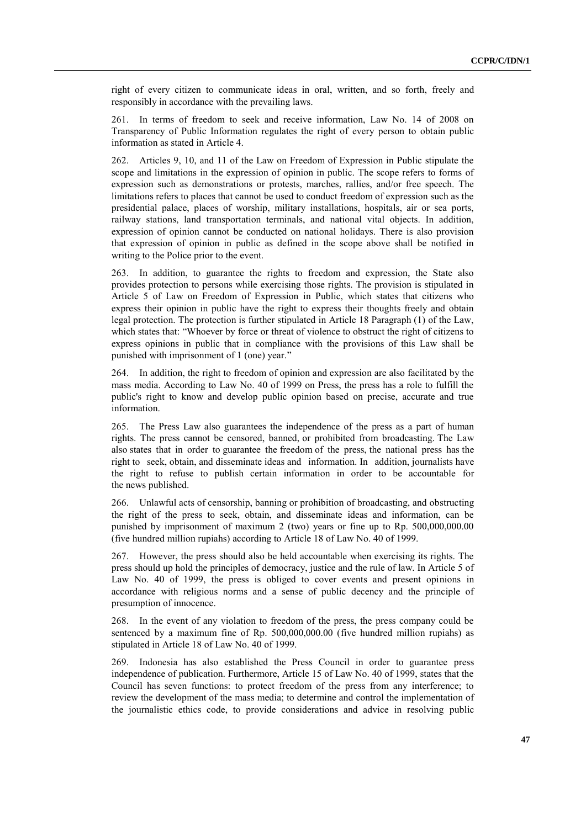right of every citizen to communicate ideas in oral, written, and so forth, freely and responsibly in accordance with the prevailing laws.

261. In terms of freedom to seek and receive information, Law No. 14 of 2008 on Transparency of Public Information regulates the right of every person to obtain public information as stated in Article 4.

262. Articles 9, 10, and 11 of the Law on Freedom of Expression in Public stipulate the scope and limitations in the expression of opinion in public. The scope refers to forms of expression such as demonstrations or protests, marches, rallies, and/or free speech. The limitations refers to places that cannot be used to conduct freedom of expression such as the presidential palace, places of worship, military installations, hospitals, air or sea ports, railway stations, land transportation terminals, and national vital objects. In addition, expression of opinion cannot be conducted on national holidays. There is also provision that expression of opinion in public as defined in the scope above shall be notified in writing to the Police prior to the event.

263. In addition, to guarantee the rights to freedom and expression, the State also provides protection to persons while exercising those rights. The provision is stipulated in Article 5 of Law on Freedom of Expression in Public, which states that citizens who express their opinion in public have the right to express their thoughts freely and obtain legal protection. The protection is further stipulated in Article 18 Paragraph (1) of the Law, which states that: "Whoever by force or threat of violence to obstruct the right of citizens to express opinions in public that in compliance with the provisions of this Law shall be punished with imprisonment of 1 (one) year."

264. In addition, the right to freedom of opinion and expression are also facilitated by the mass media. According to Law No. 40 of 1999 on Press, the press has a role to fulfill the public's right to know and develop public opinion based on precise, accurate and true information.

265. The Press Law also guarantees the independence of the press as a part of human rights. The press cannot be censored, banned, or prohibited from broadcasting. The Law also states that in order to guarantee the freedom of the press, the national press has the right to seek, obtain, and disseminate ideas and information. In addition, journalists have the right to refuse to publish certain information in order to be accountable for the news published.

266. Unlawful acts of censorship, banning or prohibition of broadcasting, and obstructing the right of the press to seek, obtain, and disseminate ideas and information, can be punished by imprisonment of maximum 2 (two) years or fine up to Rp. 500,000,000.00 (five hundred million rupiahs) according to Article 18 of Law No. 40 of 1999.

267. However, the press should also be held accountable when exercising its rights. The press should up hold the principles of democracy, justice and the rule of law. In Article 5 of Law No. 40 of 1999, the press is obliged to cover events and present opinions in accordance with religious norms and a sense of public decency and the principle of presumption of innocence.

268. In the event of any violation to freedom of the press, the press company could be sentenced by a maximum fine of Rp. 500,000,000.00 (five hundred million rupiahs) as stipulated in Article 18 of Law No. 40 of 1999.

269. Indonesia has also established the Press Council in order to guarantee press independence of publication. Furthermore, Article 15 of Law No. 40 of 1999, states that the Council has seven functions: to protect freedom of the press from any interference; to review the development of the mass media; to determine and control the implementation of the journalistic ethics code, to provide considerations and advice in resolving public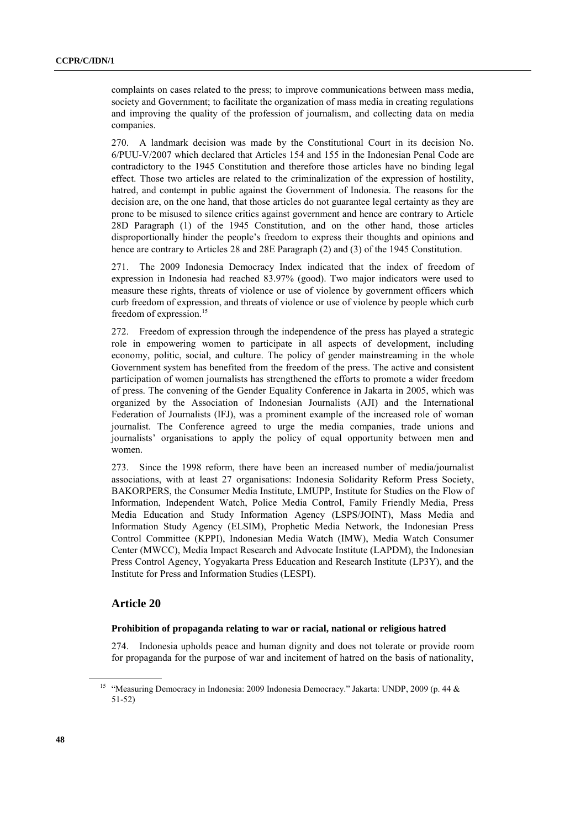complaints on cases related to the press; to improve communications between mass media, society and Government; to facilitate the organization of mass media in creating regulations and improving the quality of the profession of journalism, and collecting data on media companies.

270. A landmark decision was made by the Constitutional Court in its decision No. 6/PUU-V/2007 which declared that Articles 154 and 155 in the Indonesian Penal Code are contradictory to the 1945 Constitution and therefore those articles have no binding legal effect. Those two articles are related to the criminalization of the expression of hostility, hatred, and contempt in public against the Government of Indonesia. The reasons for the decision are, on the one hand, that those articles do not guarantee legal certainty as they are prone to be misused to silence critics against government and hence are contrary to Article 28D Paragraph (1) of the 1945 Constitution, and on the other hand, those articles disproportionally hinder the people's freedom to express their thoughts and opinions and hence are contrary to Articles 28 and 28E Paragraph (2) and (3) of the 1945 Constitution.

271. The 2009 Indonesia Democracy Index indicated that the index of freedom of expression in Indonesia had reached 83.97% (good). Two major indicators were used to measure these rights, threats of violence or use of violence by government officers which curb freedom of expression, and threats of violence or use of violence by people which curb freedom of expression.<sup>15</sup>

272. Freedom of expression through the independence of the press has played a strategic role in empowering women to participate in all aspects of development, including economy, politic, social, and culture. The policy of gender mainstreaming in the whole Government system has benefited from the freedom of the press. The active and consistent participation of women journalists has strengthened the efforts to promote a wider freedom of press. The convening of the Gender Equality Conference in Jakarta in 2005, which was organized by the Association of Indonesian Journalists (AJI) and the International Federation of Journalists (IFJ), was a prominent example of the increased role of woman journalist. The Conference agreed to urge the media companies, trade unions and journalists' organisations to apply the policy of equal opportunity between men and women.

273. Since the 1998 reform, there have been an increased number of media/journalist associations, with at least 27 organisations: Indonesia Solidarity Reform Press Society, BAKORPERS, the Consumer Media Institute, LMUPP, Institute for Studies on the Flow of Information, Independent Watch, Police Media Control, Family Friendly Media, Press Media Education and Study Information Agency (LSPS/JOINT), Mass Media and Information Study Agency (ELSIM), Prophetic Media Network, the Indonesian Press Control Committee (KPPI), Indonesian Media Watch (IMW), Media Watch Consumer Center (MWCC), Media Impact Research and Advocate Institute (LAPDM), the Indonesian Press Control Agency, Yogyakarta Press Education and Research Institute (LP3Y), and the Institute for Press and Information Studies (LESPI).

#### **Article 20**

#### **Prohibition of propaganda relating to war or racial, national or religious hatred**

274. Indonesia upholds peace and human dignity and does not tolerate or provide room for propaganda for the purpose of war and incitement of hatred on the basis of nationality,

<sup>&</sup>lt;sup>15</sup> "Measuring Democracy in Indonesia: 2009 Indonesia Democracy." Jakarta: UNDP, 2009 (p. 44 & 51-52)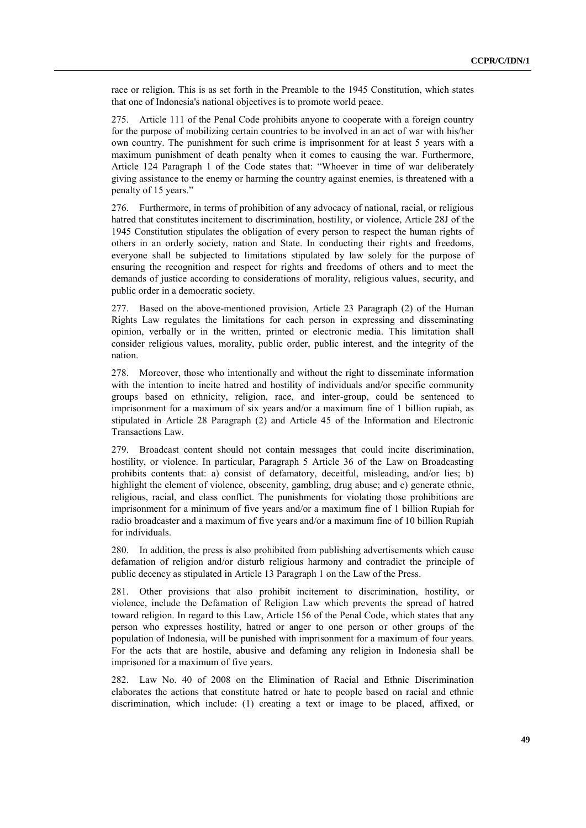race or religion. This is as set forth in the Preamble to the 1945 Constitution, which states that one of Indonesia's national objectives is to promote world peace.

275. Article 111 of the Penal Code prohibits anyone to cooperate with a foreign country for the purpose of mobilizing certain countries to be involved in an act of war with his/her own country. The punishment for such crime is imprisonment for at least 5 years with a maximum punishment of death penalty when it comes to causing the war. Furthermore, Article 124 Paragraph 1 of the Code states that: "Whoever in time of war deliberately giving assistance to the enemy or harming the country against enemies, is threatened with a penalty of 15 years."

276. Furthermore, in terms of prohibition of any advocacy of national, racial, or religious hatred that constitutes incitement to discrimination, hostility, or violence, Article 28J of the 1945 Constitution stipulates the obligation of every person to respect the human rights of others in an orderly society, nation and State. In conducting their rights and freedoms, everyone shall be subjected to limitations stipulated by law solely for the purpose of ensuring the recognition and respect for rights and freedoms of others and to meet the demands of justice according to considerations of morality, religious values, security, and public order in a democratic society.

277. Based on the above-mentioned provision, Article 23 Paragraph (2) of the Human Rights Law regulates the limitations for each person in expressing and disseminating opinion, verbally or in the written, printed or electronic media. This limitation shall consider religious values, morality, public order, public interest, and the integrity of the nation.

278. Moreover, those who intentionally and without the right to disseminate information with the intention to incite hatred and hostility of individuals and/or specific community groups based on ethnicity, religion, race, and inter-group, could be sentenced to imprisonment for a maximum of six years and/or a maximum fine of 1 billion rupiah, as stipulated in Article 28 Paragraph (2) and Article 45 of the Information and Electronic Transactions Law.

279. Broadcast content should not contain messages that could incite discrimination, hostility, or violence. In particular, Paragraph 5 Article 36 of the Law on Broadcasting prohibits contents that: a) consist of defamatory, deceitful, misleading, and/or lies; b) highlight the element of violence, obscenity, gambling, drug abuse; and c) generate ethnic, religious, racial, and class conflict. The punishments for violating those prohibitions are imprisonment for a minimum of five years and/or a maximum fine of 1 billion Rupiah for radio broadcaster and a maximum of five years and/or a maximum fine of 10 billion Rupiah for individuals.

280. In addition, the press is also prohibited from publishing advertisements which cause defamation of religion and/or disturb religious harmony and contradict the principle of public decency as stipulated in Article 13 Paragraph 1 on the Law of the Press.

281. Other provisions that also prohibit incitement to discrimination, hostility, or violence, include the Defamation of Religion Law which prevents the spread of hatred toward religion. In regard to this Law, Article 156 of the Penal Code, which states that any person who expresses hostility, hatred or anger to one person or other groups of the population of Indonesia, will be punished with imprisonment for a maximum of four years. For the acts that are hostile, abusive and defaming any religion in Indonesia shall be imprisoned for a maximum of five years.

282. Law No. 40 of 2008 on the Elimination of Racial and Ethnic Discrimination elaborates the actions that constitute hatred or hate to people based on racial and ethnic discrimination, which include: (1) creating a text or image to be placed, affixed, or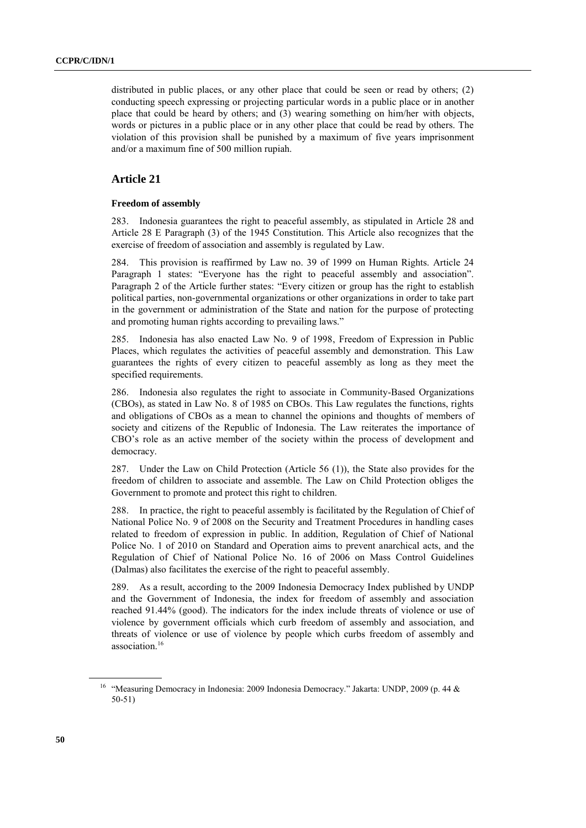distributed in public places, or any other place that could be seen or read by others; (2) conducting speech expressing or projecting particular words in a public place or in another place that could be heard by others; and (3) wearing something on him/her with objects, words or pictures in a public place or in any other place that could be read by others. The violation of this provision shall be punished by a maximum of five years imprisonment and/or a maximum fine of 500 million rupiah.

## **Article 21**

#### **Freedom of assembly**

283. Indonesia guarantees the right to peaceful assembly, as stipulated in Article 28 and Article 28 E Paragraph (3) of the 1945 Constitution. This Article also recognizes that the exercise of freedom of association and assembly is regulated by Law.

284. This provision is reaffirmed by Law no. 39 of 1999 on Human Rights. Article 24 Paragraph 1 states: "Everyone has the right to peaceful assembly and association". Paragraph 2 of the Article further states: "Every citizen or group has the right to establish political parties, non-governmental organizations or other organizations in order to take part in the government or administration of the State and nation for the purpose of protecting and promoting human rights according to prevailing laws."

285. Indonesia has also enacted Law No. 9 of 1998, Freedom of Expression in Public Places, which regulates the activities of peaceful assembly and demonstration. This Law guarantees the rights of every citizen to peaceful assembly as long as they meet the specified requirements.

286. Indonesia also regulates the right to associate in Community-Based Organizations (CBOs), as stated in Law No. 8 of 1985 on CBOs. This Law regulates the functions, rights and obligations of CBOs as a mean to channel the opinions and thoughts of members of society and citizens of the Republic of Indonesia. The Law reiterates the importance of CBO's role as an active member of the society within the process of development and democracy.

287. Under the Law on Child Protection (Article 56 (1)), the State also provides for the freedom of children to associate and assemble. The Law on Child Protection obliges the Government to promote and protect this right to children.

288. In practice, the right to peaceful assembly is facilitated by the Regulation of Chief of National Police No. 9 of 2008 on the Security and Treatment Procedures in handling cases related to freedom of expression in public. In addition, Regulation of Chief of National Police No. 1 of 2010 on Standard and Operation aims to prevent anarchical acts, and the Regulation of Chief of National Police No. 16 of 2006 on Mass Control Guidelines (Dalmas) also facilitates the exercise of the right to peaceful assembly.

289. As a result, according to the 2009 Indonesia Democracy Index published by UNDP and the Government of Indonesia, the index for freedom of assembly and association reached 91.44% (good). The indicators for the index include threats of violence or use of violence by government officials which curb freedom of assembly and association, and threats of violence or use of violence by people which curbs freedom of assembly and association.<sup>16</sup>

<sup>&</sup>lt;sup>16</sup> "Measuring Democracy in Indonesia: 2009 Indonesia Democracy." Jakarta: UNDP, 2009 (p. 44 & 50-51)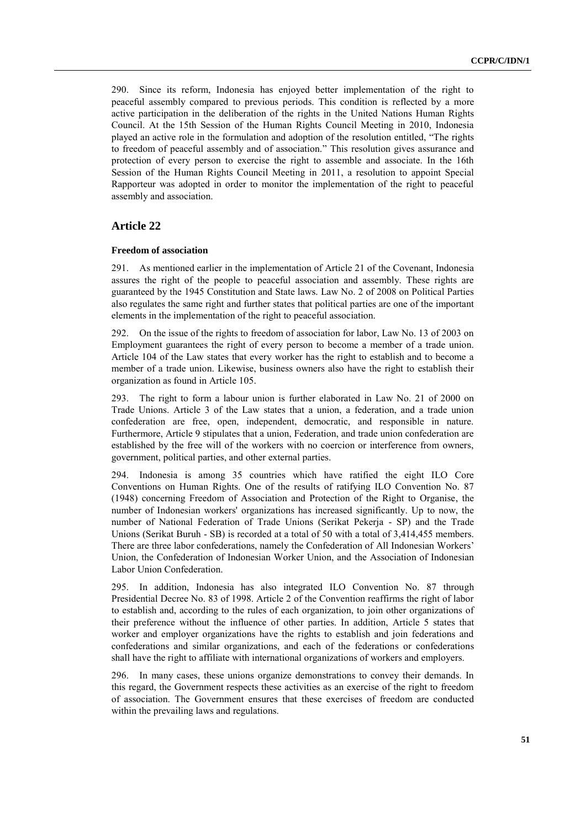290. Since its reform, Indonesia has enjoyed better implementation of the right to peaceful assembly compared to previous periods. This condition is reflected by a more active participation in the deliberation of the rights in the United Nations Human Rights Council. At the 15th Session of the Human Rights Council Meeting in 2010, Indonesia played an active role in the formulation and adoption of the resolution entitled, "The rights to freedom of peaceful assembly and of association." This resolution gives assurance and protection of every person to exercise the right to assemble and associate. In the 16th Session of the Human Rights Council Meeting in 2011, a resolution to appoint Special Rapporteur was adopted in order to monitor the implementation of the right to peaceful assembly and association.

#### **Article 22**

#### **Freedom of association**

291. As mentioned earlier in the implementation of Article 21 of the Covenant, Indonesia assures the right of the people to peaceful association and assembly. These rights are guaranteed by the 1945 Constitution and State laws. Law No. 2 of 2008 on Political Parties also regulates the same right and further states that political parties are one of the important elements in the implementation of the right to peaceful association.

292. On the issue of the rights to freedom of association for labor, Law No. 13 of 2003 on Employment guarantees the right of every person to become a member of a trade union. Article 104 of the Law states that every worker has the right to establish and to become a member of a trade union. Likewise, business owners also have the right to establish their organization as found in Article 105.

293. The right to form a labour union is further elaborated in Law No. 21 of 2000 on Trade Unions. Article 3 of the Law states that a union, a federation, and a trade union confederation are free, open, independent, democratic, and responsible in nature. Furthermore, Article 9 stipulates that a union, Federation, and trade union confederation are established by the free will of the workers with no coercion or interference from owners, government, political parties, and other external parties.

294. Indonesia is among 35 countries which have ratified the eight ILO Core Conventions on Human Rights. One of the results of ratifying ILO Convention No. 87 (1948) concerning Freedom of Association and Protection of the Right to Organise, the number of Indonesian workers' organizations has increased significantly. Up to now, the number of National Federation of Trade Unions (Serikat Pekerja - SP) and the Trade Unions (Serikat Buruh - SB) is recorded at a total of 50 with a total of 3,414,455 members. There are three labor confederations, namely the Confederation of All Indonesian Workers' Union, the Confederation of Indonesian Worker Union, and the Association of Indonesian Labor Union Confederation.

295. In addition, Indonesia has also integrated ILO Convention No. 87 through Presidential Decree No. 83 of 1998. Article 2 of the Convention reaffirms the right of labor to establish and, according to the rules of each organization, to join other organizations of their preference without the influence of other parties. In addition, Article 5 states that worker and employer organizations have the rights to establish and join federations and confederations and similar organizations, and each of the federations or confederations shall have the right to affiliate with international organizations of workers and employers.

296. In many cases, these unions organize demonstrations to convey their demands. In this regard, the Government respects these activities as an exercise of the right to freedom of association. The Government ensures that these exercises of freedom are conducted within the prevailing laws and regulations.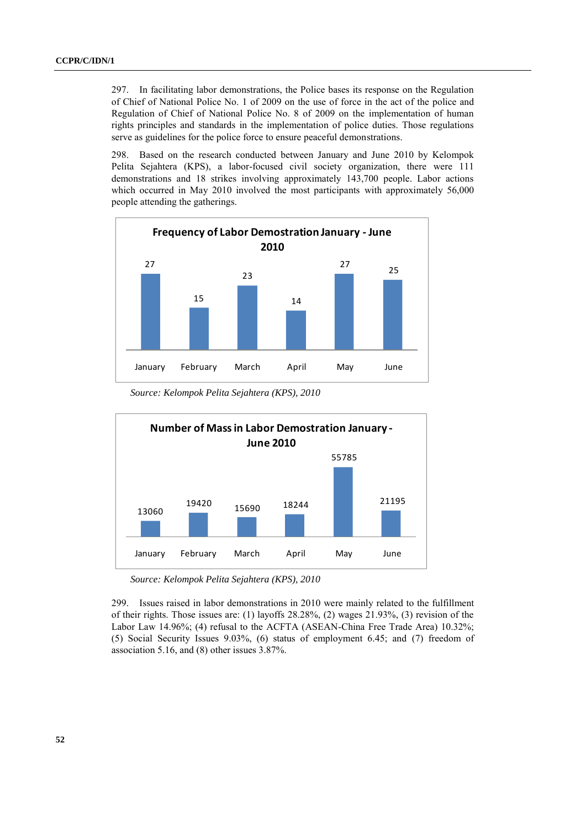297. In facilitating labor demonstrations, the Police bases its response on the Regulation of Chief of National Police No. 1 of 2009 on the use of force in the act of the police and Regulation of Chief of National Police No. 8 of 2009 on the implementation of human rights principles and standards in the implementation of police duties. Those regulations serve as guidelines for the police force to ensure peaceful demonstrations.

298. Based on the research conducted between January and June 2010 by Kelompok Pelita Sejahtera (KPS), a labor-focused civil society organization, there were 111 demonstrations and 18 strikes involving approximately 143,700 people. Labor actions which occurred in May 2010 involved the most participants with approximately 56,000 people attending the gatherings.



*Source: Kelompok Pelita Sejahtera (KPS), 2010*



*Source: Kelompok Pelita Sejahtera (KPS), 2010*

299. Issues raised in labor demonstrations in 2010 were mainly related to the fulfillment of their rights. Those issues are: (1) layoffs  $28.28\%$ , (2) wages  $21.93\%$ , (3) revision of the Labor Law 14.96%; (4) refusal to the ACFTA (ASEAN-China Free Trade Area) 10.32%; (5) Social Security Issues 9.03%, (6) status of employment 6.45; and (7) freedom of association 5.16, and (8) other issues 3.87%.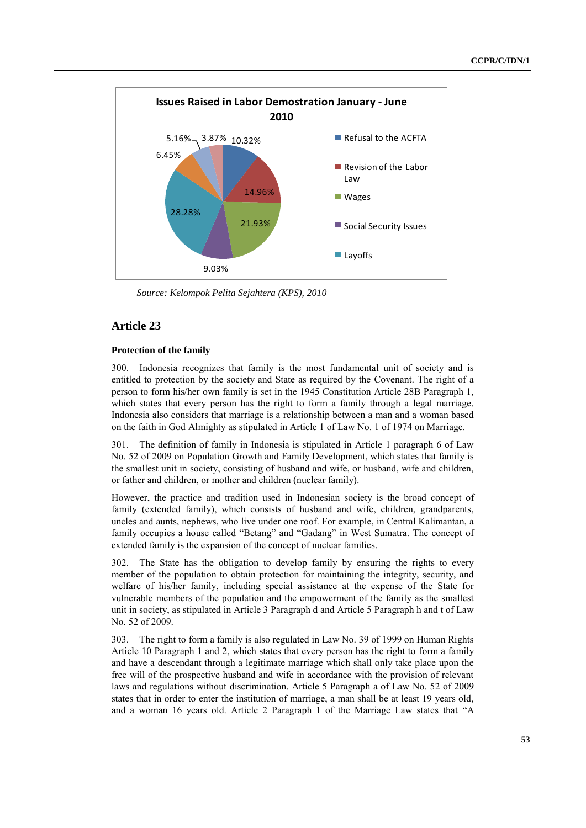

*Source: Kelompok Pelita Sejahtera (KPS), 2010*

## **Article 23**

#### **Protection of the family**

300. Indonesia recognizes that family is the most fundamental unit of society and is entitled to protection by the society and State as required by the Covenant. The right of a person to form his/her own family is set in the 1945 Constitution Article 28B Paragraph 1, which states that every person has the right to form a family through a legal marriage. Indonesia also considers that marriage is a relationship between a man and a woman based on the faith in God Almighty as stipulated in Article 1 of Law No. 1 of 1974 on Marriage.

301. The definition of family in Indonesia is stipulated in Article 1 paragraph 6 of Law No. 52 of 2009 on Population Growth and Family Development, which states that family is the smallest unit in society, consisting of husband and wife, or husband, wife and children, or father and children, or mother and children (nuclear family).

However, the practice and tradition used in Indonesian society is the broad concept of family (extended family), which consists of husband and wife, children, grandparents, uncles and aunts, nephews, who live under one roof. For example, in Central Kalimantan, a family occupies a house called "Betang" and "Gadang" in West Sumatra. The concept of extended family is the expansion of the concept of nuclear families.

302. The State has the obligation to develop family by ensuring the rights to every member of the population to obtain protection for maintaining the integrity, security, and welfare of his/her family, including special assistance at the expense of the State for vulnerable members of the population and the empowerment of the family as the smallest unit in society, as stipulated in Article 3 Paragraph d and Article 5 Paragraph h and t of Law No. 52 of 2009.

303. The right to form a family is also regulated in Law No. 39 of 1999 on Human Rights Article 10 Paragraph 1 and 2, which states that every person has the right to form a family and have a descendant through a legitimate marriage which shall only take place upon the free will of the prospective husband and wife in accordance with the provision of relevant laws and regulations without discrimination. Article 5 Paragraph a of Law No. 52 of 2009 states that in order to enter the institution of marriage, a man shall be at least 19 years old, and a woman 16 years old. Article 2 Paragraph 1 of the Marriage Law states that "A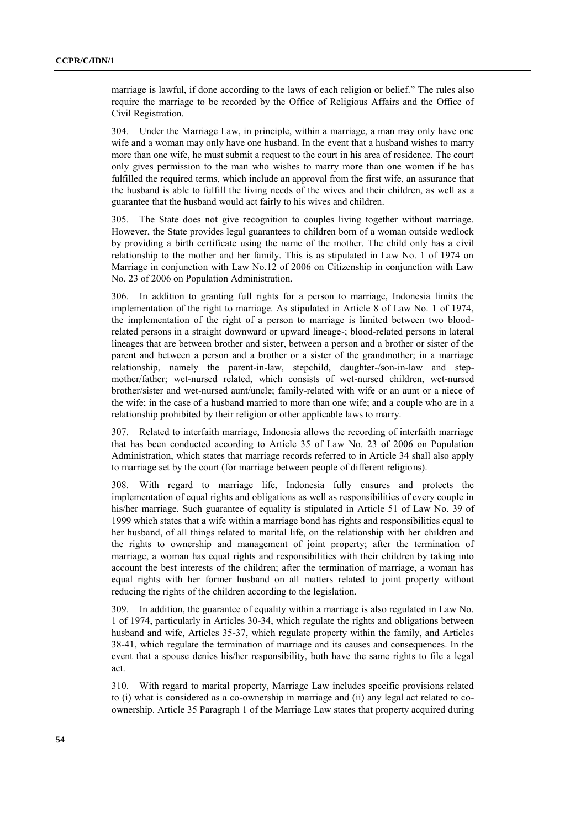marriage is lawful, if done according to the laws of each religion or belief." The rules also require the marriage to be recorded by the Office of Religious Affairs and the Office of Civil Registration.

304. Under the Marriage Law, in principle, within a marriage, a man may only have one wife and a woman may only have one husband. In the event that a husband wishes to marry more than one wife, he must submit a request to the court in his area of residence. The court only gives permission to the man who wishes to marry more than one women if he has fulfilled the required terms, which include an approval from the first wife, an assurance that the husband is able to fulfill the living needs of the wives and their children, as well as a guarantee that the husband would act fairly to his wives and children.

305. The State does not give recognition to couples living together without marriage. However, the State provides legal guarantees to children born of a woman outside wedlock by providing a birth certificate using the name of the mother. The child only has a civil relationship to the mother and her family. This is as stipulated in Law No. 1 of 1974 on Marriage in conjunction with Law No.12 of 2006 on Citizenship in conjunction with Law No. 23 of 2006 on Population Administration.

306. In addition to granting full rights for a person to marriage, Indonesia limits the implementation of the right to marriage. As stipulated in Article 8 of Law No. 1 of 1974, the implementation of the right of a person to marriage is limited between two bloodrelated persons in a straight downward or upward lineage-; blood-related persons in lateral lineages that are between brother and sister, between a person and a brother or sister of the parent and between a person and a brother or a sister of the grandmother; in a marriage relationship, namely the parent-in-law, stepchild, daughter-/son-in-law and stepmother/father; wet-nursed related, which consists of wet-nursed children, wet-nursed brother/sister and wet-nursed aunt/uncle; family-related with wife or an aunt or a niece of the wife; in the case of a husband married to more than one wife; and a couple who are in a relationship prohibited by their religion or other applicable laws to marry.

307. Related to interfaith marriage, Indonesia allows the recording of interfaith marriage that has been conducted according to Article 35 of Law No. 23 of 2006 on Population Administration, which states that marriage records referred to in Article 34 shall also apply to marriage set by the court (for marriage between people of different religions).

308. With regard to marriage life, Indonesia fully ensures and protects the implementation of equal rights and obligations as well as responsibilities of every couple in his/her marriage. Such guarantee of equality is stipulated in Article 51 of Law No. 39 of 1999 which states that a wife within a marriage bond has rights and responsibilities equal to her husband, of all things related to marital life, on the relationship with her children and the rights to ownership and management of joint property; after the termination of marriage, a woman has equal rights and responsibilities with their children by taking into account the best interests of the children; after the termination of marriage, a woman has equal rights with her former husband on all matters related to joint property without reducing the rights of the children according to the legislation.

309. In addition, the guarantee of equality within a marriage is also regulated in Law No. 1 of 1974, particularly in Articles 30-34, which regulate the rights and obligations between husband and wife, Articles 35-37, which regulate property within the family, and Articles 38-41, which regulate the termination of marriage and its causes and consequences. In the event that a spouse denies his/her responsibility, both have the same rights to file a legal act.

310. With regard to marital property, Marriage Law includes specific provisions related to (i) what is considered as a co-ownership in marriage and (ii) any legal act related to coownership. Article 35 Paragraph 1 of the Marriage Law states that property acquired during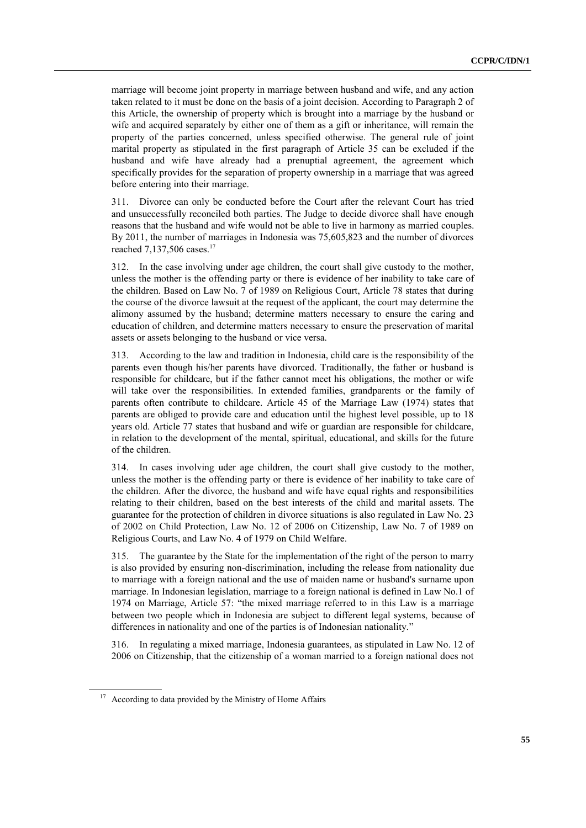marriage will become joint property in marriage between husband and wife, and any action taken related to it must be done on the basis of a joint decision. According to Paragraph 2 of this Article, the ownership of property which is brought into a marriage by the husband or wife and acquired separately by either one of them as a gift or inheritance, will remain the property of the parties concerned, unless specified otherwise. The general rule of joint marital property as stipulated in the first paragraph of Article 35 can be excluded if the husband and wife have already had a prenuptial agreement, the agreement which specifically provides for the separation of property ownership in a marriage that was agreed before entering into their marriage.

311. Divorce can only be conducted before the Court after the relevant Court has tried and unsuccessfully reconciled both parties. The Judge to decide divorce shall have enough reasons that the husband and wife would not be able to live in harmony as married couples. By 2011, the number of marriages in Indonesia was 75,605,823 and the number of divorces reached 7,137,506 cases.<sup>17</sup>

312. In the case involving under age children, the court shall give custody to the mother, unless the mother is the offending party or there is evidence of her inability to take care of the children. Based on Law No. 7 of 1989 on Religious Court, Article 78 states that during the course of the divorce lawsuit at the request of the applicant, the court may determine the alimony assumed by the husband; determine matters necessary to ensure the caring and education of children, and determine matters necessary to ensure the preservation of marital assets or assets belonging to the husband or vice versa.

313. According to the law and tradition in Indonesia, child care is the responsibility of the parents even though his/her parents have divorced. Traditionally, the father or husband is responsible for childcare, but if the father cannot meet his obligations, the mother or wife will take over the responsibilities. In extended families, grandparents or the family of parents often contribute to childcare. Article 45 of the Marriage Law (1974) states that parents are obliged to provide care and education until the highest level possible, up to 18 years old. Article 77 states that husband and wife or guardian are responsible for childcare, in relation to the development of the mental, spiritual, educational, and skills for the future of the children.

314. In cases involving uder age children, the court shall give custody to the mother, unless the mother is the offending party or there is evidence of her inability to take care of the children. After the divorce, the husband and wife have equal rights and responsibilities relating to their children, based on the best interests of the child and marital assets. The guarantee for the protection of children in divorce situations is also regulated in Law No. 23 of 2002 on Child Protection, Law No. 12 of 2006 on Citizenship, Law No. 7 of 1989 on Religious Courts, and Law No. 4 of 1979 on Child Welfare.

315. The guarantee by the State for the implementation of the right of the person to marry is also provided by ensuring non-discrimination, including the release from nationality due to marriage with a foreign national and the use of maiden name or husband's surname upon marriage. In Indonesian legislation, marriage to a foreign national is defined in Law No.1 of 1974 on Marriage, Article 57: "the mixed marriage referred to in this Law is a marriage between two people which in Indonesia are subject to different legal systems, because of differences in nationality and one of the parties is of Indonesian nationality."

316. In regulating a mixed marriage, Indonesia guarantees, as stipulated in Law No. 12 of 2006 on Citizenship, that the citizenship of a woman married to a foreign national does not

<sup>&</sup>lt;sup>17</sup> According to data provided by the Ministry of Home Affairs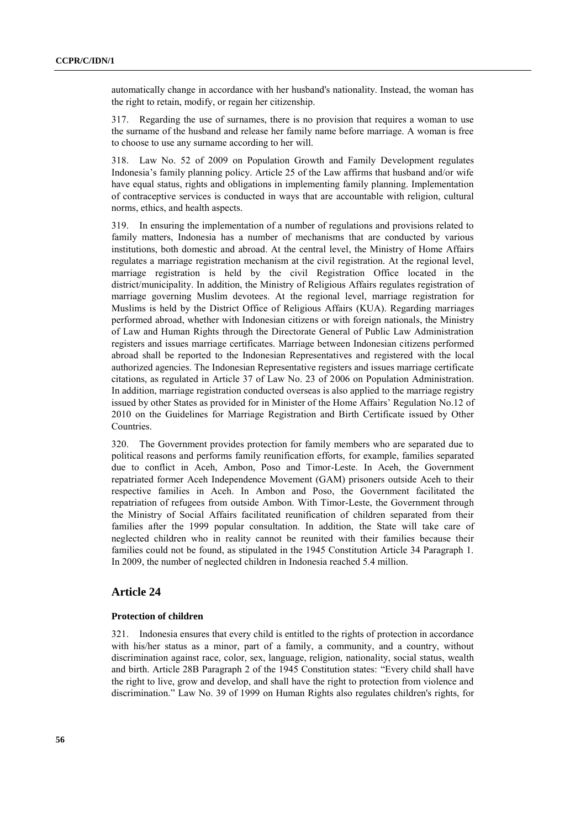automatically change in accordance with her husband's nationality. Instead, the woman has the right to retain, modify, or regain her citizenship.

317. Regarding the use of surnames, there is no provision that requires a woman to use the surname of the husband and release her family name before marriage. A woman is free to choose to use any surname according to her will.

318. Law No. 52 of 2009 on Population Growth and Family Development regulates Indonesia's family planning policy. Article 25 of the Law affirms that husband and/or wife have equal status, rights and obligations in implementing family planning. Implementation of contraceptive services is conducted in ways that are accountable with religion, cultural norms, ethics, and health aspects.

319. In ensuring the implementation of a number of regulations and provisions related to family matters, Indonesia has a number of mechanisms that are conducted by various institutions, both domestic and abroad. At the central level, the Ministry of Home Affairs regulates a marriage registration mechanism at the civil registration. At the regional level, marriage registration is held by the civil Registration Office located in the district/municipality. In addition, the Ministry of Religious Affairs regulates registration of marriage governing Muslim devotees. At the regional level, marriage registration for Muslims is held by the District Office of Religious Affairs (KUA). Regarding marriages performed abroad, whether with Indonesian citizens or with foreign nationals, the Ministry of Law and Human Rights through the Directorate General of Public Law Administration registers and issues marriage certificates. Marriage between Indonesian citizens performed abroad shall be reported to the Indonesian Representatives and registered with the local authorized agencies. The Indonesian Representative registers and issues marriage certificate citations, as regulated in Article 37 of Law No. 23 of 2006 on Population Administration. In addition, marriage registration conducted overseas is also applied to the marriage registry issued by other States as provided for in Minister of the Home Affairs' Regulation No.12 of 2010 on the Guidelines for Marriage Registration and Birth Certificate issued by Other Countries.

320. The Government provides protection for family members who are separated due to political reasons and performs family reunification efforts, for example, families separated due to conflict in Aceh, Ambon, Poso and Timor-Leste. In Aceh, the Government repatriated former Aceh Independence Movement (GAM) prisoners outside Aceh to their respective families in Aceh. In Ambon and Poso, the Government facilitated the repatriation of refugees from outside Ambon. With Timor-Leste, the Government through the Ministry of Social Affairs facilitated reunification of children separated from their families after the 1999 popular consultation. In addition, the State will take care of neglected children who in reality cannot be reunited with their families because their families could not be found, as stipulated in the 1945 Constitution Article 34 Paragraph 1. In 2009, the number of neglected children in Indonesia reached 5.4 million.

## **Article 24**

#### **Protection of children**

321. Indonesia ensures that every child is entitled to the rights of protection in accordance with his/her status as a minor, part of a family, a community, and a country, without discrimination against race, color, sex, language, religion, nationality, social status, wealth and birth. Article 28B Paragraph 2 of the 1945 Constitution states: "Every child shall have the right to live, grow and develop, and shall have the right to protection from violence and discrimination." Law No. 39 of 1999 on Human Rights also regulates children's rights, for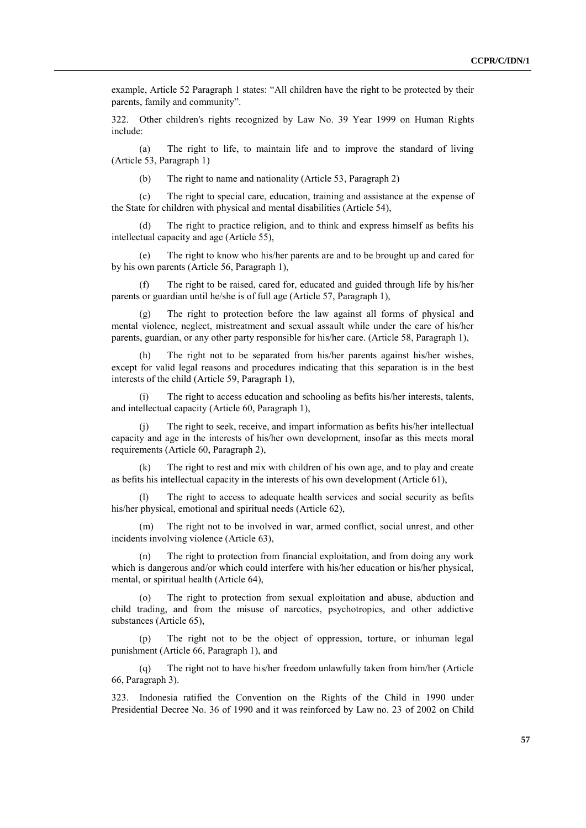example, Article 52 Paragraph 1 states: "All children have the right to be protected by their parents, family and community".

322. Other children's rights recognized by Law No. 39 Year 1999 on Human Rights include:

(a) The right to life, to maintain life and to improve the standard of living (Article 53, Paragraph 1)

(b) The right to name and nationality (Article 53, Paragraph 2)

(c) The right to special care, education, training and assistance at the expense of the State for children with physical and mental disabilities (Article 54),

(d) The right to practice religion, and to think and express himself as befits his intellectual capacity and age (Article 55),

(e) The right to know who his/her parents are and to be brought up and cared for by his own parents (Article 56, Paragraph 1),

(f) The right to be raised, cared for, educated and guided through life by his/her parents or guardian until he/she is of full age (Article 57, Paragraph 1),

(g) The right to protection before the law against all forms of physical and mental violence, neglect, mistreatment and sexual assault while under the care of his/her parents, guardian, or any other party responsible for his/her care. (Article 58, Paragraph 1),

(h) The right not to be separated from his/her parents against his/her wishes, except for valid legal reasons and procedures indicating that this separation is in the best interests of the child (Article 59, Paragraph 1),

The right to access education and schooling as befits his/her interests, talents, and intellectual capacity (Article 60, Paragraph 1),

(j) The right to seek, receive, and impart information as befits his/her intellectual capacity and age in the interests of his/her own development, insofar as this meets moral requirements (Article 60, Paragraph 2),

(k) The right to rest and mix with children of his own age, and to play and create as befits his intellectual capacity in the interests of his own development (Article 61),

(l) The right to access to adequate health services and social security as befits his/her physical, emotional and spiritual needs (Article 62),

(m) The right not to be involved in war, armed conflict, social unrest, and other incidents involving violence (Article 63),

(n) The right to protection from financial exploitation, and from doing any work which is dangerous and/or which could interfere with his/her education or his/her physical, mental, or spiritual health (Article 64),

(o) The right to protection from sexual exploitation and abuse, abduction and child trading, and from the misuse of narcotics, psychotropics, and other addictive substances (Article 65),

(p) The right not to be the object of oppression, torture, or inhuman legal punishment (Article 66, Paragraph 1), and

(q) The right not to have his/her freedom unlawfully taken from him/her (Article 66, Paragraph 3).

323. Indonesia ratified the Convention on the Rights of the Child in 1990 under Presidential Decree No. 36 of 1990 and it was reinforced by Law no. 23 of 2002 on Child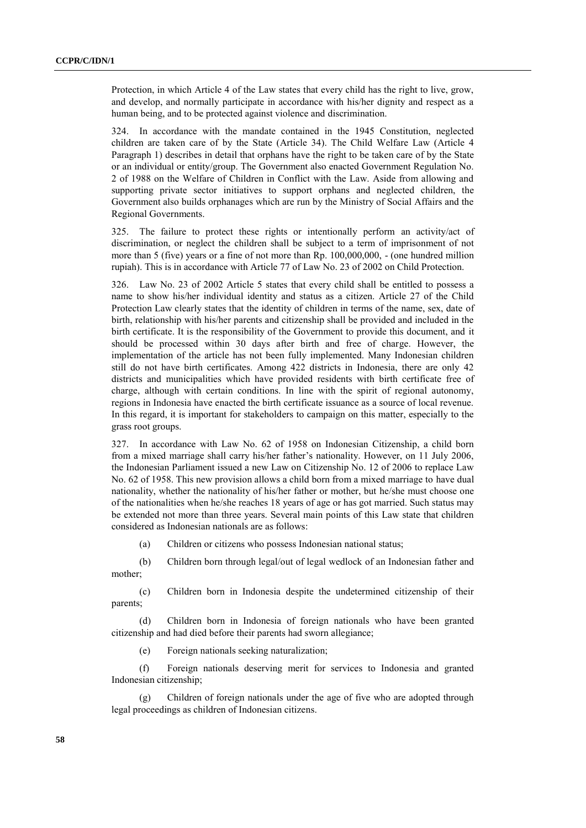Protection, in which Article 4 of the Law states that every child has the right to live, grow, and develop, and normally participate in accordance with his/her dignity and respect as a human being, and to be protected against violence and discrimination.

324. In accordance with the mandate contained in the 1945 Constitution, neglected children are taken care of by the State (Article 34). The Child Welfare Law (Article 4 Paragraph 1) describes in detail that orphans have the right to be taken care of by the State or an individual or entity/group. The Government also enacted Government Regulation No. 2 of 1988 on the Welfare of Children in Conflict with the Law. Aside from allowing and supporting private sector initiatives to support orphans and neglected children, the Government also builds orphanages which are run by the Ministry of Social Affairs and the Regional Governments.

325. The failure to protect these rights or intentionally perform an activity/act of discrimination, or neglect the children shall be subject to a term of imprisonment of not more than 5 (five) years or a fine of not more than Rp. 100,000,000, - (one hundred million rupiah). This is in accordance with Article 77 of Law No. 23 of 2002 on Child Protection.

326. Law No. 23 of 2002 Article 5 states that every child shall be entitled to possess a name to show his/her individual identity and status as a citizen. Article 27 of the Child Protection Law clearly states that the identity of children in terms of the name, sex, date of birth, relationship with his/her parents and citizenship shall be provided and included in the birth certificate. It is the responsibility of the Government to provide this document, and it should be processed within 30 days after birth and free of charge. However, the implementation of the article has not been fully implemented. Many Indonesian children still do not have birth certificates. Among 422 districts in Indonesia, there are only 42 districts and municipalities which have provided residents with birth certificate free of charge, although with certain conditions. In line with the spirit of regional autonomy, regions in Indonesia have enacted the birth certificate issuance as a source of local revenue. In this regard, it is important for stakeholders to campaign on this matter, especially to the grass root groups.

327. In accordance with Law No. 62 of 1958 on Indonesian Citizenship, a child born from a mixed marriage shall carry his/her father's nationality. However, on 11 July 2006, the Indonesian Parliament issued a new Law on Citizenship No. 12 of 2006 to replace Law No. 62 of 1958. This new provision allows a child born from a mixed marriage to have dual nationality, whether the nationality of his/her father or mother, but he/she must choose one of the nationalities when he/she reaches 18 years of age or has got married. Such status may be extended not more than three years. Several main points of this Law state that children considered as Indonesian nationals are as follows:

(a) Children or citizens who possess Indonesian national status;

(b) Children born through legal/out of legal wedlock of an Indonesian father and mother;

(c) Children born in Indonesia despite the undetermined citizenship of their parents;

(d) Children born in Indonesia of foreign nationals who have been granted citizenship and had died before their parents had sworn allegiance;

(e) Foreign nationals seeking naturalization;

(f) Foreign nationals deserving merit for services to Indonesia and granted Indonesian citizenship;

Children of foreign nationals under the age of five who are adopted through legal proceedings as children of Indonesian citizens.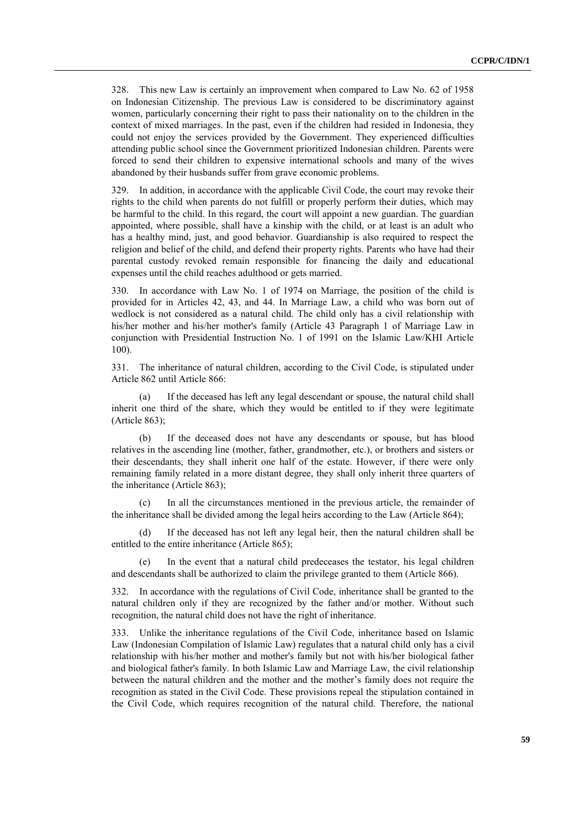328. This new Law is certainly an improvement when compared to Law No. 62 of 1958 on Indonesian Citizenship. The previous Law is considered to be discriminatory against women, particularly concerning their right to pass their nationality on to the children in the context of mixed marriages. In the past, even if the children had resided in Indonesia, they could not enjoy the services provided by the Government. They experienced difficulties attending public school since the Government prioritized Indonesian children. Parents were forced to send their children to expensive international schools and many of the wives abandoned by their husbands suffer from grave economic problems.

329. In addition, in accordance with the applicable Civil Code, the court may revoke their rights to the child when parents do not fulfill or properly perform their duties, which may be harmful to the child. In this regard, the court will appoint a new guardian. The guardian appointed, where possible, shall have a kinship with the child, or at least is an adult who has a healthy mind, just, and good behavior. Guardianship is also required to respect the religion and belief of the child, and defend their property rights. Parents who have had their parental custody revoked remain responsible for financing the daily and educational expenses until the child reaches adulthood or gets married.

330. In accordance with Law No. 1 of 1974 on Marriage, the position of the child is provided for in Articles 42, 43, and 44. In Marriage Law, a child who was born out of wedlock is not considered as a natural child. The child only has a civil relationship with his/her mother and his/her mother's family (Article 43 Paragraph 1 of Marriage Law in conjunction with Presidential Instruction No. 1 of 1991 on the Islamic Law/KHI Article 100).

331. The inheritance of natural children, according to the Civil Code, is stipulated under Article 862 until Article 866:

(a) If the deceased has left any legal descendant or spouse, the natural child shall inherit one third of the share, which they would be entitled to if they were legitimate (Article 863);

(b) If the deceased does not have any descendants or spouse, but has blood relatives in the ascending line (mother, father, grandmother, etc.), or brothers and sisters or their descendants, they shall inherit one half of the estate. However, if there were only remaining family related in a more distant degree, they shall only inherit three quarters of the inheritance (Article 863);

(c) In all the circumstances mentioned in the previous article, the remainder of the inheritance shall be divided among the legal heirs according to the Law (Article 864);

(d) If the deceased has not left any legal heir, then the natural children shall be entitled to the entire inheritance (Article 865);

In the event that a natural child predeceases the testator, his legal children and descendants shall be authorized to claim the privilege granted to them (Article 866).

332. In accordance with the regulations of Civil Code, inheritance shall be granted to the natural children only if they are recognized by the father and/or mother. Without such recognition, the natural child does not have the right of inheritance.

333. Unlike the inheritance regulations of the Civil Code, inheritance based on Islamic Law (Indonesian Compilation of Islamic Law) regulates that a natural child only has a civil relationship with his/her mother and mother's family but not with his/her biological father and biological father's family. In both Islamic Law and Marriage Law, the civil relationship between the natural children and the mother and the mother's family does not require the recognition as stated in the Civil Code. These provisions repeal the stipulation contained in the Civil Code, which requires recognition of the natural child. Therefore, the national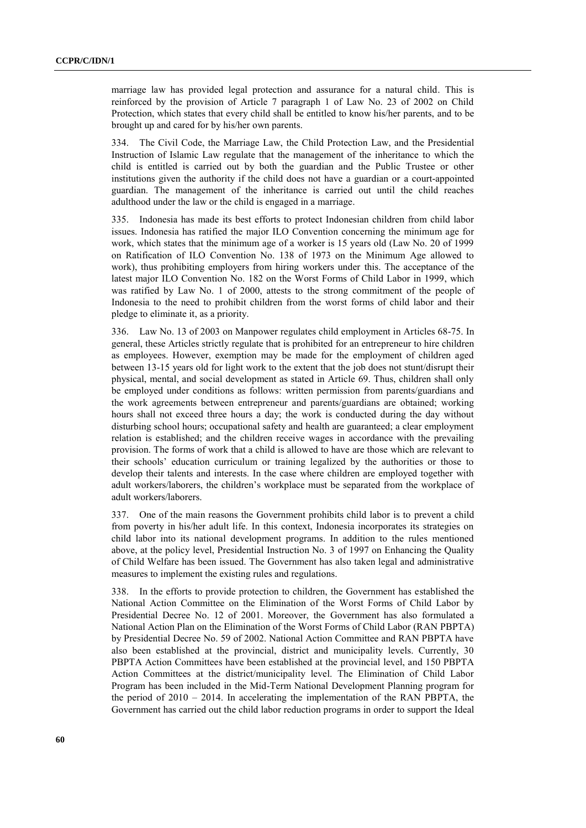marriage law has provided legal protection and assurance for a natural child. This is reinforced by the provision of Article 7 paragraph 1 of Law No. 23 of 2002 on Child Protection, which states that every child shall be entitled to know his/her parents, and to be brought up and cared for by his/her own parents.

334. The Civil Code, the Marriage Law, the Child Protection Law, and the Presidential Instruction of Islamic Law regulate that the management of the inheritance to which the child is entitled is carried out by both the guardian and the Public Trustee or other institutions given the authority if the child does not have a guardian or a court-appointed guardian. The management of the inheritance is carried out until the child reaches adulthood under the law or the child is engaged in a marriage.

335. Indonesia has made its best efforts to protect Indonesian children from child labor issues. Indonesia has ratified the major ILO Convention concerning the minimum age for work, which states that the minimum age of a worker is 15 years old (Law No. 20 of 1999 on Ratification of ILO Convention No. 138 of 1973 on the Minimum Age allowed to work), thus prohibiting employers from hiring workers under this. The acceptance of the latest major ILO Convention No. 182 on the Worst Forms of Child Labor in 1999, which was ratified by Law No. 1 of 2000, attests to the strong commitment of the people of Indonesia to the need to prohibit children from the worst forms of child labor and their pledge to eliminate it, as a priority.

336. Law No. 13 of 2003 on Manpower regulates child employment in Articles 68-75. In general, these Articles strictly regulate that is prohibited for an entrepreneur to hire children as employees. However, exemption may be made for the employment of children aged between 13-15 years old for light work to the extent that the job does not stunt/disrupt their physical, mental, and social development as stated in Article 69. Thus, children shall only be employed under conditions as follows: written permission from parents/guardians and the work agreements between entrepreneur and parents/guardians are obtained; working hours shall not exceed three hours a day; the work is conducted during the day without disturbing school hours; occupational safety and health are guaranteed; a clear employment relation is established; and the children receive wages in accordance with the prevailing provision. The forms of work that a child is allowed to have are those which are relevant to their schools' education curriculum or training legalized by the authorities or those to develop their talents and interests. In the case where children are employed together with adult workers/laborers, the children's workplace must be separated from the workplace of adult workers/laborers.

337. One of the main reasons the Government prohibits child labor is to prevent a child from poverty in his/her adult life. In this context, Indonesia incorporates its strategies on child labor into its national development programs. In addition to the rules mentioned above, at the policy level, Presidential Instruction No. 3 of 1997 on Enhancing the Quality of Child Welfare has been issued. The Government has also taken legal and administrative measures to implement the existing rules and regulations.

338. In the efforts to provide protection to children, the Government has established the National Action Committee on the Elimination of the Worst Forms of Child Labor by Presidential Decree No. 12 of 2001. Moreover, the Government has also formulated a National Action Plan on the Elimination of the Worst Forms of Child Labor (RAN PBPTA) by Presidential Decree No. 59 of 2002. National Action Committee and RAN PBPTA have also been established at the provincial, district and municipality levels. Currently, 30 PBPTA Action Committees have been established at the provincial level, and 150 PBPTA Action Committees at the district/municipality level. The Elimination of Child Labor Program has been included in the Mid-Term National Development Planning program for the period of 2010 – 2014. In accelerating the implementation of the RAN PBPTA, the Government has carried out the child labor reduction programs in order to support the Ideal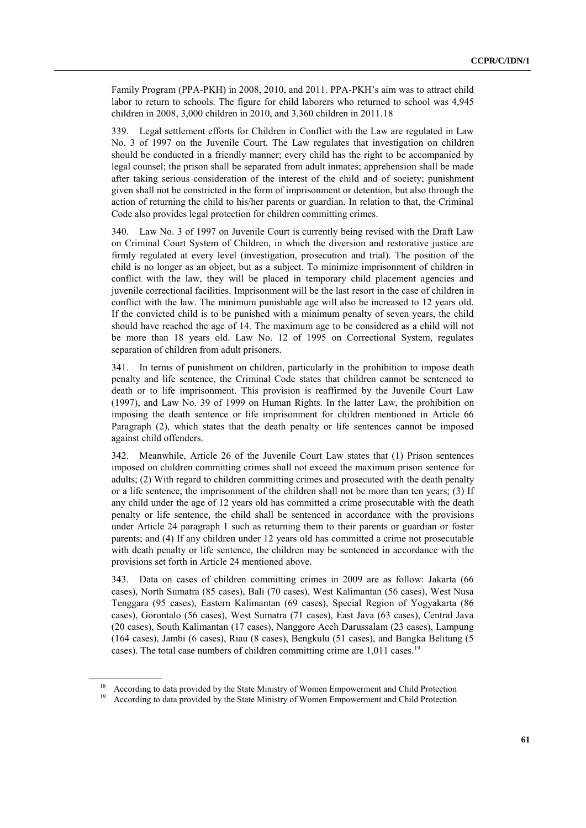Family Program (PPA-PKH) in 2008, 2010, and 2011. PPA-PKH's aim was to attract child labor to return to schools. The figure for child laborers who returned to school was 4,945 children in 2008, 3,000 children in 2010, and 3,360 children in 2011.18

339. Legal settlement efforts for Children in Conflict with the Law are regulated in Law No. 3 of 1997 on the Juvenile Court. The Law regulates that investigation on children should be conducted in a friendly manner; every child has the right to be accompanied by legal counsel; the prison shall be separated from adult inmates; apprehension shall be made after taking serious consideration of the interest of the child and of society; punishment given shall not be constricted in the form of imprisonment or detention, but also through the action of returning the child to his/her parents or guardian. In relation to that, the Criminal Code also provides legal protection for children committing crimes.

340. Law No. 3 of 1997 on Juvenile Court is currently being revised with the Draft Law on Criminal Court System of Children, in which the diversion and restorative justice are firmly regulated at every level (investigation, prosecution and trial). The position of the child is no longer as an object, but as a subject. To minimize imprisonment of children in conflict with the law, they will be placed in temporary child placement agencies and juvenile correctional facilities. Imprisonment will be the last resort in the case of children in conflict with the law. The minimum punishable age will also be increased to 12 years old. If the convicted child is to be punished with a minimum penalty of seven years, the child should have reached the age of 14. The maximum age to be considered as a child will not be more than 18 years old. Law No. 12 of 1995 on Correctional System, regulates separation of children from adult prisoners.

In terms of punishment on children, particularly in the prohibition to impose death penalty and life sentence, the Criminal Code states that children cannot be sentenced to death or to life imprisonment. This provision is reaffirmed by the Juvenile Court Law (1997), and Law No. 39 of 1999 on Human Rights. In the latter Law, the prohibition on imposing the death sentence or life imprisonment for children mentioned in Article 66 Paragraph (2), which states that the death penalty or life sentences cannot be imposed against child offenders.

342. Meanwhile, Article 26 of the Juvenile Court Law states that (1) Prison sentences imposed on children committing crimes shall not exceed the maximum prison sentence for adults; (2) With regard to children committing crimes and prosecuted with the death penalty or a life sentence, the imprisonment of the children shall not be more than ten years; (3) If any child under the age of 12 years old has committed a crime prosecutable with the death penalty or life sentence, the child shall be sentenced in accordance with the provisions under Article 24 paragraph 1 such as returning them to their parents or guardian or foster parents; and (4) If any children under 12 years old has committed a crime not prosecutable with death penalty or life sentence, the children may be sentenced in accordance with the provisions set forth in Article 24 mentioned above.

343. Data on cases of children committing crimes in 2009 are as follow: Jakarta (66 cases), North Sumatra (85 cases), Bali (70 cases), West Kalimantan (56 cases), West Nusa Tenggara (95 cases), Eastern Kalimantan (69 cases), Special Region of Yogyakarta (86 cases), Gorontalo (56 cases), West Sumatra (71 cases), East Java (63 cases), Central Java (20 cases), South Kalimantan (17 cases), Nanggore Aceh Darussalam (23 cases), Lampung (164 cases), Jambi (6 cases), Riau (8 cases), Bengkulu (51 cases), and Bangka Belitung (5 cases). The total case numbers of children committing crime are 1,011 cases.<sup>19</sup>

<sup>&</sup>lt;sup>18</sup> According to data provided by the State Ministry of Women Empowerment and Child Protection

<sup>19</sup> According to data provided by the State Ministry of Women Empowerment and Child Protection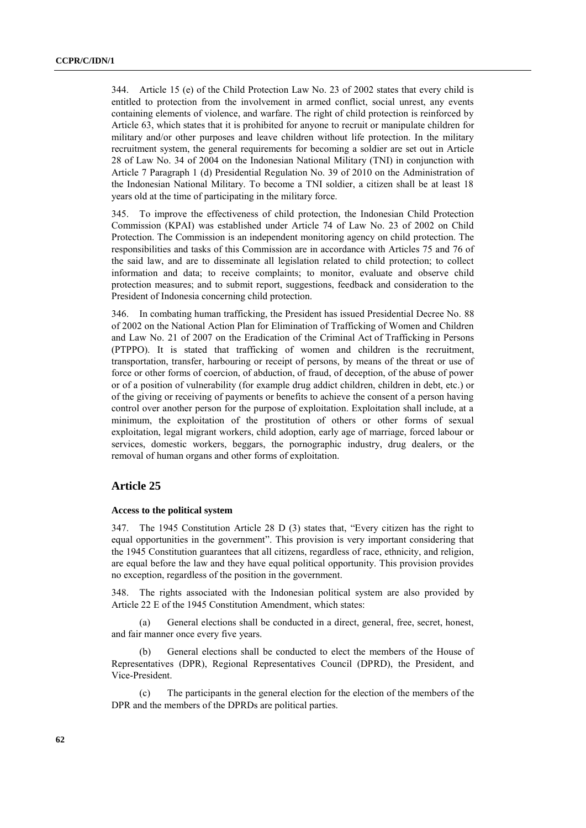344. Article 15 (e) of the Child Protection Law No. 23 of 2002 states that every child is entitled to protection from the involvement in armed conflict, social unrest, any events containing elements of violence, and warfare. The right of child protection is reinforced by Article 63, which states that it is prohibited for anyone to recruit or manipulate children for military and/or other purposes and leave children without life protection. In the military recruitment system, the general requirements for becoming a soldier are set out in Article 28 of Law No. 34 of 2004 on the Indonesian National Military (TNI) in conjunction with Article 7 Paragraph 1 (d) Presidential Regulation No. 39 of 2010 on the Administration of the Indonesian National Military. To become a TNI soldier, a citizen shall be at least 18 years old at the time of participating in the military force.

345. To improve the effectiveness of child protection, the Indonesian Child Protection Commission (KPAI) was established under Article 74 of Law No. 23 of 2002 on Child Protection. The Commission is an independent monitoring agency on child protection. The responsibilities and tasks of this Commission are in accordance with Articles 75 and 76 of the said law, and are to disseminate all legislation related to child protection; to collect information and data; to receive complaints; to monitor, evaluate and observe child protection measures; and to submit report, suggestions, feedback and consideration to the President of Indonesia concerning child protection.

346. In combating human trafficking, the President has issued Presidential Decree No. 88 of 2002 on the National Action Plan for Elimination of Trafficking of Women and Children and Law No. 21 of 2007 on the Eradication of the Criminal Act of Trafficking in Persons (PTPPO). It is stated that trafficking of women and children is the recruitment, transportation, transfer, harbouring or receipt of persons, by means of the threat or use of force or other forms of coercion, of abduction, of fraud, of deception, of the abuse of power or of a position of vulnerability (for example drug addict children, children in debt, etc.) or of the giving or receiving of payments or benefits to achieve the consent of a person having control over another person for the purpose of exploitation. Exploitation shall include, at a minimum, the exploitation of the prostitution of others or other forms of sexual exploitation, legal migrant workers, child adoption, early age of marriage, forced labour or services, domestic workers, beggars, the pornographic industry, drug dealers, or the removal of human organs and other forms of exploitation.

#### **Article 25**

#### **Access to the political system**

347. The 1945 Constitution Article 28 D (3) states that, "Every citizen has the right to equal opportunities in the government". This provision is very important considering that the 1945 Constitution guarantees that all citizens, regardless of race, ethnicity, and religion, are equal before the law and they have equal political opportunity. This provision provides no exception, regardless of the position in the government.

348. The rights associated with the Indonesian political system are also provided by Article 22 E of the 1945 Constitution Amendment, which states:

(a) General elections shall be conducted in a direct, general, free, secret, honest, and fair manner once every five years.

(b) General elections shall be conducted to elect the members of the House of Representatives (DPR), Regional Representatives Council (DPRD), the President, and Vice-President.

(c) The participants in the general election for the election of the members of the DPR and the members of the DPRDs are political parties.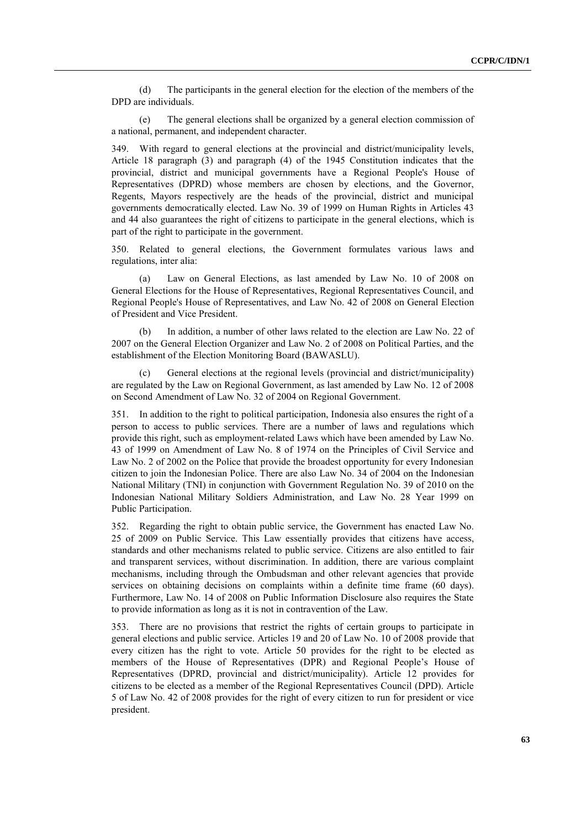(d) The participants in the general election for the election of the members of the DPD are individuals.

(e) The general elections shall be organized by a general election commission of a national, permanent, and independent character.

349. With regard to general elections at the provincial and district/municipality levels, Article 18 paragraph (3) and paragraph (4) of the 1945 Constitution indicates that the provincial, district and municipal governments have a Regional People's House of Representatives (DPRD) whose members are chosen by elections, and the Governor, Regents, Mayors respectively are the heads of the provincial, district and municipal governments democratically elected. Law No. 39 of 1999 on Human Rights in Articles 43 and 44 also guarantees the right of citizens to participate in the general elections, which is part of the right to participate in the government.

350. Related to general elections, the Government formulates various laws and regulations, inter alia:

(a) Law on General Elections, as last amended by Law No. 10 of 2008 on General Elections for the House of Representatives, Regional Representatives Council, and Regional People's House of Representatives, and Law No. 42 of 2008 on General Election of President and Vice President.

(b) In addition, a number of other laws related to the election are Law No. 22 of 2007 on the General Election Organizer and Law No. 2 of 2008 on Political Parties, and the establishment of the Election Monitoring Board (BAWASLU).

General elections at the regional levels (provincial and district/municipality) are regulated by the Law on Regional Government, as last amended by Law No. 12 of 2008 on Second Amendment of Law No. 32 of 2004 on Regional Government.

351. In addition to the right to political participation, Indonesia also ensures the right of a person to access to public services. There are a number of laws and regulations which provide this right, such as employment-related Laws which have been amended by Law No. 43 of 1999 on Amendment of Law No. 8 of 1974 on the Principles of Civil Service and Law No. 2 of 2002 on the Police that provide the broadest opportunity for every Indonesian citizen to join the Indonesian Police. There are also Law No. 34 of 2004 on the Indonesian National Military (TNI) in conjunction with Government Regulation No. 39 of 2010 on the Indonesian National Military Soldiers Administration, and Law No. 28 Year 1999 on Public Participation.

352. Regarding the right to obtain public service, the Government has enacted Law No. 25 of 2009 on Public Service. This Law essentially provides that citizens have access, standards and other mechanisms related to public service. Citizens are also entitled to fair and transparent services, without discrimination. In addition, there are various complaint mechanisms, including through the Ombudsman and other relevant agencies that provide services on obtaining decisions on complaints within a definite time frame (60 days). Furthermore, Law No. 14 of 2008 on Public Information Disclosure also requires the State to provide information as long as it is not in contravention of the Law.

353. There are no provisions that restrict the rights of certain groups to participate in general elections and public service. Articles 19 and 20 of Law No. 10 of 2008 provide that every citizen has the right to vote. Article 50 provides for the right to be elected as members of the House of Representatives (DPR) and Regional People's House of Representatives (DPRD, provincial and district/municipality). Article 12 provides for citizens to be elected as a member of the Regional Representatives Council (DPD). Article 5 of Law No. 42 of 2008 provides for the right of every citizen to run for president or vice president.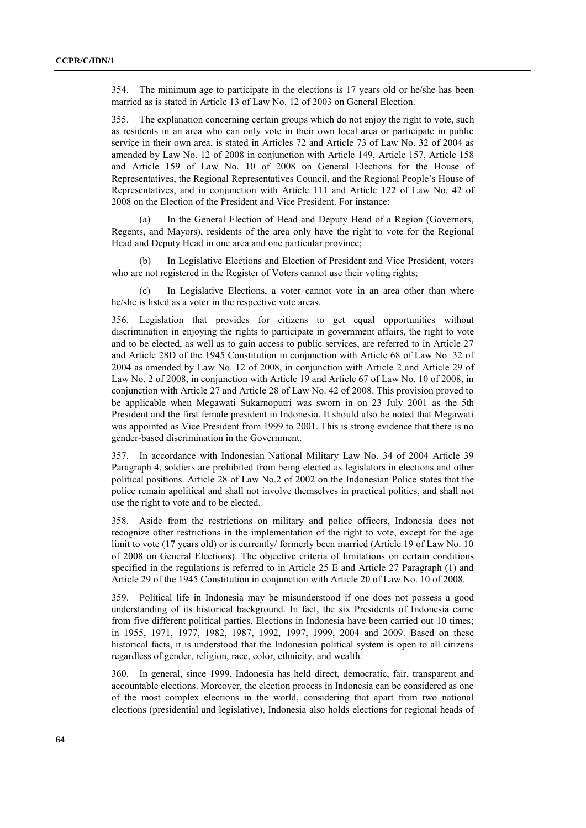354. The minimum age to participate in the elections is 17 years old or he/she has been married as is stated in Article 13 of Law No. 12 of 2003 on General Election.

355. The explanation concerning certain groups which do not enjoy the right to vote, such as residents in an area who can only vote in their own local area or participate in public service in their own area, is stated in Articles 72 and Article 73 of Law No. 32 of 2004 as amended by Law No. 12 of 2008 in conjunction with Article 149, Article 157, Article 158 and Article 159 of Law No. 10 of 2008 on General Elections for the House of Representatives, the Regional Representatives Council, and the Regional People's House of Representatives, and in conjunction with Article 111 and Article 122 of Law No. 42 of 2008 on the Election of the President and Vice President. For instance:

(a) In the General Election of Head and Deputy Head of a Region (Governors, Regents, and Mayors), residents of the area only have the right to vote for the Regional Head and Deputy Head in one area and one particular province;

(b) In Legislative Elections and Election of President and Vice President, voters who are not registered in the Register of Voters cannot use their voting rights;

(c) In Legislative Elections, a voter cannot vote in an area other than where he/she is listed as a voter in the respective vote areas.

356. Legislation that provides for citizens to get equal opportunities without discrimination in enjoying the rights to participate in government affairs, the right to vote and to be elected, as well as to gain access to public services, are referred to in Article 27 and Article 28D of the 1945 Constitution in conjunction with Article 68 of Law No. 32 of 2004 as amended by Law No. 12 of 2008, in conjunction with Article 2 and Article 29 of Law No. 2 of 2008, in conjunction with Article 19 and Article 67 of Law No. 10 of 2008, in conjunction with Article 27 and Article 28 of Law No. 42 of 2008. This provision proved to be applicable when Megawati Sukarnoputri was sworn in on 23 July 2001 as the 5th President and the first female president in Indonesia. It should also be noted that Megawati was appointed as Vice President from 1999 to 2001. This is strong evidence that there is no gender-based discrimination in the Government.

357. In accordance with Indonesian National Military Law No. 34 of 2004 Article 39 Paragraph 4, soldiers are prohibited from being elected as legislators in elections and other political positions. Article 28 of Law No.2 of 2002 on the Indonesian Police states that the police remain apolitical and shall not involve themselves in practical politics, and shall not use the right to vote and to be elected.

358. Aside from the restrictions on military and police officers, Indonesia does not recognize other restrictions in the implementation of the right to vote, except for the age limit to vote (17 years old) or is currently/ formerly been married (Article 19 of Law No. 10 of 2008 on General Elections). The objective criteria of limitations on certain conditions specified in the regulations is referred to in Article 25 E and Article 27 Paragraph (1) and Article 29 of the 1945 Constitution in conjunction with Article 20 of Law No. 10 of 2008.

359. Political life in Indonesia may be misunderstood if one does not possess a good understanding of its historical background. In fact, the six Presidents of Indonesia came from five different political parties. Elections in Indonesia have been carried out 10 times; in 1955, 1971, 1977, 1982, 1987, 1992, 1997, 1999, 2004 and 2009. Based on these historical facts, it is understood that the Indonesian political system is open to all citizens regardless of gender, religion, race, color, ethnicity, and wealth.

360. In general, since 1999, Indonesia has held direct, democratic, fair, transparent and accountable elections. Moreover, the election process in Indonesia can be considered as one of the most complex elections in the world, considering that apart from two national elections (presidential and legislative), Indonesia also holds elections for regional heads of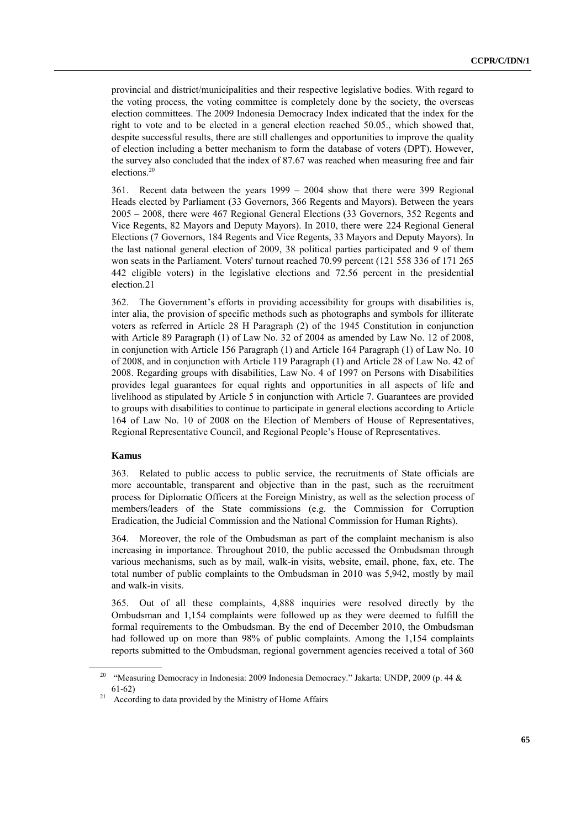provincial and district/municipalities and their respective legislative bodies. With regard to the voting process, the voting committee is completely done by the society, the overseas election committees. The 2009 Indonesia Democracy Index indicated that the index for the right to vote and to be elected in a general election reached 50.05., which showed that, despite successful results, there are still challenges and opportunities to improve the quality of election including a better mechanism to form the database of voters (DPT). However, the survey also concluded that the index of 87.67 was reached when measuring free and fair elections.<sup>20</sup>

361. Recent data between the years 1999 – 2004 show that there were 399 Regional Heads elected by Parliament (33 Governors, 366 Regents and Mayors). Between the years 2005 – 2008, there were 467 Regional General Elections (33 Governors, 352 Regents and Vice Regents, 82 Mayors and Deputy Mayors). In 2010, there were 224 Regional General Elections (7 Governors, 184 Regents and Vice Regents, 33 Mayors and Deputy Mayors). In the last national general election of 2009, 38 political parties participated and 9 of them won seats in the Parliament. Voters' turnout reached 70.99 percent (121 558 336 of 171 265 442 eligible voters) in the legislative elections and 72.56 percent in the presidential election.21

362. The Government's efforts in providing accessibility for groups with disabilities is, inter alia, the provision of specific methods such as photographs and symbols for illiterate voters as referred in Article 28 H Paragraph (2) of the 1945 Constitution in conjunction with Article 89 Paragraph (1) of Law No. 32 of 2004 as amended by Law No. 12 of 2008, in conjunction with Article 156 Paragraph (1) and Article 164 Paragraph (1) of Law No. 10 of 2008, and in conjunction with Article 119 Paragraph (1) and Article 28 of Law No. 42 of 2008. Regarding groups with disabilities, Law No. 4 of 1997 on Persons with Disabilities provides legal guarantees for equal rights and opportunities in all aspects of life and livelihood as stipulated by Article 5 in conjunction with Article 7. Guarantees are provided to groups with disabilities to continue to participate in general elections according to Article 164 of Law No. 10 of 2008 on the Election of Members of House of Representatives, Regional Representative Council, and Regional People's House of Representatives.

#### **Kamus**

363. Related to public access to public service, the recruitments of State officials are more accountable, transparent and objective than in the past, such as the recruitment process for Diplomatic Officers at the Foreign Ministry, as well as the selection process of members/leaders of the State commissions (e.g. the Commission for Corruption Eradication, the Judicial Commission and the National Commission for Human Rights).

364. Moreover, the role of the Ombudsman as part of the complaint mechanism is also increasing in importance. Throughout 2010, the public accessed the Ombudsman through various mechanisms, such as by mail, walk-in visits, website, email, phone, fax, etc. The total number of public complaints to the Ombudsman in 2010 was 5,942, mostly by mail and walk-in visits.

365. Out of all these complaints, 4,888 inquiries were resolved directly by the Ombudsman and 1,154 complaints were followed up as they were deemed to fulfill the formal requirements to the Ombudsman. By the end of December 2010, the Ombudsman had followed up on more than 98% of public complaints. Among the 1,154 complaints reports submitted to the Ombudsman, regional government agencies received a total of 360

<sup>&</sup>lt;sup>20</sup> "Measuring Democracy in Indonesia: 2009 Indonesia Democracy." Jakarta: UNDP, 2009 (p. 44 & 61-62)

<sup>&</sup>lt;sup>21</sup> According to data provided by the Ministry of Home Affairs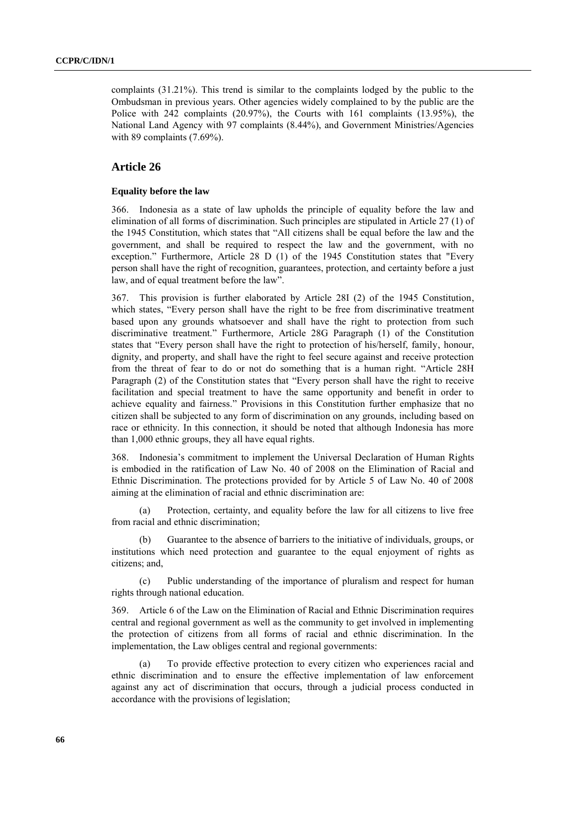complaints (31.21%). This trend is similar to the complaints lodged by the public to the Ombudsman in previous years. Other agencies widely complained to by the public are the Police with 242 complaints (20.97%), the Courts with 161 complaints (13.95%), the National Land Agency with 97 complaints (8.44%), and Government Ministries/Agencies with 89 complaints (7.69%).

## **Article 26**

#### **Equality before the law**

366. Indonesia as a state of law upholds the principle of equality before the law and elimination of all forms of discrimination. Such principles are stipulated in Article 27 (1) of the 1945 Constitution, which states that "All citizens shall be equal before the law and the government, and shall be required to respect the law and the government, with no exception." Furthermore, Article 28 D (1) of the 1945 Constitution states that "Every person shall have the right of recognition, guarantees, protection, and certainty before a just law, and of equal treatment before the law".

367. This provision is further elaborated by Article 28I (2) of the 1945 Constitution, which states, "Every person shall have the right to be free from discriminative treatment based upon any grounds whatsoever and shall have the right to protection from such discriminative treatment." Furthermore, Article 28G Paragraph (1) of the Constitution states that "Every person shall have the right to protection of his/herself, family, honour, dignity, and property, and shall have the right to feel secure against and receive protection from the threat of fear to do or not do something that is a human right. "Article 28H Paragraph (2) of the Constitution states that "Every person shall have the right to receive facilitation and special treatment to have the same opportunity and benefit in order to achieve equality and fairness." Provisions in this Constitution further emphasize that no citizen shall be subjected to any form of discrimination on any grounds, including based on race or ethnicity. In this connection, it should be noted that although Indonesia has more than 1,000 ethnic groups, they all have equal rights.

368. Indonesia's commitment to implement the Universal Declaration of Human Rights is embodied in the ratification of Law No. 40 of 2008 on the Elimination of Racial and Ethnic Discrimination. The protections provided for by Article 5 of Law No. 40 of 2008 aiming at the elimination of racial and ethnic discrimination are:

(a) Protection, certainty, and equality before the law for all citizens to live free from racial and ethnic discrimination;

(b) Guarantee to the absence of barriers to the initiative of individuals, groups, or institutions which need protection and guarantee to the equal enjoyment of rights as citizens; and,

(c) Public understanding of the importance of pluralism and respect for human rights through national education.

369. Article 6 of the Law on the Elimination of Racial and Ethnic Discrimination requires central and regional government as well as the community to get involved in implementing the protection of citizens from all forms of racial and ethnic discrimination. In the implementation, the Law obliges central and regional governments:

(a) To provide effective protection to every citizen who experiences racial and ethnic discrimination and to ensure the effective implementation of law enforcement against any act of discrimination that occurs, through a judicial process conducted in accordance with the provisions of legislation;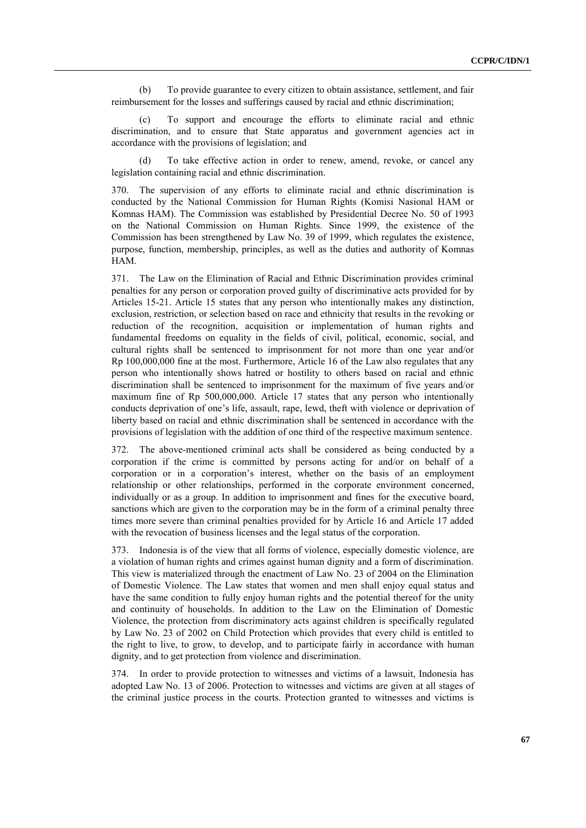(b) To provide guarantee to every citizen to obtain assistance, settlement, and fair reimbursement for the losses and sufferings caused by racial and ethnic discrimination;

(c) To support and encourage the efforts to eliminate racial and ethnic discrimination, and to ensure that State apparatus and government agencies act in accordance with the provisions of legislation; and

(d) To take effective action in order to renew, amend, revoke, or cancel any legislation containing racial and ethnic discrimination.

370. The supervision of any efforts to eliminate racial and ethnic discrimination is conducted by the National Commission for Human Rights (Komisi Nasional HAM or Komnas HAM). The Commission was established by Presidential Decree No. 50 of 1993 on the National Commission on Human Rights. Since 1999, the existence of the Commission has been strengthened by Law No. 39 of 1999, which regulates the existence, purpose, function, membership, principles, as well as the duties and authority of Komnas HAM.

371. The Law on the Elimination of Racial and Ethnic Discrimination provides criminal penalties for any person or corporation proved guilty of discriminative acts provided for by Articles 15-21. Article 15 states that any person who intentionally makes any distinction, exclusion, restriction, or selection based on race and ethnicity that results in the revoking or reduction of the recognition, acquisition or implementation of human rights and fundamental freedoms on equality in the fields of civil, political, economic, social, and cultural rights shall be sentenced to imprisonment for not more than one year and/or Rp 100,000,000 fine at the most. Furthermore, Article 16 of the Law also regulates that any person who intentionally shows hatred or hostility to others based on racial and ethnic discrimination shall be sentenced to imprisonment for the maximum of five years and/or maximum fine of Rp 500,000,000. Article 17 states that any person who intentionally conducts deprivation of one's life, assault, rape, lewd, theft with violence or deprivation of liberty based on racial and ethnic discrimination shall be sentenced in accordance with the provisions of legislation with the addition of one third of the respective maximum sentence.

372. The above-mentioned criminal acts shall be considered as being conducted by a corporation if the crime is committed by persons acting for and/or on behalf of a corporation or in a corporation's interest, whether on the basis of an employment relationship or other relationships, performed in the corporate environment concerned, individually or as a group. In addition to imprisonment and fines for the executive board, sanctions which are given to the corporation may be in the form of a criminal penalty three times more severe than criminal penalties provided for by Article 16 and Article 17 added with the revocation of business licenses and the legal status of the corporation.

373. Indonesia is of the view that all forms of violence, especially domestic violence, are a violation of human rights and crimes against human dignity and a form of discrimination. This view is materialized through the enactment of Law No. 23 of 2004 on the Elimination of Domestic Violence. The Law states that women and men shall enjoy equal status and have the same condition to fully enjoy human rights and the potential thereof for the unity and continuity of households. In addition to the Law on the Elimination of Domestic Violence, the protection from discriminatory acts against children is specifically regulated by Law No. 23 of 2002 on Child Protection which provides that every child is entitled to the right to live, to grow, to develop, and to participate fairly in accordance with human dignity, and to get protection from violence and discrimination.

374. In order to provide protection to witnesses and victims of a lawsuit, Indonesia has adopted Law No. 13 of 2006. Protection to witnesses and victims are given at all stages of the criminal justice process in the courts. Protection granted to witnesses and victims is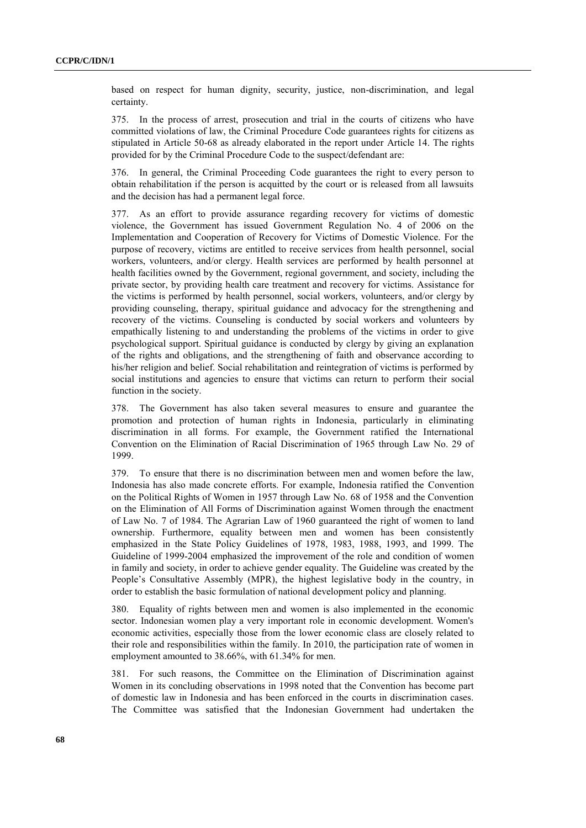based on respect for human dignity, security, justice, non-discrimination, and legal certainty.

375. In the process of arrest, prosecution and trial in the courts of citizens who have committed violations of law, the Criminal Procedure Code guarantees rights for citizens as stipulated in Article 50-68 as already elaborated in the report under Article 14. The rights provided for by the Criminal Procedure Code to the suspect/defendant are:

376. In general, the Criminal Proceeding Code guarantees the right to every person to obtain rehabilitation if the person is acquitted by the court or is released from all lawsuits and the decision has had a permanent legal force.

377. As an effort to provide assurance regarding recovery for victims of domestic violence, the Government has issued Government Regulation No. 4 of 2006 on the Implementation and Cooperation of Recovery for Victims of Domestic Violence. For the purpose of recovery, victims are entitled to receive services from health personnel, social workers, volunteers, and/or clergy. Health services are performed by health personnel at health facilities owned by the Government, regional government, and society, including the private sector, by providing health care treatment and recovery for victims. Assistance for the victims is performed by health personnel, social workers, volunteers, and/or clergy by providing counseling, therapy, spiritual guidance and advocacy for the strengthening and recovery of the victims. Counseling is conducted by social workers and volunteers by empathically listening to and understanding the problems of the victims in order to give psychological support. Spiritual guidance is conducted by clergy by giving an explanation of the rights and obligations, and the strengthening of faith and observance according to his/her religion and belief. Social rehabilitation and reintegration of victims is performed by social institutions and agencies to ensure that victims can return to perform their social function in the society.

378. The Government has also taken several measures to ensure and guarantee the promotion and protection of human rights in Indonesia, particularly in eliminating discrimination in all forms. For example, the Government ratified the International Convention on the Elimination of Racial Discrimination of 1965 through Law No. 29 of 1999.

379. To ensure that there is no discrimination between men and women before the law, Indonesia has also made concrete efforts. For example, Indonesia ratified the Convention on the Political Rights of Women in 1957 through Law No. 68 of 1958 and the Convention on the Elimination of All Forms of Discrimination against Women through the enactment of Law No. 7 of 1984. The Agrarian Law of 1960 guaranteed the right of women to land ownership. Furthermore, equality between men and women has been consistently emphasized in the State Policy Guidelines of 1978, 1983, 1988, 1993, and 1999. The Guideline of 1999-2004 emphasized the improvement of the role and condition of women in family and society, in order to achieve gender equality. The Guideline was created by the People's Consultative Assembly (MPR), the highest legislative body in the country, in order to establish the basic formulation of national development policy and planning.

380. Equality of rights between men and women is also implemented in the economic sector. Indonesian women play a very important role in economic development. Women's economic activities, especially those from the lower economic class are closely related to their role and responsibilities within the family. In 2010, the participation rate of women in employment amounted to 38.66%, with 61.34% for men.

381. For such reasons, the Committee on the Elimination of Discrimination against Women in its concluding observations in 1998 noted that the Convention has become part of domestic law in Indonesia and has been enforced in the courts in discrimination cases. The Committee was satisfied that the Indonesian Government had undertaken the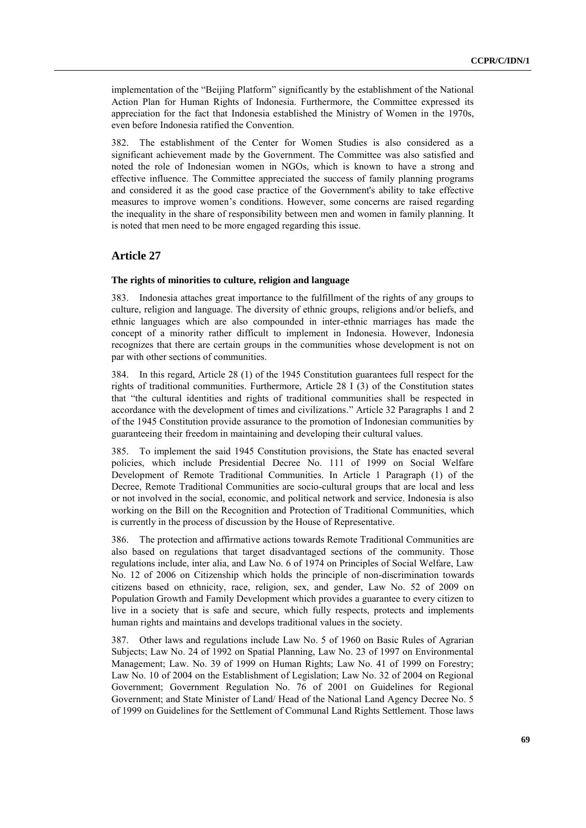implementation of the "Beijing Platform" significantly by the establishment of the National Action Plan for Human Rights of Indonesia. Furthermore, the Committee expressed its appreciation for the fact that Indonesia established the Ministry of Women in the 1970s, even before Indonesia ratified the Convention.

382. The establishment of the Center for Women Studies is also considered as a significant achievement made by the Government. The Committee was also satisfied and noted the role of Indonesian women in NGOs, which is known to have a strong and effective influence. The Committee appreciated the success of family planning programs and considered it as the good case practice of the Government's ability to take effective measures to improve women's conditions. However, some concerns are raised regarding the inequality in the share of responsibility between men and women in family planning. It is noted that men need to be more engaged regarding this issue.

## **Article 27**

#### **The rights of minorities to culture, religion and language**

383. Indonesia attaches great importance to the fulfillment of the rights of any groups to culture, religion and language. The diversity of ethnic groups, religions and/or beliefs, and ethnic languages which are also compounded in inter-ethnic marriages has made the concept of a minority rather difficult to implement in Indonesia. However, Indonesia recognizes that there are certain groups in the communities whose development is not on par with other sections of communities.

384. In this regard, Article 28 (1) of the 1945 Constitution guarantees full respect for the rights of traditional communities. Furthermore, Article 28 I (3) of the Constitution states that "the cultural identities and rights of traditional communities shall be respected in accordance with the development of times and civilizations." Article 32 Paragraphs 1 and 2 of the 1945 Constitution provide assurance to the promotion of Indonesian communities by guaranteeing their freedom in maintaining and developing their cultural values.

385. To implement the said 1945 Constitution provisions, the State has enacted several policies, which include Presidential Decree No. 111 of 1999 on Social Welfare Development of Remote Traditional Communities. In Article 1 Paragraph (1) of the Decree, Remote Traditional Communities are socio-cultural groups that are local and less or not involved in the social, economic, and political network and service. Indonesia is also working on the Bill on the Recognition and Protection of Traditional Communities, which is currently in the process of discussion by the House of Representative.

386. The protection and affirmative actions towards Remote Traditional Communities are also based on regulations that target disadvantaged sections of the community. Those regulations include, inter alia, and Law No. 6 of 1974 on Principles of Social Welfare, Law No. 12 of 2006 on Citizenship which holds the principle of non-discrimination towards citizens based on ethnicity, race, religion, sex, and gender, Law No. 52 of 2009 on Population Growth and Family Development which provides a guarantee to every citizen to live in a society that is safe and secure, which fully respects, protects and implements human rights and maintains and develops traditional values in the society.

387. Other laws and regulations include Law No. 5 of 1960 on Basic Rules of Agrarian Subjects; Law No. 24 of 1992 on Spatial Planning, Law No. 23 of 1997 on Environmental Management; Law. No. 39 of 1999 on Human Rights; Law No. 41 of 1999 on Forestry; Law No. 10 of 2004 on the Establishment of Legislation; Law No. 32 of 2004 on Regional Government; Government Regulation No. 76 of 2001 on Guidelines for Regional Government; and State Minister of Land/ Head of the National Land Agency Decree No. 5 of 1999 on Guidelines for the Settlement of Communal Land Rights Settlement. Those laws